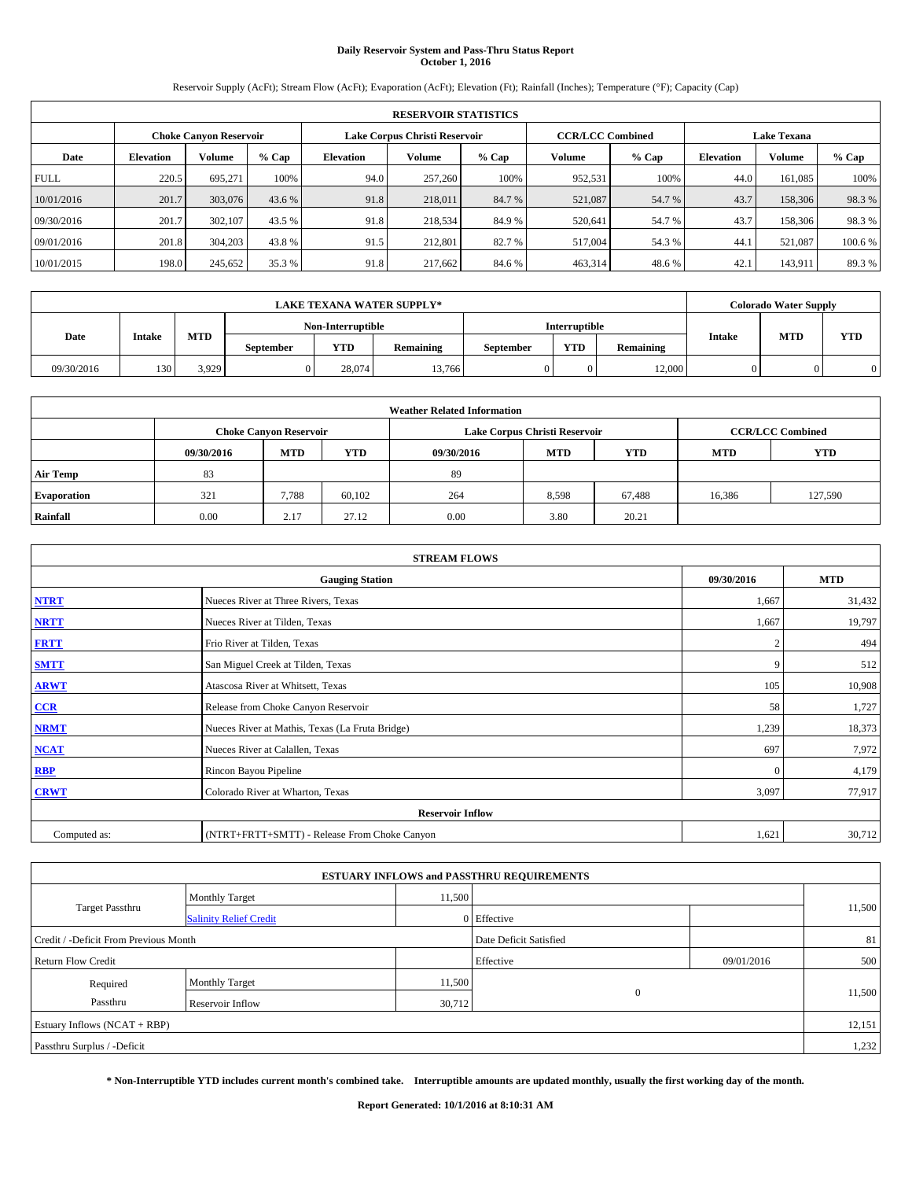# **Daily Reservoir System and Pass-Thru Status Report October 1, 2016**

Reservoir Supply (AcFt); Stream Flow (AcFt); Evaporation (AcFt); Elevation (Ft); Rainfall (Inches); Temperature (°F); Capacity (Cap)

|             | <b>RESERVOIR STATISTICS</b> |                               |         |                  |                               |         |                         |         |                    |               |         |
|-------------|-----------------------------|-------------------------------|---------|------------------|-------------------------------|---------|-------------------------|---------|--------------------|---------------|---------|
|             |                             | <b>Choke Canyon Reservoir</b> |         |                  | Lake Corpus Christi Reservoir |         | <b>CCR/LCC Combined</b> |         | <b>Lake Texana</b> |               |         |
| Date        | <b>Elevation</b>            | Volume                        | $%$ Cap | <b>Elevation</b> | Volume                        | $%$ Cap | Volume                  | $%$ Cap | <b>Elevation</b>   | <b>Volume</b> | $%$ Cap |
| <b>FULL</b> | 220.5                       | 695.271                       | 100%    | 94.0             | 257,260                       | 100%    | 952,531                 | 100%    | 44.0               | 161.085       | 100%    |
| 10/01/2016  | 201.7                       | 303,076                       | 43.6 %  | 91.8             | 218,011                       | 84.7%   | 521,087                 | 54.7 %  | 43.7               | 158,306       | 98.3%   |
| 09/30/2016  | 201.7                       | 302,107                       | 43.5 %  | 91.8             | 218,534                       | 84.9%   | 520.641                 | 54.7 %  | 43.7               | 158,306       | 98.3%   |
| 09/01/2016  | 201.8                       | 304,203                       | 43.8 %  | 91.5             | 212,801                       | 82.7 %  | 517,004                 | 54.3 %  | 44.1               | 521.087       | 100.6%  |
| 10/01/2015  | 198.0                       | 245,652                       | 35.3 %  | 91.8             | 217.662                       | 84.6 %  | 463,314                 | 48.6%   | 42.                | 143,911       | 89.3%   |

|            |               |            |                  |                         | <b>LAKE TEXANA WATER SUPPLY*</b> |  |                      |           |               | <b>Colorado Water Supply</b> |            |
|------------|---------------|------------|------------------|-------------------------|----------------------------------|--|----------------------|-----------|---------------|------------------------------|------------|
|            |               |            |                  | Non-Interruptible       |                                  |  | <b>Interruptible</b> |           |               |                              |            |
| Date       | <b>Intake</b> | <b>MTD</b> | <b>September</b> | <b>YTD</b><br>Remaining |                                  |  | <b>YTD</b>           | Remaining | <b>Intake</b> | <b>MTD</b>                   | <b>YTD</b> |
| 09/30/2016 | 130           | 3.929      | 0                | 28.074                  | 13.766                           |  |                      | 12.000    |               |                              |            |

| <b>Weather Related Information</b> |            |                               |            |            |                               |                         |            |            |  |  |
|------------------------------------|------------|-------------------------------|------------|------------|-------------------------------|-------------------------|------------|------------|--|--|
|                                    |            | <b>Choke Canyon Reservoir</b> |            |            | Lake Corpus Christi Reservoir | <b>CCR/LCC Combined</b> |            |            |  |  |
|                                    | 09/30/2016 | <b>MTD</b>                    | <b>YTD</b> | 09/30/2016 | <b>MTD</b>                    | <b>YTD</b>              | <b>MTD</b> | <b>YTD</b> |  |  |
| <b>Air Temp</b>                    | 83         |                               |            | 89         |                               |                         |            |            |  |  |
| <b>Evaporation</b>                 | 321        | 7,788                         | 60.102     | 264        | 8,598                         | 67.488                  | 16,386     | 127,590    |  |  |
| Rainfall                           | 0.00       | 2.17                          | 27.12      | 0.00       | 3.80                          | 20.21                   |            |            |  |  |

| <b>STREAM FLOWS</b> |                                                 |              |            |  |  |  |  |  |  |
|---------------------|-------------------------------------------------|--------------|------------|--|--|--|--|--|--|
|                     | <b>Gauging Station</b>                          | 09/30/2016   | <b>MTD</b> |  |  |  |  |  |  |
| <b>NTRT</b>         | Nueces River at Three Rivers, Texas             | 1,667        | 31,432     |  |  |  |  |  |  |
| <b>NRTT</b>         | Nueces River at Tilden, Texas                   | 1,667        | 19,797     |  |  |  |  |  |  |
| <b>FRTT</b>         | Frio River at Tilden, Texas                     |              | 494        |  |  |  |  |  |  |
| <b>SMTT</b>         | San Miguel Creek at Tilden, Texas               | 9            | 512        |  |  |  |  |  |  |
| <b>ARWT</b>         | Atascosa River at Whitsett, Texas               | 105          | 10,908     |  |  |  |  |  |  |
| $CCR$               | Release from Choke Canyon Reservoir             | 58           | 1,727      |  |  |  |  |  |  |
| <b>NRMT</b>         | Nueces River at Mathis, Texas (La Fruta Bridge) | 1,239        | 18,373     |  |  |  |  |  |  |
| <b>NCAT</b>         | Nueces River at Calallen, Texas                 | 697          | 7,972      |  |  |  |  |  |  |
| RBP                 | Rincon Bayou Pipeline                           | $\mathbf{0}$ | 4,179      |  |  |  |  |  |  |
| <b>CRWT</b>         | Colorado River at Wharton, Texas                | 3,097        | 77,917     |  |  |  |  |  |  |
|                     | <b>Reservoir Inflow</b>                         |              |            |  |  |  |  |  |  |
| Computed as:        | (NTRT+FRTT+SMTT) - Release From Choke Canyon    |              |            |  |  |  |  |  |  |

| <b>ESTUARY INFLOWS and PASSTHRU REQUIREMENTS</b> |                               |                        |             |            |        |  |  |  |  |  |
|--------------------------------------------------|-------------------------------|------------------------|-------------|------------|--------|--|--|--|--|--|
|                                                  | <b>Monthly Target</b>         | 11,500                 |             |            |        |  |  |  |  |  |
| Target Passthru                                  | <b>Salinity Relief Credit</b> |                        | 0 Effective |            | 11,500 |  |  |  |  |  |
| Credit / -Deficit From Previous Month            |                               | Date Deficit Satisfied |             | 81         |        |  |  |  |  |  |
| <b>Return Flow Credit</b>                        |                               |                        | Effective   | 09/01/2016 | 500    |  |  |  |  |  |
| Required                                         | <b>Monthly Target</b>         | 11,500                 |             |            |        |  |  |  |  |  |
| Passthru                                         | <b>Reservoir Inflow</b>       | 30,712                 | $\Omega$    |            | 11,500 |  |  |  |  |  |
| Estuary Inflows (NCAT + RBP)                     |                               |                        |             |            |        |  |  |  |  |  |
| Passthru Surplus / -Deficit                      |                               |                        |             |            |        |  |  |  |  |  |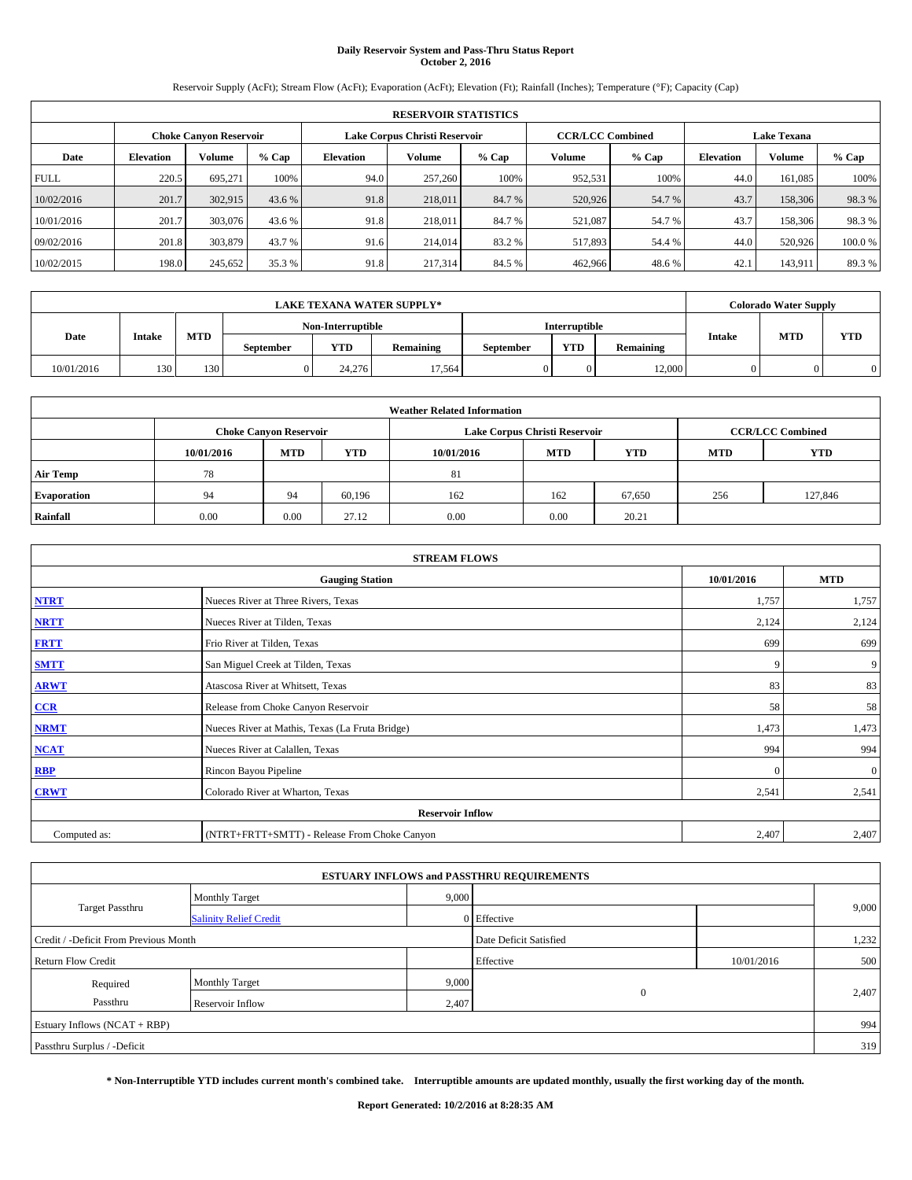# **Daily Reservoir System and Pass-Thru Status Report October 2, 2016**

Reservoir Supply (AcFt); Stream Flow (AcFt); Evaporation (AcFt); Elevation (Ft); Rainfall (Inches); Temperature (°F); Capacity (Cap)

|             | <b>RESERVOIR STATISTICS</b> |                        |         |                  |                               |         |                         |         |                    |               |        |
|-------------|-----------------------------|------------------------|---------|------------------|-------------------------------|---------|-------------------------|---------|--------------------|---------------|--------|
|             |                             | Choke Canvon Reservoir |         |                  | Lake Corpus Christi Reservoir |         | <b>CCR/LCC Combined</b> |         | <b>Lake Texana</b> |               |        |
| Date        | <b>Elevation</b>            | Volume                 | $%$ Cap | <b>Elevation</b> | <b>Volume</b>                 | $%$ Cap | Volume                  | $%$ Cap | <b>Elevation</b>   | <b>Volume</b> | % Cap  |
| <b>FULL</b> | 220.5                       | 695,271                | 100%    | 94.0             | 257,260                       | 100%    | 952,531                 | 100%    | 44.0               | 161.085       | 100%   |
| 10/02/2016  | 201.7                       | 302,915                | 43.6 %  | 91.8             | 218,011                       | 84.7 %  | 520,926                 | 54.7 %  | 43.7               | 158,306       | 98.3%  |
| 10/01/2016  | 201.7                       | 303,076                | 43.6 %  | 91.8             | 218,011                       | 84.7%   | 521,087                 | 54.7 %  | 43.7               | 158,306       | 98.3%  |
| 09/02/2016  | 201.8                       | 303,879                | 43.7 %  | 91.6             | 214,014                       | 83.2 %  | 517,893                 | 54.4 %  | 44.0               | 520,926       | 100.0% |
| 10/02/2015  | 198.0                       | 245,652                | 35.3 %  | 91.8             | 217,314                       | 84.5 %  | 462,966                 | 48.6%   | 42.                | 143.911       | 89.3%  |

|            | <b>LAKE TEXANA WATER SUPPLY*</b>                             |     |  |                   |           |                      |           |               |            | <b>Colorado Water Supply</b> |          |  |
|------------|--------------------------------------------------------------|-----|--|-------------------|-----------|----------------------|-----------|---------------|------------|------------------------------|----------|--|
|            |                                                              |     |  | Non-Interruptible |           | <b>Interruptible</b> |           |               |            |                              |          |  |
| Date       | <b>MTD</b><br><b>Intake</b><br>YTD<br>Remaining<br>September |     |  |                   | September | <b>YTD</b>           | Remaining | <b>Intake</b> | <b>MTD</b> | <b>YTD</b>                   |          |  |
| 10/01/2016 | 130                                                          | 130 |  | 24,276            | 17,564    |                      |           | 12,000        |            |                              | $\Omega$ |  |

|                    | <b>Weather Related Information</b> |                               |            |            |                               |                         |            |            |  |  |  |
|--------------------|------------------------------------|-------------------------------|------------|------------|-------------------------------|-------------------------|------------|------------|--|--|--|
|                    |                                    | <b>Choke Canyon Reservoir</b> |            |            | Lake Corpus Christi Reservoir | <b>CCR/LCC Combined</b> |            |            |  |  |  |
|                    | 10/01/2016                         | <b>MTD</b>                    | <b>YTD</b> | 10/01/2016 | <b>MTD</b>                    | <b>YTD</b>              | <b>MTD</b> | <b>YTD</b> |  |  |  |
| <b>Air Temp</b>    | 78                                 |                               |            | 81         |                               |                         |            |            |  |  |  |
| <b>Evaporation</b> | 94                                 | 94                            | 60.196     | 162        | 162                           | 67,650                  | 256        | 127,846    |  |  |  |
| Rainfall           | 0.00                               | 0.00                          | 27.12      | 0.00       | 0.00                          | 20.21                   |            |            |  |  |  |

| <b>STREAM FLOWS</b> |                                                 |            |                |  |  |  |  |  |  |
|---------------------|-------------------------------------------------|------------|----------------|--|--|--|--|--|--|
|                     | <b>Gauging Station</b>                          | 10/01/2016 | <b>MTD</b>     |  |  |  |  |  |  |
| <b>NTRT</b>         | Nueces River at Three Rivers, Texas             | 1,757      | 1,757          |  |  |  |  |  |  |
| <b>NRTT</b>         | Nueces River at Tilden, Texas                   | 2,124      | 2,124          |  |  |  |  |  |  |
| <b>FRTT</b>         | Frio River at Tilden, Texas                     | 699        | 699            |  |  |  |  |  |  |
| <b>SMTT</b>         | San Miguel Creek at Tilden, Texas               | 9          | 9              |  |  |  |  |  |  |
| <b>ARWT</b>         | Atascosa River at Whitsett, Texas               | 83         | 83             |  |  |  |  |  |  |
| CCR                 | Release from Choke Canyon Reservoir             | 58         | 58             |  |  |  |  |  |  |
| <b>NRMT</b>         | Nueces River at Mathis, Texas (La Fruta Bridge) | 1,473      | 1,473          |  |  |  |  |  |  |
| <b>NCAT</b>         | Nueces River at Calallen, Texas                 | 994        | 994            |  |  |  |  |  |  |
| RBP                 | Rincon Bayou Pipeline                           | $\Omega$   | $\overline{0}$ |  |  |  |  |  |  |
| <b>CRWT</b>         | Colorado River at Wharton, Texas                | 2,541      | 2,541          |  |  |  |  |  |  |
|                     | <b>Reservoir Inflow</b>                         |            |                |  |  |  |  |  |  |
| Computed as:        | (NTRT+FRTT+SMTT) - Release From Choke Canyon    | 2,407      | 2,407          |  |  |  |  |  |  |

| <b>ESTUARY INFLOWS and PASSTHRU REQUIREMENTS</b> |                               |                        |                   |            |       |  |  |  |  |  |
|--------------------------------------------------|-------------------------------|------------------------|-------------------|------------|-------|--|--|--|--|--|
|                                                  | <b>Monthly Target</b>         | 9,000                  |                   |            |       |  |  |  |  |  |
| <b>Target Passthru</b>                           | <b>Salinity Relief Credit</b> |                        | 0 Effective       |            | 9,000 |  |  |  |  |  |
| Credit / -Deficit From Previous Month            |                               | Date Deficit Satisfied |                   | 1,232      |       |  |  |  |  |  |
| <b>Return Flow Credit</b>                        |                               |                        | Effective         | 10/01/2016 | 500   |  |  |  |  |  |
| Required                                         | <b>Monthly Target</b>         | 9,000                  |                   |            |       |  |  |  |  |  |
| Passthru<br>Reservoir Inflow                     |                               |                        | $\theta$<br>2,407 |            | 2,407 |  |  |  |  |  |
| Estuary Inflows (NCAT + RBP)                     |                               |                        |                   |            | 994   |  |  |  |  |  |
| Passthru Surplus / -Deficit                      |                               |                        |                   |            | 319   |  |  |  |  |  |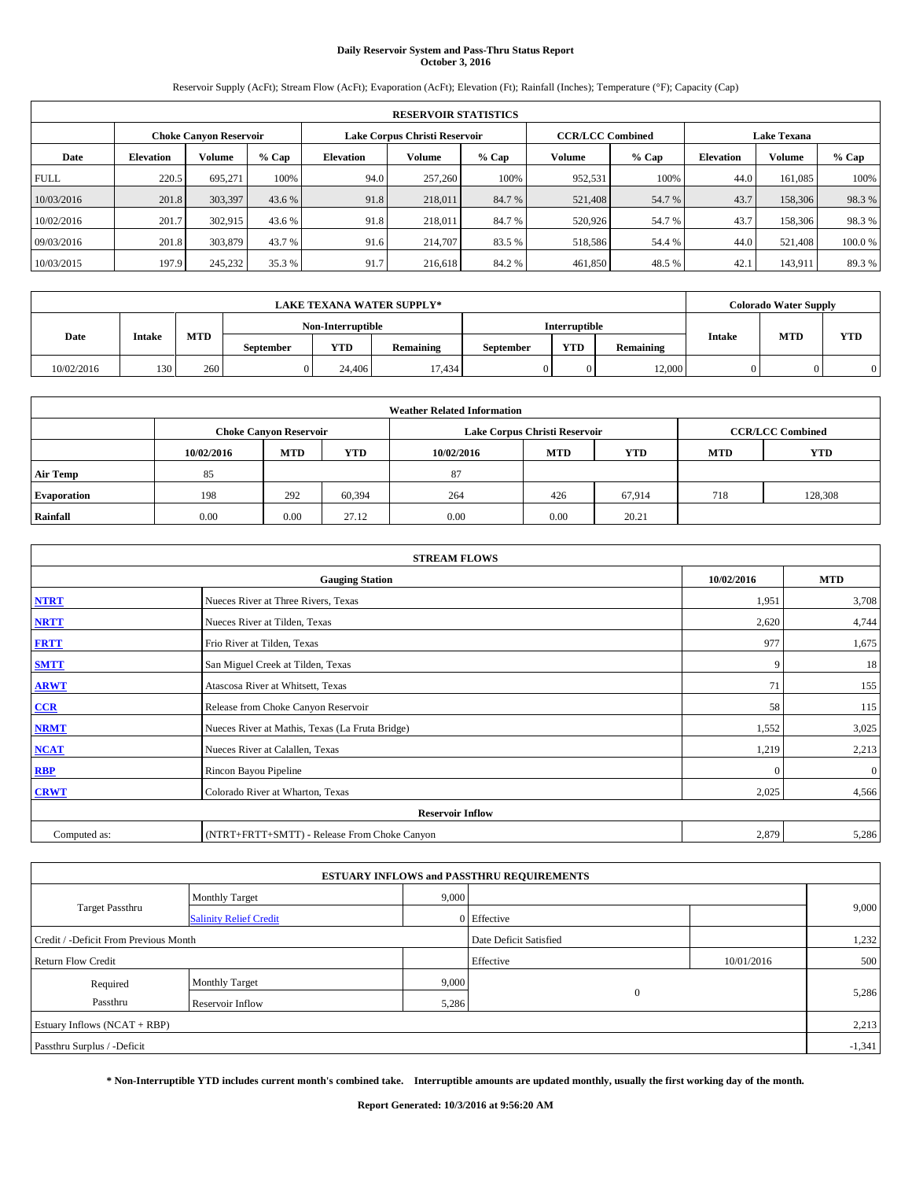# **Daily Reservoir System and Pass-Thru Status Report October 3, 2016**

Reservoir Supply (AcFt); Stream Flow (AcFt); Evaporation (AcFt); Elevation (Ft); Rainfall (Inches); Temperature (°F); Capacity (Cap)

|             | <b>RESERVOIR STATISTICS</b> |                        |         |                  |                               |         |                         |         |                  |                    |        |  |
|-------------|-----------------------------|------------------------|---------|------------------|-------------------------------|---------|-------------------------|---------|------------------|--------------------|--------|--|
|             |                             | Choke Canvon Reservoir |         |                  | Lake Corpus Christi Reservoir |         | <b>CCR/LCC Combined</b> |         |                  | <b>Lake Texana</b> |        |  |
| Date        | <b>Elevation</b>            | Volume                 | $%$ Cap | <b>Elevation</b> | <b>Volume</b>                 | $%$ Cap | Volume                  | $%$ Cap | <b>Elevation</b> | <b>Volume</b>      | % Cap  |  |
| <b>FULL</b> | 220.5                       | 695,271                | 100%    | 94.0             | 257,260                       | 100%    | 952,531                 | 100%    | 44.0             | 161.085            | 100%   |  |
| 10/03/2016  | 201.8                       | 303,397                | 43.6 %  | 91.8             | 218,011                       | 84.7 %  | 521,408                 | 54.7 %  | 43.7             | 158,306            | 98.3%  |  |
| 10/02/2016  | 201.7                       | 302,915                | 43.6 %  | 91.8             | 218,011                       | 84.7%   | 520,926                 | 54.7 %  | 43.7             | 158,306            | 98.3%  |  |
| 09/03/2016  | 201.8                       | 303,879                | 43.7 %  | 91.6             | 214,707                       | 83.5 %  | 518,586                 | 54.4 %  | 44.0             | 521.408            | 100.0% |  |
| 10/03/2015  | 197.9                       | 245,232                | 35.3 %  | 91.7             | 216,618                       | 84.2%   | 461,850                 | 48.5 %  | 42.              | 143.911            | 89.3%  |  |

|                                                                             | <b>LAKE TEXANA WATER SUPPLY*</b> |                   |  |               |           |            |           |               |            | <b>Colorado Water Supply</b> |  |
|-----------------------------------------------------------------------------|----------------------------------|-------------------|--|---------------|-----------|------------|-----------|---------------|------------|------------------------------|--|
|                                                                             |                                  | Non-Interruptible |  | Interruptible |           |            |           |               |            |                              |  |
| <b>MTD</b><br><b>Date</b><br><b>Intake</b><br>VTD<br>Remaining<br>September |                                  |                   |  |               | September | <b>YTD</b> | Remaining | <b>Intake</b> | <b>MTD</b> | <b>YTD</b>                   |  |
| 10/02/2016                                                                  | 130                              | 260               |  | 24,406        | 17.434    |            |           | 12,000        |            |                              |  |

| <b>Weather Related Information</b> |            |                               |            |            |                               |                         |            |            |  |
|------------------------------------|------------|-------------------------------|------------|------------|-------------------------------|-------------------------|------------|------------|--|
|                                    |            | <b>Choke Canyon Reservoir</b> |            |            | Lake Corpus Christi Reservoir | <b>CCR/LCC Combined</b> |            |            |  |
|                                    | 10/02/2016 | <b>MTD</b>                    | <b>YTD</b> | 10/02/2016 | <b>MTD</b>                    | <b>YTD</b>              | <b>MTD</b> | <b>YTD</b> |  |
| <b>Air Temp</b>                    | 85         |                               |            | 87         |                               |                         |            |            |  |
| <b>Evaporation</b>                 | 198        | 292                           | 60,394     | 264        | 426                           | 67.914                  | 718        | 128,308    |  |
| Rainfall                           | 0.00       | 0.00                          | 27.12      | 0.00       | 0.00                          | 20.21                   |            |            |  |

| <b>STREAM FLOWS</b> |                                                 |              |              |  |  |  |  |  |  |
|---------------------|-------------------------------------------------|--------------|--------------|--|--|--|--|--|--|
|                     | <b>Gauging Station</b>                          | 10/02/2016   | <b>MTD</b>   |  |  |  |  |  |  |
| <b>NTRT</b>         | Nueces River at Three Rivers, Texas             | 1,951        | 3,708        |  |  |  |  |  |  |
| <b>NRTT</b>         | Nueces River at Tilden, Texas                   | 2,620        | 4,744        |  |  |  |  |  |  |
| <b>FRTT</b>         | Frio River at Tilden, Texas                     | 977          | 1,675        |  |  |  |  |  |  |
| <b>SMTT</b>         | San Miguel Creek at Tilden, Texas               | 9            | 18           |  |  |  |  |  |  |
| <b>ARWT</b>         | Atascosa River at Whitsett, Texas               | 71           | 155          |  |  |  |  |  |  |
| $CCR$               | Release from Choke Canyon Reservoir             | 58           | 115          |  |  |  |  |  |  |
| <b>NRMT</b>         | Nueces River at Mathis, Texas (La Fruta Bridge) | 1,552        | 3,025        |  |  |  |  |  |  |
| <b>NCAT</b>         | Nueces River at Calallen, Texas                 | 1,219        | 2,213        |  |  |  |  |  |  |
| RBP                 | Rincon Bayou Pipeline                           | $\mathbf{0}$ | $\mathbf{0}$ |  |  |  |  |  |  |
| <b>CRWT</b>         | Colorado River at Wharton, Texas                | 2,025        | 4,566        |  |  |  |  |  |  |
|                     | <b>Reservoir Inflow</b>                         |              |              |  |  |  |  |  |  |
| Computed as:        | (NTRT+FRTT+SMTT) - Release From Choke Canyon    | 2,879        | 5,286        |  |  |  |  |  |  |

|                                       |                               |       | <b>ESTUARY INFLOWS and PASSTHRU REQUIREMENTS</b> |            |       |  |  |  |
|---------------------------------------|-------------------------------|-------|--------------------------------------------------|------------|-------|--|--|--|
|                                       | <b>Monthly Target</b>         | 9,000 |                                                  |            |       |  |  |  |
| Target Passthru                       | <b>Salinity Relief Credit</b> |       | 0 Effective                                      |            | 9,000 |  |  |  |
| Credit / -Deficit From Previous Month |                               |       | Date Deficit Satisfied                           |            | 1,232 |  |  |  |
| <b>Return Flow Credit</b>             |                               |       | Effective                                        | 10/01/2016 | 500   |  |  |  |
| Required                              | <b>Monthly Target</b>         | 9,000 |                                                  |            |       |  |  |  |
| Passthru                              | <b>Reservoir Inflow</b>       | 5,286 | $\Omega$                                         |            | 5,286 |  |  |  |
| Estuary Inflows (NCAT + RBP)          |                               |       |                                                  |            |       |  |  |  |
| Passthru Surplus / -Deficit           |                               |       |                                                  |            |       |  |  |  |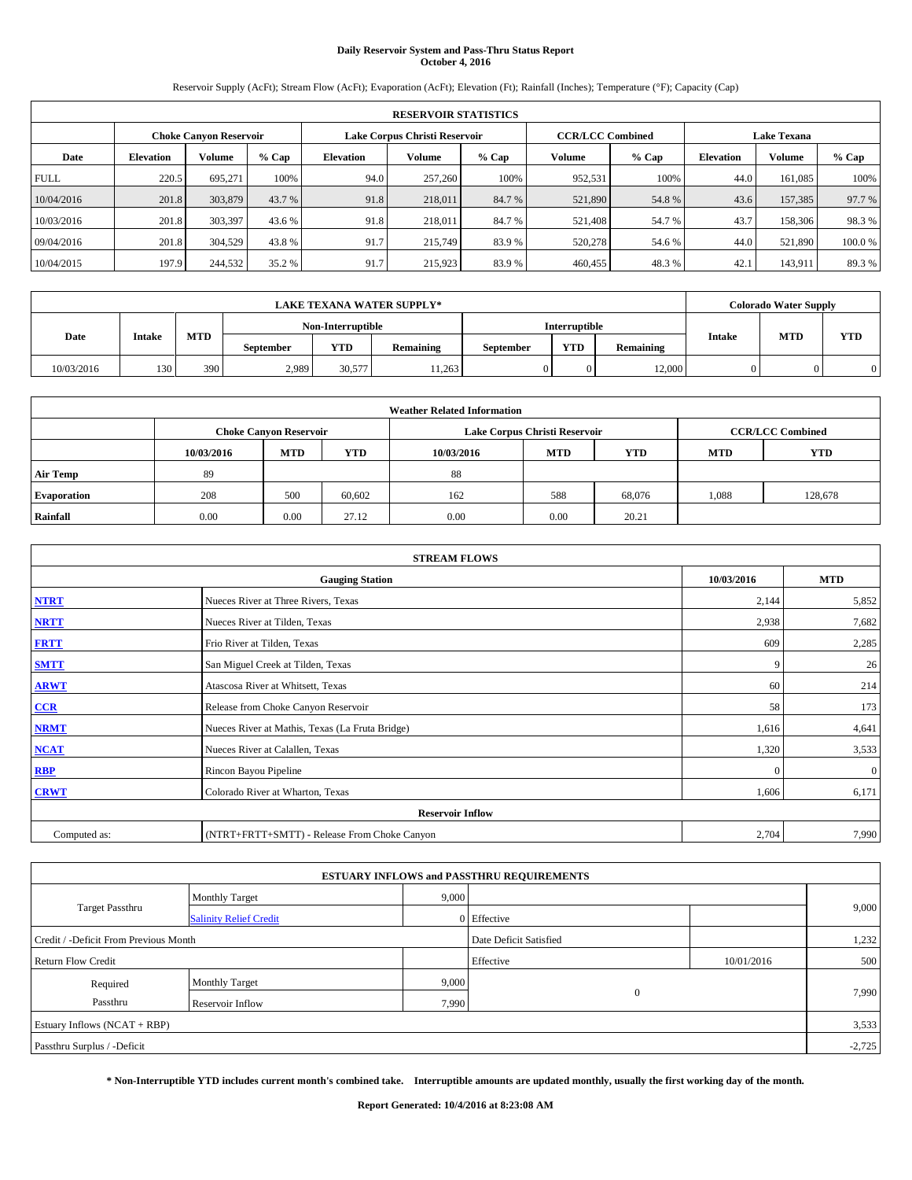# **Daily Reservoir System and Pass-Thru Status Report October 4, 2016**

Reservoir Supply (AcFt); Stream Flow (AcFt); Evaporation (AcFt); Elevation (Ft); Rainfall (Inches); Temperature (°F); Capacity (Cap)

|             | <b>RESERVOIR STATISTICS</b> |                        |         |                  |                               |         |                         |         |                  |                    |        |
|-------------|-----------------------------|------------------------|---------|------------------|-------------------------------|---------|-------------------------|---------|------------------|--------------------|--------|
|             |                             | Choke Canvon Reservoir |         |                  | Lake Corpus Christi Reservoir |         | <b>CCR/LCC Combined</b> |         |                  | <b>Lake Texana</b> |        |
| Date        | <b>Elevation</b>            | Volume                 | $%$ Cap | <b>Elevation</b> | <b>Volume</b>                 | $%$ Cap | Volume                  | $%$ Cap | <b>Elevation</b> | <b>Volume</b>      | % Cap  |
| <b>FULL</b> | 220.5                       | 695,271                | 100%    | 94.0             | 257,260                       | 100%    | 952,531                 | 100%    | 44.0             | 161.085            | 100%   |
| 10/04/2016  | 201.8                       | 303,879                | 43.7 %  | 91.8             | 218,011                       | 84.7 %  | 521,890                 | 54.8%   | 43.6             | 157,385            | 97.7 % |
| 10/03/2016  | 201.8                       | 303,397                | 43.6 %  | 91.8             | 218,011                       | 84.7%   | 521,408                 | 54.7 %  | 43.7             | 158,306            | 98.3%  |
| 09/04/2016  | 201.8                       | 304.529                | 43.8%   | 91.7             | 215,749                       | 83.9%   | 520,278                 | 54.6 %  | 44.0             | 521.890            | 100.0% |
| 10/04/2015  | 197.9                       | 244,532                | 35.2 %  | 91.7             | 215,923                       | 83.9%   | 460,455                 | 48.3%   | 42.              | 143.911            | 89.3%  |

| <b>LAKE TEXANA WATER SUPPLY*</b> |        |            |           |                   |           |           |                      |           |               | <b>Colorado Water Supply</b> |            |
|----------------------------------|--------|------------|-----------|-------------------|-----------|-----------|----------------------|-----------|---------------|------------------------------|------------|
|                                  |        |            |           | Non-Interruptible |           |           | <b>Interruptible</b> |           |               |                              |            |
| <b>Date</b>                      | Intake | <b>MTD</b> | September | <b>YTD</b>        | Remaining | September | <b>YTD</b>           | Remaining | <b>Intake</b> | <b>MTD</b>                   | <b>YTD</b> |
| 10/03/2016                       | 130    | 390        | 2,989     | 30.577            | 11.263    |           |                      | 12,000    |               |                              |            |

| <b>Weather Related Information</b> |            |                               |            |            |                               |                         |            |            |  |
|------------------------------------|------------|-------------------------------|------------|------------|-------------------------------|-------------------------|------------|------------|--|
|                                    |            | <b>Choke Canyon Reservoir</b> |            |            | Lake Corpus Christi Reservoir | <b>CCR/LCC Combined</b> |            |            |  |
|                                    | 10/03/2016 | <b>MTD</b>                    | <b>YTD</b> | 10/03/2016 | <b>MTD</b>                    | <b>YTD</b>              | <b>MTD</b> | <b>YTD</b> |  |
| <b>Air Temp</b>                    | 89         |                               |            | 88         |                               |                         |            |            |  |
| <b>Evaporation</b>                 | 208        | 500                           | 60,602     | 162        | 588                           | 68,076                  | 1,088      | 128,678    |  |
| Rainfall                           | 0.00       | 0.00                          | 27.12      | 0.00       | 0.00                          | 20.21                   |            |            |  |

| <b>STREAM FLOWS</b> |                                                 |            |              |  |  |  |  |  |  |
|---------------------|-------------------------------------------------|------------|--------------|--|--|--|--|--|--|
|                     | <b>Gauging Station</b>                          | 10/03/2016 | <b>MTD</b>   |  |  |  |  |  |  |
| <b>NTRT</b>         | Nueces River at Three Rivers, Texas             | 2,144      | 5,852        |  |  |  |  |  |  |
| <b>NRTT</b>         | Nueces River at Tilden, Texas                   | 2,938      | 7,682        |  |  |  |  |  |  |
| <b>FRTT</b>         | Frio River at Tilden, Texas                     | 609        | 2,285        |  |  |  |  |  |  |
| <b>SMTT</b>         | San Miguel Creek at Tilden, Texas               | 9          | 26           |  |  |  |  |  |  |
| <b>ARWT</b>         | Atascosa River at Whitsett, Texas               | 60         | 214          |  |  |  |  |  |  |
| $CCR$               | Release from Choke Canyon Reservoir             | 58         | 173          |  |  |  |  |  |  |
| <b>NRMT</b>         | Nueces River at Mathis, Texas (La Fruta Bridge) | 1,616      | 4,641        |  |  |  |  |  |  |
| <b>NCAT</b>         | Nueces River at Calallen, Texas                 | 1,320      | 3,533        |  |  |  |  |  |  |
| <b>RBP</b>          | Rincon Bayou Pipeline                           | $\Omega$   | $\mathbf{0}$ |  |  |  |  |  |  |
| <b>CRWT</b>         | Colorado River at Wharton, Texas                | 1,606      | 6,171        |  |  |  |  |  |  |
|                     | <b>Reservoir Inflow</b>                         |            |              |  |  |  |  |  |  |
| Computed as:        | (NTRT+FRTT+SMTT) - Release From Choke Canyon    | 2,704      | 7,990        |  |  |  |  |  |  |

|                                       |                               |       | <b>ESTUARY INFLOWS and PASSTHRU REQUIREMENTS</b> |            |       |  |  |  |
|---------------------------------------|-------------------------------|-------|--------------------------------------------------|------------|-------|--|--|--|
|                                       | <b>Monthly Target</b>         | 9,000 |                                                  |            |       |  |  |  |
| <b>Target Passthru</b>                | <b>Salinity Relief Credit</b> |       | 0 Effective                                      |            | 9,000 |  |  |  |
| Credit / -Deficit From Previous Month |                               |       | Date Deficit Satisfied                           |            | 1,232 |  |  |  |
| <b>Return Flow Credit</b>             |                               |       | Effective                                        | 10/01/2016 | 500   |  |  |  |
| Required                              | <b>Monthly Target</b>         | 9,000 |                                                  |            |       |  |  |  |
| Passthru                              | Reservoir Inflow              | 7,990 | $\Omega$                                         |            | 7,990 |  |  |  |
| Estuary Inflows $(NCAT + RBP)$        |                               |       |                                                  |            |       |  |  |  |
| Passthru Surplus / -Deficit           |                               |       |                                                  |            |       |  |  |  |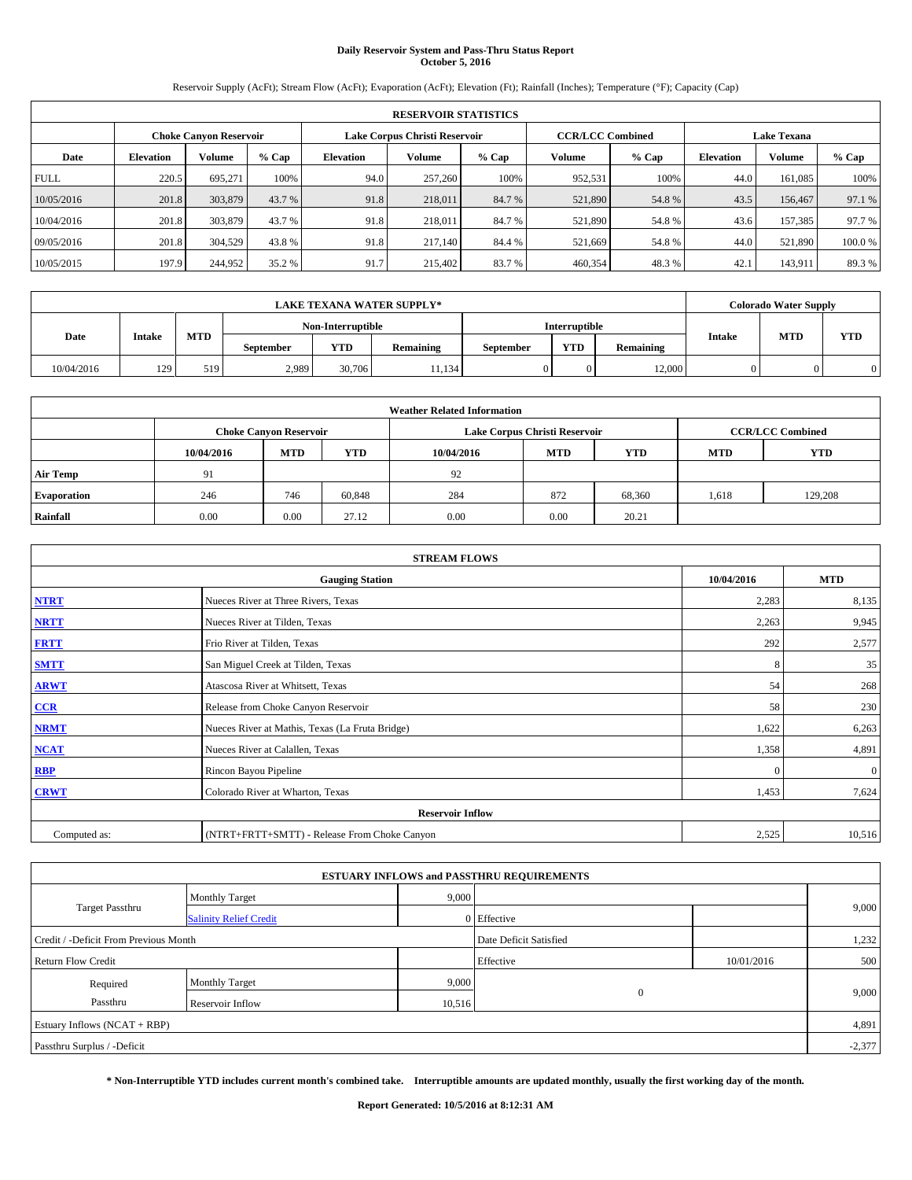# **Daily Reservoir System and Pass-Thru Status Report October 5, 2016**

Reservoir Supply (AcFt); Stream Flow (AcFt); Evaporation (AcFt); Elevation (Ft); Rainfall (Inches); Temperature (°F); Capacity (Cap)

|             | <b>RESERVOIR STATISTICS</b> |                        |         |                  |                               |         |                         |         |                  |                    |        |  |
|-------------|-----------------------------|------------------------|---------|------------------|-------------------------------|---------|-------------------------|---------|------------------|--------------------|--------|--|
|             |                             | Choke Canvon Reservoir |         |                  | Lake Corpus Christi Reservoir |         | <b>CCR/LCC Combined</b> |         |                  | <b>Lake Texana</b> |        |  |
| Date        | <b>Elevation</b>            | Volume                 | $%$ Cap | <b>Elevation</b> | <b>Volume</b>                 | $%$ Cap | Volume                  | $%$ Cap | <b>Elevation</b> | <b>Volume</b>      | % Cap  |  |
| <b>FULL</b> | 220.5                       | 695,271                | 100%    | 94.0             | 257,260                       | 100%    | 952,531                 | 100%    | 44.0             | 161.085            | 100%   |  |
| 10/05/2016  | 201.8                       | 303,879                | 43.7 %  | 91.8             | 218,011                       | 84.7 %  | 521,890                 | 54.8%   | 43.5             | 156,467            | 97.1 % |  |
| 10/04/2016  | 201.8                       | 303,879                | 43.7 %  | 91.8             | 218,011                       | 84.7%   | 521,890                 | 54.8%   | 43.6             | 157.385            | 97.7 % |  |
| 09/05/2016  | 201.8                       | 304.529                | 43.8%   | 91.8             | 217,140                       | 84.4 %  | 521,669                 | 54.8%   | 44.0             | 521.890            | 100.0% |  |
| 10/05/2015  | 197.9                       | 244,952                | 35.2 %  | 91.7             | 215,402                       | 83.7%   | 460,354                 | 48.3%   | 42.              | 143.911            | 89.3%  |  |

| <b>LAKE TEXANA WATER SUPPLY*</b> |        |            |           |                   |           |           |                      |           |               | <b>Colorado Water Supply</b> |            |
|----------------------------------|--------|------------|-----------|-------------------|-----------|-----------|----------------------|-----------|---------------|------------------------------|------------|
|                                  |        |            |           | Non-Interruptible |           |           | <b>Interruptible</b> |           |               |                              |            |
| <b>Date</b>                      | Intake | <b>MTD</b> | September | <b>YTD</b>        | Remaining | September | <b>YTD</b>           | Remaining | <b>Intake</b> | <b>MTD</b>                   | <b>YTD</b> |
| 10/04/2016                       | 129    | 519        | 2.989     | 30,706            | 11,134    |           |                      | 12,000    |               |                              |            |

| <b>Weather Related Information</b> |            |                               |            |            |                               |                         |            |            |  |
|------------------------------------|------------|-------------------------------|------------|------------|-------------------------------|-------------------------|------------|------------|--|
|                                    |            | <b>Choke Canyon Reservoir</b> |            |            | Lake Corpus Christi Reservoir | <b>CCR/LCC Combined</b> |            |            |  |
|                                    | 10/04/2016 | <b>MTD</b>                    | <b>YTD</b> | 10/04/2016 | <b>MTD</b>                    | <b>YTD</b>              | <b>MTD</b> | <b>YTD</b> |  |
| <b>Air Temp</b>                    | 91         |                               |            | 92         |                               |                         |            |            |  |
| <b>Evaporation</b>                 | 246        | 746                           | 60,848     | 284        | 872                           | 68,360                  | 1,618      | 129,208    |  |
| Rainfall                           | 0.00       | 0.00                          | 27.12      | 0.00       | 0.00                          | 20.21                   |            |            |  |

| <b>STREAM FLOWS</b> |                                                 |              |              |  |  |  |  |  |  |
|---------------------|-------------------------------------------------|--------------|--------------|--|--|--|--|--|--|
|                     | 10/04/2016                                      | <b>MTD</b>   |              |  |  |  |  |  |  |
| <b>NTRT</b>         | Nueces River at Three Rivers, Texas             | 2,283        | 8,135        |  |  |  |  |  |  |
| <b>NRTT</b>         | Nueces River at Tilden, Texas                   | 2,263        | 9,945        |  |  |  |  |  |  |
| <b>FRTT</b>         | Frio River at Tilden, Texas                     | 292          | 2,577        |  |  |  |  |  |  |
| <b>SMTT</b>         | San Miguel Creek at Tilden, Texas               | 8            | 35           |  |  |  |  |  |  |
| <b>ARWT</b>         | Atascosa River at Whitsett, Texas               | 54           | 268          |  |  |  |  |  |  |
| $CCR$               | Release from Choke Canyon Reservoir             | 58           | 230          |  |  |  |  |  |  |
| <b>NRMT</b>         | Nueces River at Mathis, Texas (La Fruta Bridge) | 1,622        | 6,263        |  |  |  |  |  |  |
| <b>NCAT</b>         | Nueces River at Calallen, Texas                 | 1,358        | 4,891        |  |  |  |  |  |  |
| RBP                 | Rincon Bayou Pipeline                           | $\mathbf{0}$ | $\mathbf{0}$ |  |  |  |  |  |  |
| <b>CRWT</b>         | Colorado River at Wharton, Texas                | 1,453        | 7,624        |  |  |  |  |  |  |
|                     | <b>Reservoir Inflow</b>                         |              |              |  |  |  |  |  |  |
| Computed as:        | (NTRT+FRTT+SMTT) - Release From Choke Canyon    | 2,525        | 10,516       |  |  |  |  |  |  |

| <b>ESTUARY INFLOWS and PASSTHRU REQUIREMENTS</b> |                               |           |                        |     |       |  |  |  |  |  |
|--------------------------------------------------|-------------------------------|-----------|------------------------|-----|-------|--|--|--|--|--|
|                                                  | <b>Monthly Target</b>         | 9,000     |                        |     |       |  |  |  |  |  |
| Target Passthru                                  | <b>Salinity Relief Credit</b> |           | 0 Effective            |     | 9,000 |  |  |  |  |  |
| Credit / -Deficit From Previous Month            |                               |           | Date Deficit Satisfied |     | 1,232 |  |  |  |  |  |
| <b>Return Flow Credit</b>                        |                               | Effective | 10/01/2016             | 500 |       |  |  |  |  |  |
| Required                                         | <b>Monthly Target</b>         | 9,000     |                        |     |       |  |  |  |  |  |
| Passthru                                         | Reservoir Inflow              | 10,516    | $\overline{0}$         |     | 9,000 |  |  |  |  |  |
| Estuary Inflows $(NCAT + RBP)$                   |                               |           |                        |     |       |  |  |  |  |  |
| Passthru Surplus / -Deficit                      |                               |           |                        |     |       |  |  |  |  |  |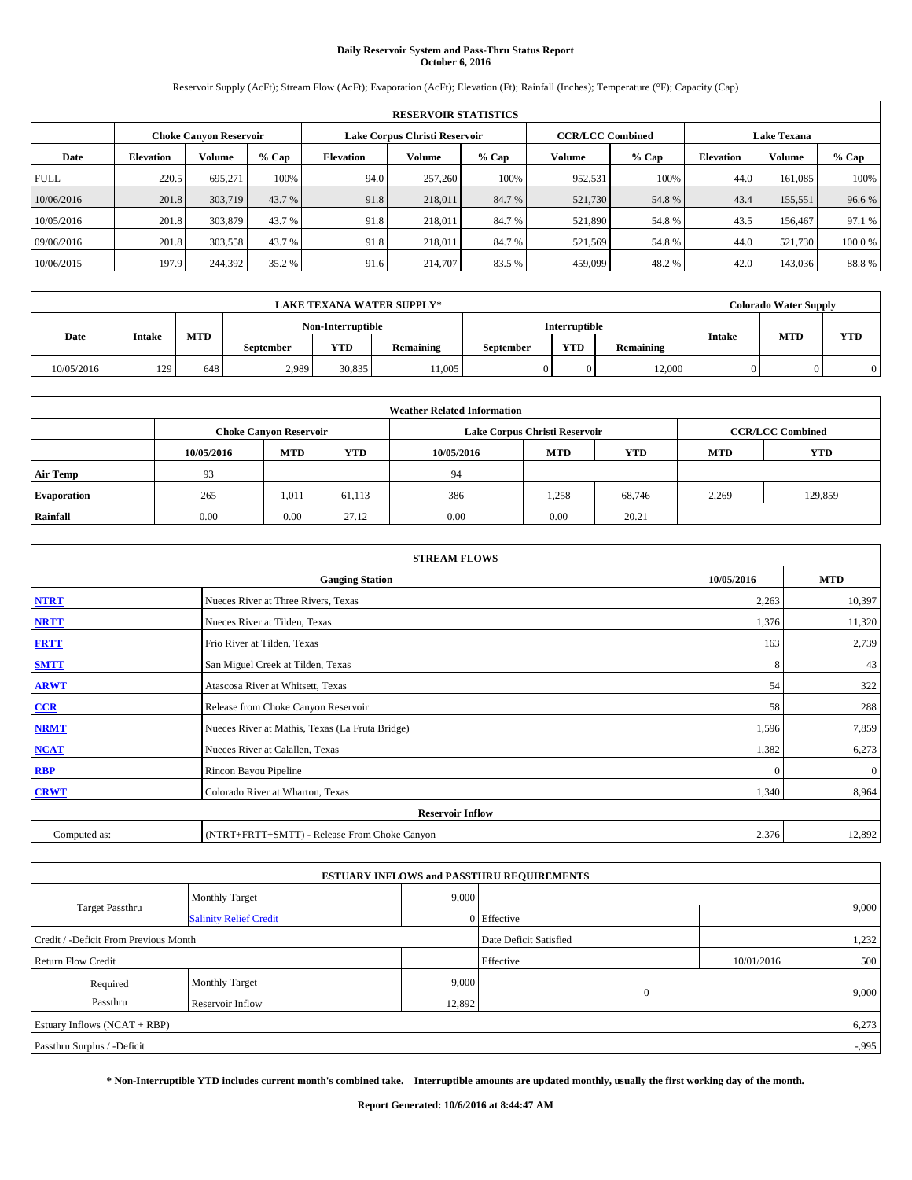# **Daily Reservoir System and Pass-Thru Status Report October 6, 2016**

Reservoir Supply (AcFt); Stream Flow (AcFt); Evaporation (AcFt); Elevation (Ft); Rainfall (Inches); Temperature (°F); Capacity (Cap)

|             | <b>RESERVOIR STATISTICS</b> |                        |         |                  |                               |         |                                               |         |                  |               |        |  |
|-------------|-----------------------------|------------------------|---------|------------------|-------------------------------|---------|-----------------------------------------------|---------|------------------|---------------|--------|--|
|             |                             | Choke Canvon Reservoir |         |                  | Lake Corpus Christi Reservoir |         | <b>CCR/LCC Combined</b><br><b>Lake Texana</b> |         |                  |               |        |  |
| Date        | <b>Elevation</b>            | Volume                 | $%$ Cap | <b>Elevation</b> | <b>Volume</b>                 | $%$ Cap | Volume                                        | $%$ Cap | <b>Elevation</b> | <b>Volume</b> | % Cap  |  |
| <b>FULL</b> | 220.5                       | 695,271                | 100%    | 94.0             | 257,260                       | 100%    | 952,531                                       | 100%    | 44.0             | 161.085       | 100%   |  |
| 10/06/2016  | 201.8                       | 303,719                | 43.7 %  | 91.8             | 218,011                       | 84.7 %  | 521,730                                       | 54.8%   | 43.4             | 155,551       | 96.6%  |  |
| 10/05/2016  | 201.8                       | 303,879                | 43.7 %  | 91.8             | 218,011                       | 84.7%   | 521,890                                       | 54.8%   | 43.5             | 156,467       | 97.1 % |  |
| 09/06/2016  | 201.8                       | 303,558                | 43.7 %  | 91.8             | 218,011                       | 84.7%   | 521,569                                       | 54.8%   | 44.0             | 521.730       | 100.0% |  |
| 10/06/2015  | 197.9                       | 244,392                | 35.2 %  | 91.6             | 214,707                       | 83.5 %  | 459,099                                       | 48.2%   | 42.0             | 143,036       | 88.8%  |  |

|             |        |            |                   |                                                                                  | <b>LAKE TEXANA WATER SUPPLY*</b> |                      |  |        | <b>Colorado Water Supply</b> |  |
|-------------|--------|------------|-------------------|----------------------------------------------------------------------------------|----------------------------------|----------------------|--|--------|------------------------------|--|
|             |        |            | Non-Interruptible |                                                                                  |                                  | <b>Interruptible</b> |  |        |                              |  |
| <b>Date</b> | Intake | <b>MTD</b> | September         | <b>Intake</b><br><b>YTD</b><br><b>YTD</b><br>Remaining<br>Remaining<br>September | <b>MTD</b>                       | <b>YTD</b>           |  |        |                              |  |
| 10/05/2016  | 129    | 648        | 2.989             | 30,835                                                                           | 11,005                           |                      |  | 12,000 |                              |  |

| <b>Weather Related Information</b> |            |                                                                                  |        |      |                               |        |                         |         |  |  |
|------------------------------------|------------|----------------------------------------------------------------------------------|--------|------|-------------------------------|--------|-------------------------|---------|--|--|
|                                    |            | <b>Choke Canyon Reservoir</b>                                                    |        |      | Lake Corpus Christi Reservoir |        | <b>CCR/LCC Combined</b> |         |  |  |
|                                    | 10/05/2016 | <b>YTD</b><br><b>MTD</b><br><b>MTD</b><br>10/05/2016<br><b>YTD</b><br><b>MTD</b> |        |      |                               |        |                         |         |  |  |
| <b>Air Temp</b>                    | 93         |                                                                                  |        | 94   |                               |        |                         |         |  |  |
| <b>Evaporation</b>                 | 265        | 1,011                                                                            | 61,113 | 386  | 1.258                         | 68.746 | 2,269                   | 129.859 |  |  |
| Rainfall                           | 0.00       | 0.00                                                                             | 27.12  | 0.00 | 0.00                          | 20.21  |                         |         |  |  |

| <b>STREAM FLOWS</b> |                                                 |            |              |  |  |  |  |  |  |
|---------------------|-------------------------------------------------|------------|--------------|--|--|--|--|--|--|
|                     | <b>Gauging Station</b>                          | 10/05/2016 | <b>MTD</b>   |  |  |  |  |  |  |
| <b>NTRT</b>         | Nueces River at Three Rivers, Texas             | 2,263      | 10,397       |  |  |  |  |  |  |
| <b>NRTT</b>         | Nueces River at Tilden, Texas                   | 1,376      | 11,320       |  |  |  |  |  |  |
| <b>FRTT</b>         | Frio River at Tilden, Texas                     | 163        | 2,739        |  |  |  |  |  |  |
| <b>SMTT</b>         | San Miguel Creek at Tilden, Texas               | 8          | 43           |  |  |  |  |  |  |
| <b>ARWT</b>         | Atascosa River at Whitsett, Texas               | 54         | 322          |  |  |  |  |  |  |
| $CCR$               | Release from Choke Canyon Reservoir             | 58         | 288          |  |  |  |  |  |  |
| <b>NRMT</b>         | Nueces River at Mathis, Texas (La Fruta Bridge) | 1,596      | 7,859        |  |  |  |  |  |  |
| <b>NCAT</b>         | Nueces River at Calallen, Texas                 | 1,382      | 6,273        |  |  |  |  |  |  |
| RBP                 | Rincon Bayou Pipeline                           | $\Omega$   | $\mathbf{0}$ |  |  |  |  |  |  |
| <b>CRWT</b>         | Colorado River at Wharton, Texas                | 1,340      | 8,964        |  |  |  |  |  |  |
|                     | <b>Reservoir Inflow</b>                         |            |              |  |  |  |  |  |  |
| Computed as:        | (NTRT+FRTT+SMTT) - Release From Choke Canyon    | 2,376      | 12,892       |  |  |  |  |  |  |

|                                       |                               |        | <b>ESTUARY INFLOWS and PASSTHRU REQUIREMENTS</b> |            |          |  |  |  |
|---------------------------------------|-------------------------------|--------|--------------------------------------------------|------------|----------|--|--|--|
|                                       | <b>Monthly Target</b>         | 9,000  |                                                  |            |          |  |  |  |
| <b>Target Passthru</b>                | <b>Salinity Relief Credit</b> |        | 0 Effective                                      |            | 9,000    |  |  |  |
| Credit / -Deficit From Previous Month |                               |        | Date Deficit Satisfied                           |            | 1,232    |  |  |  |
| Return Flow Credit                    |                               |        | Effective                                        | 10/01/2016 | 500      |  |  |  |
| Required                              | <b>Monthly Target</b>         | 9,000  |                                                  |            |          |  |  |  |
| Passthru                              | Reservoir Inflow              | 12,892 | $\mathbf{0}$                                     |            | 9,000    |  |  |  |
| Estuary Inflows (NCAT + RBP)          |                               |        |                                                  |            |          |  |  |  |
| Passthru Surplus / -Deficit           |                               |        |                                                  |            | $-0.995$ |  |  |  |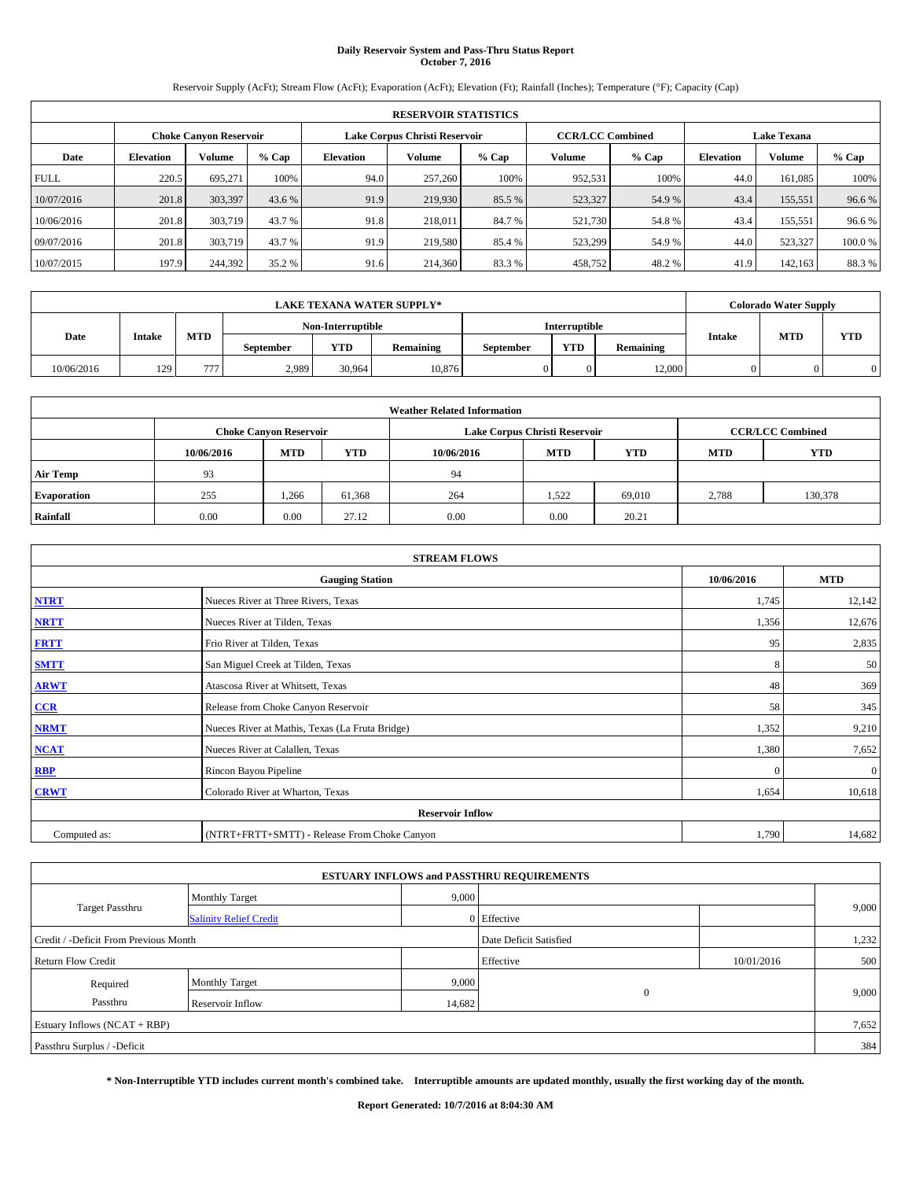# **Daily Reservoir System and Pass-Thru Status Report October 7, 2016**

Reservoir Supply (AcFt); Stream Flow (AcFt); Evaporation (AcFt); Elevation (Ft); Rainfall (Inches); Temperature (°F); Capacity (Cap)

|             | <b>RESERVOIR STATISTICS</b> |                        |         |                  |                               |         |                                               |         |                  |               |        |  |
|-------------|-----------------------------|------------------------|---------|------------------|-------------------------------|---------|-----------------------------------------------|---------|------------------|---------------|--------|--|
|             |                             | Choke Canvon Reservoir |         |                  | Lake Corpus Christi Reservoir |         | <b>CCR/LCC Combined</b><br><b>Lake Texana</b> |         |                  |               |        |  |
| Date        | <b>Elevation</b>            | Volume                 | $%$ Cap | <b>Elevation</b> | <b>Volume</b>                 | $%$ Cap | Volume                                        | $%$ Cap | <b>Elevation</b> | <b>Volume</b> | % Cap  |  |
| <b>FULL</b> | 220.5                       | 695,271                | 100%    | 94.0             | 257,260                       | 100%    | 952,531                                       | 100%    | 44.0             | 161.085       | 100%   |  |
| 10/07/2016  | 201.8                       | 303,397                | 43.6 %  | 91.9             | 219,930                       | 85.5 %  | 523,327                                       | 54.9 %  | 43.4             | 155,551       | 96.6%  |  |
| 10/06/2016  | 201.8                       | 303,719                | 43.7 %  | 91.8             | 218,011                       | 84.7%   | 521,730                                       | 54.8%   | 43.4             | 155.551       | 96.6%  |  |
| 09/07/2016  | 201.8                       | 303,719                | 43.7 %  | 91.9             | 219,580                       | 85.4 %  | 523,299                                       | 54.9 %  | 44.0             | 523.327       | 100.0% |  |
| 10/07/2015  | 197.9                       | 244,392                | 35.2 %  | 91.6             | 214,360                       | 83.3%   | 458,752                                       | 48.2%   | 41.9             | 142.163       | 88.3%  |  |

|            |                       |            |           |                   | <b>LAKE TEXANA WATER SUPPLY*</b> |           |                      |           |               | <b>Colorado Water Supply</b> |            |
|------------|-----------------------|------------|-----------|-------------------|----------------------------------|-----------|----------------------|-----------|---------------|------------------------------|------------|
|            |                       |            |           | Non-Interruptible |                                  |           | <b>Interruptible</b> |           |               |                              |            |
|            | <b>Date</b><br>Intake | <b>MTD</b> | September | <b>YTD</b>        | Remaining                        | September | <b>YTD</b>           | Remaining | <b>Intake</b> | <b>MTD</b>                   | <b>YTD</b> |
| 10/06/2016 | 129                   | 777        | 2.989     | 30.964            | 10,876                           |           |                      | 12,000    |               |                              |            |

| <b>Weather Related Information</b> |            |                                                                                  |        |      |                               |        |                         |         |  |  |
|------------------------------------|------------|----------------------------------------------------------------------------------|--------|------|-------------------------------|--------|-------------------------|---------|--|--|
|                                    |            | <b>Choke Canyon Reservoir</b>                                                    |        |      | Lake Corpus Christi Reservoir |        | <b>CCR/LCC Combined</b> |         |  |  |
|                                    | 10/06/2016 | <b>YTD</b><br><b>MTD</b><br><b>MTD</b><br><b>YTD</b><br><b>MTD</b><br>10/06/2016 |        |      |                               |        |                         |         |  |  |
| <b>Air Temp</b>                    | 93         |                                                                                  |        | 94   |                               |        |                         |         |  |  |
| <b>Evaporation</b>                 | 255        | 1,266                                                                            | 61,368 | 264  | 1,522                         | 69.010 | 2,788                   | 130,378 |  |  |
| Rainfall                           | 0.00       | 0.00                                                                             | 27.12  | 0.00 | 0.00                          | 20.21  |                         |         |  |  |

| <b>STREAM FLOWS</b> |                                                 |              |              |  |  |  |  |  |  |
|---------------------|-------------------------------------------------|--------------|--------------|--|--|--|--|--|--|
|                     | <b>Gauging Station</b>                          | 10/06/2016   | <b>MTD</b>   |  |  |  |  |  |  |
| <b>NTRT</b>         | Nueces River at Three Rivers, Texas             | 1,745        | 12,142       |  |  |  |  |  |  |
| <b>NRTT</b>         | Nueces River at Tilden, Texas                   | 1,356        | 12,676       |  |  |  |  |  |  |
| <b>FRTT</b>         | Frio River at Tilden, Texas                     | 95           | 2,835        |  |  |  |  |  |  |
| <b>SMTT</b>         | San Miguel Creek at Tilden, Texas               | 8            | 50           |  |  |  |  |  |  |
| <b>ARWT</b>         | Atascosa River at Whitsett, Texas               | 48           | 369          |  |  |  |  |  |  |
| $CCR$               | Release from Choke Canyon Reservoir             | 58           | 345          |  |  |  |  |  |  |
| <b>NRMT</b>         | Nueces River at Mathis, Texas (La Fruta Bridge) | 1,352        | 9,210        |  |  |  |  |  |  |
| <b>NCAT</b>         | Nueces River at Calallen, Texas                 | 1,380        | 7,652        |  |  |  |  |  |  |
| RBP                 | Rincon Bayou Pipeline                           | $\mathbf{0}$ | $\mathbf{0}$ |  |  |  |  |  |  |
| <b>CRWT</b>         | Colorado River at Wharton, Texas                | 1,654        | 10,618       |  |  |  |  |  |  |
|                     | <b>Reservoir Inflow</b>                         |              |              |  |  |  |  |  |  |
| Computed as:        | (NTRT+FRTT+SMTT) - Release From Choke Canyon    | 1,790        | 14,682       |  |  |  |  |  |  |

| <b>ESTUARY INFLOWS and PASSTHRU REQUIREMENTS</b> |                               |        |                        |            |       |  |  |  |  |  |
|--------------------------------------------------|-------------------------------|--------|------------------------|------------|-------|--|--|--|--|--|
|                                                  | <b>Monthly Target</b>         | 9,000  |                        |            |       |  |  |  |  |  |
| <b>Target Passthru</b>                           | <b>Salinity Relief Credit</b> |        | 0 Effective            |            | 9,000 |  |  |  |  |  |
| Credit / -Deficit From Previous Month            |                               |        | Date Deficit Satisfied |            | 1,232 |  |  |  |  |  |
| <b>Return Flow Credit</b>                        |                               |        | Effective              | 10/01/2016 | 500   |  |  |  |  |  |
| Required                                         | <b>Monthly Target</b>         | 9,000  |                        |            |       |  |  |  |  |  |
| Passthru                                         | Reservoir Inflow              | 14,682 | $\mathbf{0}$           |            | 9,000 |  |  |  |  |  |
| Estuary Inflows (NCAT + RBP)                     |                               |        |                        |            | 7,652 |  |  |  |  |  |
| Passthru Surplus / -Deficit                      |                               |        |                        |            | 384   |  |  |  |  |  |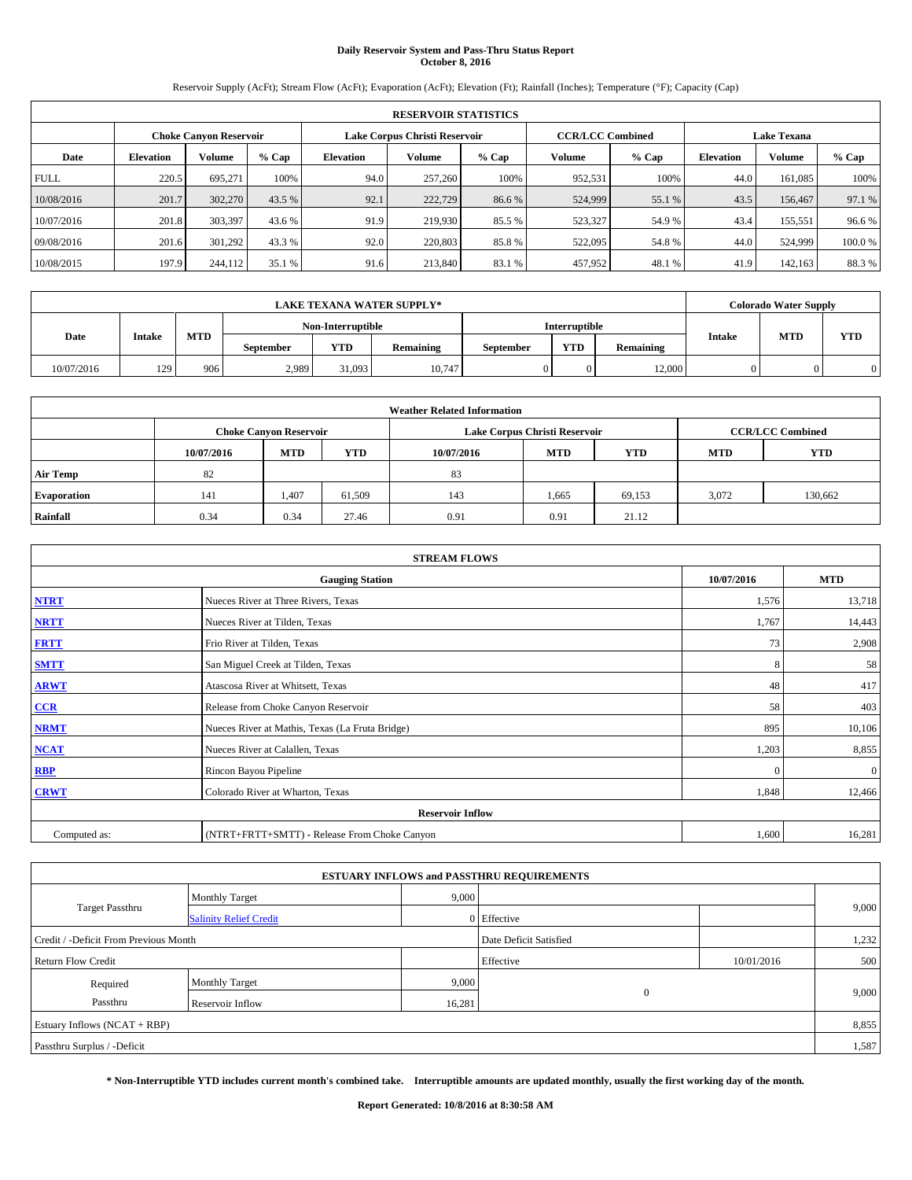# **Daily Reservoir System and Pass-Thru Status Report October 8, 2016**

Reservoir Supply (AcFt); Stream Flow (AcFt); Evaporation (AcFt); Elevation (Ft); Rainfall (Inches); Temperature (°F); Capacity (Cap)

|             | <b>RESERVOIR STATISTICS</b> |                        |         |                  |                               |         |                                               |         |                  |               |        |  |
|-------------|-----------------------------|------------------------|---------|------------------|-------------------------------|---------|-----------------------------------------------|---------|------------------|---------------|--------|--|
|             |                             | Choke Canvon Reservoir |         |                  | Lake Corpus Christi Reservoir |         | <b>CCR/LCC Combined</b><br><b>Lake Texana</b> |         |                  |               |        |  |
| Date        | <b>Elevation</b>            | Volume                 | $%$ Cap | <b>Elevation</b> | <b>Volume</b>                 | $%$ Cap | Volume                                        | $%$ Cap | <b>Elevation</b> | <b>Volume</b> | % Cap  |  |
| <b>FULL</b> | 220.5                       | 695,271                | 100%    | 94.0             | 257,260                       | 100%    | 952,531                                       | 100%    | 44.0             | 161.085       | 100%   |  |
| 10/08/2016  | 201.7                       | 302,270                | 43.5 %  | 92.1             | 222,729                       | 86.6 %  | 524,999                                       | 55.1 %  | 43.5             | 156,467       | 97.1 % |  |
| 10/07/2016  | 201.8                       | 303,397                | 43.6 %  | 91.9             | 219,930                       | 85.5 %  | 523,327                                       | 54.9 %  | 43.4             | 155.551       | 96.6%  |  |
| 09/08/2016  | 201.6                       | 301,292                | 43.3 %  | 92.0             | 220,803                       | 85.8%   | 522,095                                       | 54.8%   | 44.0             | 524,999       | 100.0% |  |
| 10/08/2015  | 197.9                       | 244,112                | 35.1 %  | 91.6             | 213,840                       | 83.1 %  | 457,952                                       | 48.1 %  | 41.9             | 142.163       | 88.3%  |  |

|            | <b>LAKE TEXANA WATER SUPPLY*</b> |            |                   |        |           |           |               |                  |               | <b>Colorado Water Supply</b> |            |  |
|------------|----------------------------------|------------|-------------------|--------|-----------|-----------|---------------|------------------|---------------|------------------------------|------------|--|
|            |                                  |            | Non-Interruptible |        |           |           | Interruptible |                  |               |                              |            |  |
| Date       | Intake                           | <b>MTD</b> | September         | VTD    | Remaining | September | <b>YTD</b>    | <b>Remaining</b> | <b>Intake</b> | <b>MTD</b>                   | <b>YTD</b> |  |
| 10/07/2016 | 129                              | 906        | 2,989             | 31,093 | 10,747    |           |               | 12,000           |               |                              |            |  |

|                    | <b>Weather Related Information</b>                                                             |                               |        |      |                               |                         |            |         |  |  |  |  |
|--------------------|------------------------------------------------------------------------------------------------|-------------------------------|--------|------|-------------------------------|-------------------------|------------|---------|--|--|--|--|
|                    |                                                                                                | <b>Choke Canyon Reservoir</b> |        |      | Lake Corpus Christi Reservoir | <b>CCR/LCC Combined</b> |            |         |  |  |  |  |
|                    | <b>YTD</b><br><b>MTD</b><br><b>MTD</b><br><b>YTD</b><br><b>MTD</b><br>10/07/2016<br>10/07/2016 |                               |        |      |                               |                         | <b>YTD</b> |         |  |  |  |  |
| <b>Air Temp</b>    | 82                                                                                             |                               |        | 83   |                               |                         |            |         |  |  |  |  |
| <b>Evaporation</b> | 141                                                                                            | 1,407                         | 61.509 | 143  | 1,665                         | 69,153                  | 3,072      | 130,662 |  |  |  |  |
| Rainfall           | 0.34                                                                                           | 0.34                          | 27.46  | 0.91 | 0.91                          | 21.12                   |            |         |  |  |  |  |

| <b>STREAM FLOWS</b> |                                                 |            |              |  |  |  |  |  |
|---------------------|-------------------------------------------------|------------|--------------|--|--|--|--|--|
|                     | <b>Gauging Station</b>                          | 10/07/2016 | <b>MTD</b>   |  |  |  |  |  |
| <b>NTRT</b>         | Nueces River at Three Rivers, Texas             | 1,576      | 13,718       |  |  |  |  |  |
| <b>NRTT</b>         | Nueces River at Tilden, Texas                   | 1,767      | 14,443       |  |  |  |  |  |
| <b>FRTT</b>         | Frio River at Tilden, Texas                     | 73         | 2,908        |  |  |  |  |  |
| <b>SMTT</b>         | San Miguel Creek at Tilden, Texas               | 8          | 58           |  |  |  |  |  |
| <b>ARWT</b>         | Atascosa River at Whitsett, Texas               | 48         | 417          |  |  |  |  |  |
| $CCR$               | Release from Choke Canyon Reservoir             | 58         | 403          |  |  |  |  |  |
| <b>NRMT</b>         | Nueces River at Mathis, Texas (La Fruta Bridge) | 895        | 10,106       |  |  |  |  |  |
| <b>NCAT</b>         | Nueces River at Calallen, Texas                 | 1,203      | 8,855        |  |  |  |  |  |
| RBP                 | Rincon Bayou Pipeline                           | $\Omega$   | $\mathbf{0}$ |  |  |  |  |  |
| <b>CRWT</b>         | Colorado River at Wharton, Texas                | 1,848      | 12,466       |  |  |  |  |  |
|                     | <b>Reservoir Inflow</b>                         |            |              |  |  |  |  |  |
| Computed as:        | (NTRT+FRTT+SMTT) - Release From Choke Canyon    | 1,600      | 16,281       |  |  |  |  |  |

|                                                         |                       |        | <b>ESTUARY INFLOWS and PASSTHRU REQUIREMENTS</b> |            |       |  |
|---------------------------------------------------------|-----------------------|--------|--------------------------------------------------|------------|-------|--|
|                                                         | <b>Monthly Target</b> | 9,000  |                                                  |            |       |  |
| <b>Target Passthru</b><br><b>Salinity Relief Credit</b> |                       |        | 0 Effective                                      |            | 9,000 |  |
| Credit / -Deficit From Previous Month                   |                       |        | Date Deficit Satisfied                           |            | 1,232 |  |
| <b>Return Flow Credit</b>                               |                       |        | Effective                                        | 10/01/2016 | 500   |  |
| Required                                                | <b>Monthly Target</b> | 9,000  |                                                  |            |       |  |
| Passthru                                                | Reservoir Inflow      | 16,281 | $\mathbf{0}$                                     |            | 9,000 |  |
| Estuary Inflows $(NCAT + RBP)$                          |                       |        |                                                  |            | 8,855 |  |
| Passthru Surplus / -Deficit                             |                       |        |                                                  |            | 1,587 |  |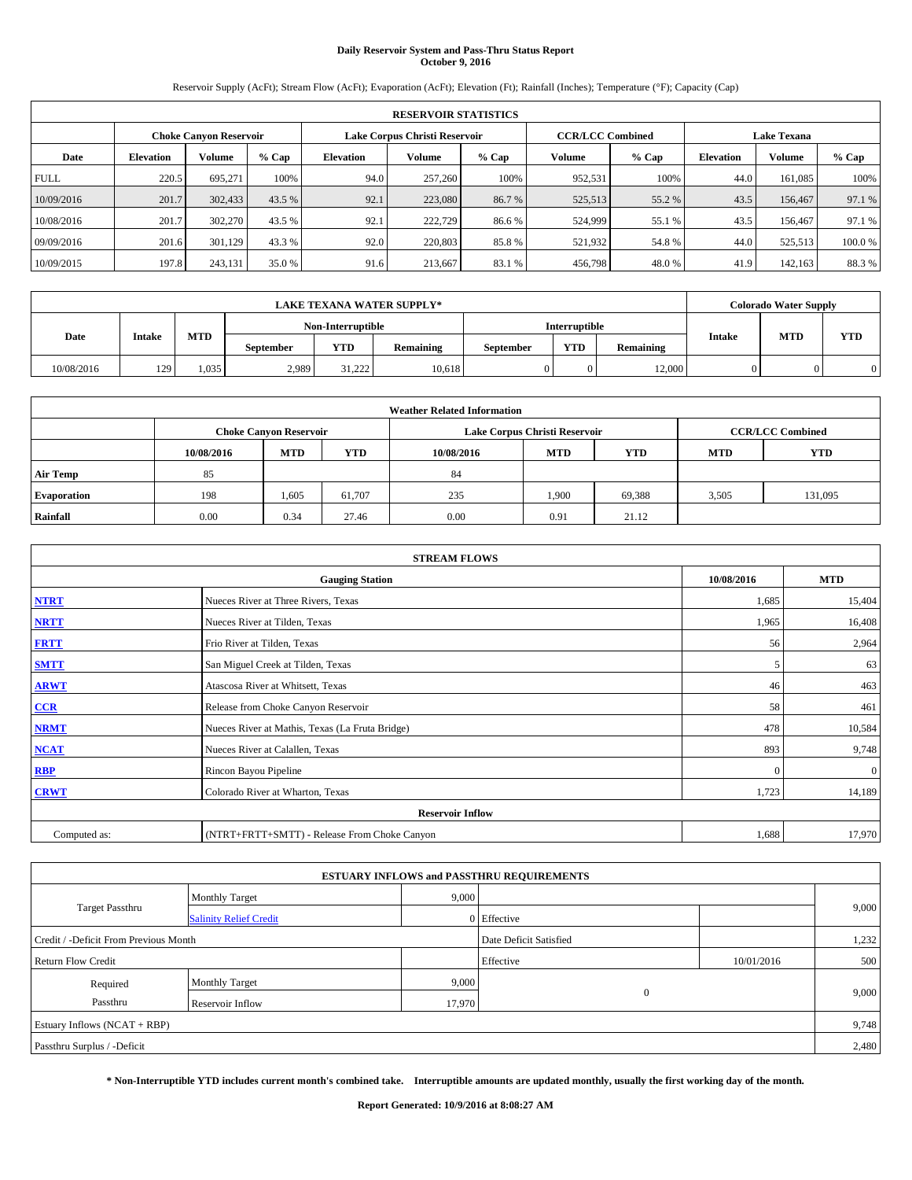# **Daily Reservoir System and Pass-Thru Status Report October 9, 2016**

Reservoir Supply (AcFt); Stream Flow (AcFt); Evaporation (AcFt); Elevation (Ft); Rainfall (Inches); Temperature (°F); Capacity (Cap)

|             | <b>RESERVOIR STATISTICS</b> |                        |         |                               |               |         |                         |         |                    |               |        |  |  |
|-------------|-----------------------------|------------------------|---------|-------------------------------|---------------|---------|-------------------------|---------|--------------------|---------------|--------|--|--|
|             |                             | Choke Canvon Reservoir |         | Lake Corpus Christi Reservoir |               |         | <b>CCR/LCC Combined</b> |         | <b>Lake Texana</b> |               |        |  |  |
| Date        | <b>Elevation</b>            | Volume                 | $%$ Cap | <b>Elevation</b>              | <b>Volume</b> | $%$ Cap | Volume                  | $%$ Cap | <b>Elevation</b>   | <b>Volume</b> | % Cap  |  |  |
| <b>FULL</b> | 220.5                       | 695,271                | 100%    | 94.0                          | 257,260       | 100%    | 952,531                 | 100%    | 44.0               | 161.085       | 100%   |  |  |
| 10/09/2016  | 201.7                       | 302,433                | 43.5 %  | 92.1                          | 223,080       | 86.7 %  | 525,513                 | 55.2 %  | 43.5               | 156,467       | 97.1 % |  |  |
| 10/08/2016  | 201.7                       | 302,270                | 43.5 %  | 92.1                          | 222,729       | 86.6%   | 524,999                 | 55.1 %  | 43.5               | 156,467       | 97.1 % |  |  |
| 09/09/2016  | 201.6                       | 301.129                | 43.3 %  | 92.0                          | 220,803       | 85.8%   | 521,932                 | 54.8%   | 44.0               | 525,513       | 100.0% |  |  |
| 10/09/2015  | 197.8                       | 243,131                | 35.0 %  | 91.6                          | 213.667       | 83.1 %  | 456,798                 | 48.0%   | 41.9               | 142.163       | 88.3%  |  |  |

|            | <b>LAKE TEXANA WATER SUPPLY*</b> |            |                   |            |           |           |                      |                  |               | <b>Colorado Water Supply</b> |            |
|------------|----------------------------------|------------|-------------------|------------|-----------|-----------|----------------------|------------------|---------------|------------------------------|------------|
|            |                                  |            | Non-Interruptible |            |           |           | <b>Interruptible</b> |                  |               |                              |            |
| Date       | <b>Intake</b>                    | <b>MTD</b> | <b>September</b>  | <b>YTD</b> | Remaining | September | <b>YTD</b>           | <b>Remaining</b> | <b>Intake</b> | <b>MTD</b>                   | <b>YTD</b> |
| 10/08/2016 | 129                              | 1.035      | 2,989             | 31.222     | 10.618    |           |                      | 12.000           |               |                              |            |

|                    | <b>Weather Related Information</b> |                                                                                  |        |      |                               |                         |       |         |  |  |  |  |
|--------------------|------------------------------------|----------------------------------------------------------------------------------|--------|------|-------------------------------|-------------------------|-------|---------|--|--|--|--|
|                    |                                    | <b>Choke Canyon Reservoir</b>                                                    |        |      | Lake Corpus Christi Reservoir | <b>CCR/LCC Combined</b> |       |         |  |  |  |  |
|                    | 10/08/2016                         | <b>YTD</b><br><b>MTD</b><br>10/08/2016<br><b>MTD</b><br><b>YTD</b><br><b>MTD</b> |        |      |                               |                         |       |         |  |  |  |  |
| <b>Air Temp</b>    | 85                                 |                                                                                  |        | 84   |                               |                         |       |         |  |  |  |  |
| <b>Evaporation</b> | 198                                | 1,605                                                                            | 61,707 | 235  | 1.900                         | 69,388                  | 3,505 | 131,095 |  |  |  |  |
| Rainfall           | 0.00                               | 0.34                                                                             | 27.46  | 0.00 | 0.91                          | 21.12                   |       |         |  |  |  |  |

| <b>STREAM FLOWS</b> |                                                 |            |              |  |  |  |  |  |
|---------------------|-------------------------------------------------|------------|--------------|--|--|--|--|--|
|                     | <b>Gauging Station</b>                          | 10/08/2016 | <b>MTD</b>   |  |  |  |  |  |
| <b>NTRT</b>         | Nueces River at Three Rivers, Texas             | 1,685      | 15,404       |  |  |  |  |  |
| <b>NRTT</b>         | Nueces River at Tilden, Texas                   | 1,965      | 16,408       |  |  |  |  |  |
| <b>FRTT</b>         | Frio River at Tilden, Texas                     | 56         | 2,964        |  |  |  |  |  |
| <b>SMTT</b>         | San Miguel Creek at Tilden, Texas               | 5          | 63           |  |  |  |  |  |
| <b>ARWT</b>         | Atascosa River at Whitsett, Texas               | 46         | 463          |  |  |  |  |  |
| $CCR$               | Release from Choke Canyon Reservoir             | 58         | 461          |  |  |  |  |  |
| <b>NRMT</b>         | Nueces River at Mathis, Texas (La Fruta Bridge) | 478        | 10,584       |  |  |  |  |  |
| <b>NCAT</b>         | Nueces River at Calallen, Texas                 | 893        | 9,748        |  |  |  |  |  |
| RBP                 | Rincon Bayou Pipeline                           | $\Omega$   | $\mathbf{0}$ |  |  |  |  |  |
| <b>CRWT</b>         | Colorado River at Wharton, Texas                | 1,723      | 14,189       |  |  |  |  |  |
|                     | <b>Reservoir Inflow</b>                         |            |              |  |  |  |  |  |
| Computed as:        | (NTRT+FRTT+SMTT) - Release From Choke Canyon    | 1,688      | 17,970       |  |  |  |  |  |

|                                                         |                       |             | <b>ESTUARY INFLOWS and PASSTHRU REQUIREMENTS</b> |            |       |
|---------------------------------------------------------|-----------------------|-------------|--------------------------------------------------|------------|-------|
|                                                         | <b>Monthly Target</b> | 9,000       |                                                  |            |       |
| <b>Target Passthru</b><br><b>Salinity Relief Credit</b> |                       | 0 Effective |                                                  | 9,000      |       |
| Credit / -Deficit From Previous Month                   |                       |             | Date Deficit Satisfied                           |            | 1,232 |
| <b>Return Flow Credit</b>                               |                       |             | Effective                                        | 10/01/2016 | 500   |
| Required                                                | <b>Monthly Target</b> | 9,000       |                                                  |            |       |
| Passthru                                                | Reservoir Inflow      | 17,970      | $\mathbf{0}$                                     |            | 9,000 |
| Estuary Inflows $(NCAT + RBP)$                          |                       |             |                                                  |            | 9,748 |
| Passthru Surplus / -Deficit                             |                       |             |                                                  |            | 2,480 |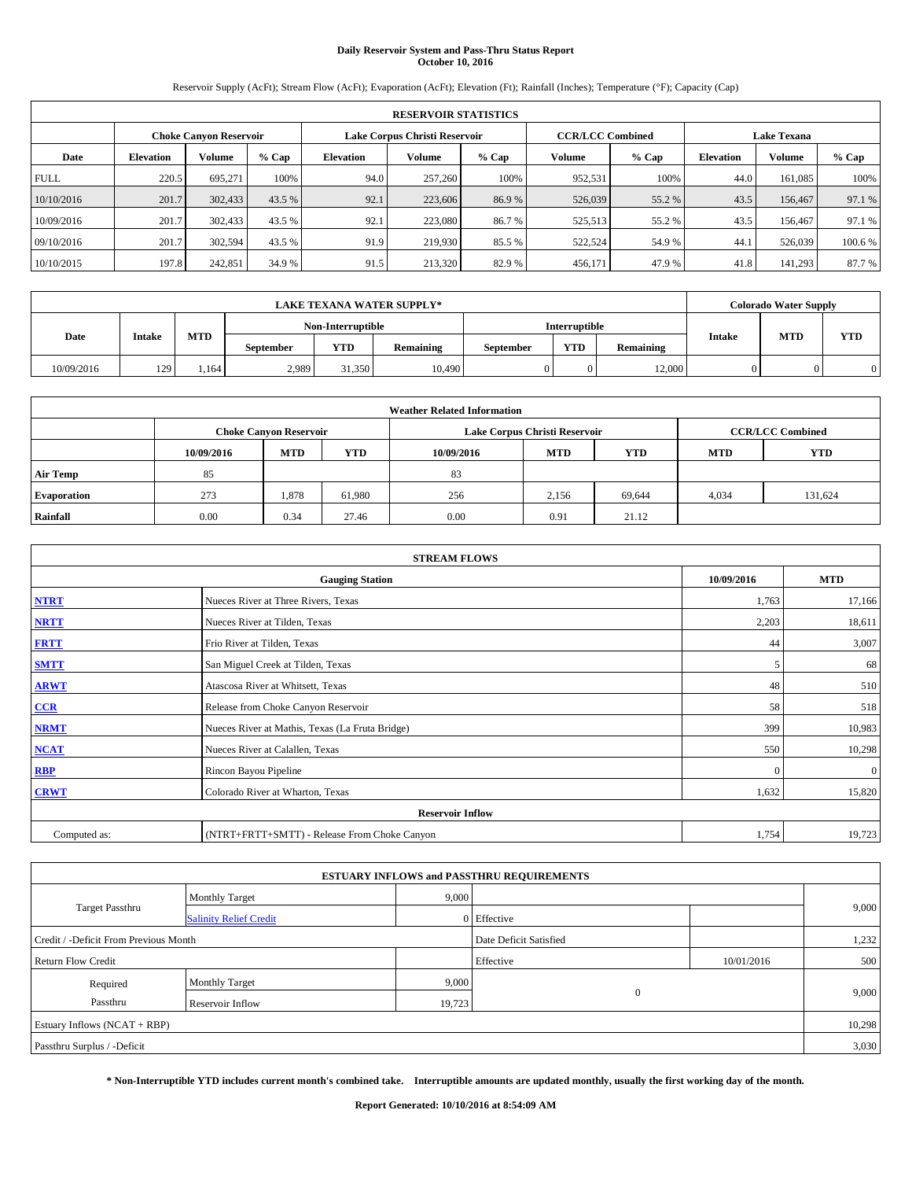## **Daily Reservoir System and Pass-Thru Status Report October 10, 2016**

Reservoir Supply (AcFt); Stream Flow (AcFt); Evaporation (AcFt); Elevation (Ft); Rainfall (Inches); Temperature (°F); Capacity (Cap)

|             | <b>RESERVOIR STATISTICS</b> |                        |         |                               |               |         |                         |         |                    |               |        |  |  |
|-------------|-----------------------------|------------------------|---------|-------------------------------|---------------|---------|-------------------------|---------|--------------------|---------------|--------|--|--|
|             |                             | Choke Canvon Reservoir |         | Lake Corpus Christi Reservoir |               |         | <b>CCR/LCC Combined</b> |         | <b>Lake Texana</b> |               |        |  |  |
| Date        | <b>Elevation</b>            | Volume                 | $%$ Cap | <b>Elevation</b>              | <b>Volume</b> | $%$ Cap | Volume                  | $%$ Cap | <b>Elevation</b>   | <b>Volume</b> | % Cap  |  |  |
| <b>FULL</b> | 220.5                       | 695,271                | 100%    | 94.0                          | 257,260       | 100%    | 952,531                 | 100%    | 44.0               | 161.085       | 100%   |  |  |
| 10/10/2016  | 201.7                       | 302,433                | 43.5 %  | 92.1                          | 223,606       | 86.9%   | 526,039                 | 55.2 %  | 43.5               | 156,467       | 97.1 % |  |  |
| 10/09/2016  | 201.7                       | 302,433                | 43.5 %  | 92.1                          | 223,080       | 86.7%   | 525,513                 | 55.2 %  | 43.5               | 156,467       | 97.1 % |  |  |
| 09/10/2016  | 201.7                       | 302,594                | 43.5 %  | 91.9                          | 219,930       | 85.5 %  | 522,524                 | 54.9 %  | 44.1               | 526,039       | 100.6% |  |  |
| 10/10/2015  | 197.8                       | 242,851                | 34.9 %  | 91.5                          | 213,320       | 82.9%   | 456,171                 | 47.9 %  | 41.8               | 141.293       | 87.7 % |  |  |

|            |               |            |                   |            | <b>LAKE TEXANA WATER SUPPLY*</b> |           |                      |                  |               | <b>Colorado Water Supply</b> |            |
|------------|---------------|------------|-------------------|------------|----------------------------------|-----------|----------------------|------------------|---------------|------------------------------|------------|
|            |               |            | Non-Interruptible |            |                                  |           | <b>Interruptible</b> |                  |               |                              |            |
| Date       | <b>Intake</b> | <b>MTD</b> | <b>September</b>  | <b>YTD</b> | Remaining                        | September | <b>YTD</b>           | <b>Remaining</b> | <b>Intake</b> | <b>MTD</b>                   | <b>YTD</b> |
| 10/09/2016 | 129           | .164       | 2,989             | 31,350     | 10.490                           |           |                      | 12.000           |               |                              |            |

|                    | <b>Weather Related Information</b> |                                                                                  |        |      |                               |                         |       |            |  |  |  |  |
|--------------------|------------------------------------|----------------------------------------------------------------------------------|--------|------|-------------------------------|-------------------------|-------|------------|--|--|--|--|
|                    |                                    | <b>Choke Canyon Reservoir</b>                                                    |        |      | Lake Corpus Christi Reservoir | <b>CCR/LCC Combined</b> |       |            |  |  |  |  |
|                    | 10/09/2016                         | <b>YTD</b><br><b>MTD</b><br><b>MTD</b><br><b>YTD</b><br><b>MTD</b><br>10/09/2016 |        |      |                               |                         |       | <b>YTD</b> |  |  |  |  |
| <b>Air Temp</b>    | 85                                 |                                                                                  |        | 83   |                               |                         |       |            |  |  |  |  |
| <b>Evaporation</b> | 273                                | 1,878                                                                            | 61.980 | 256  | 2,156                         | 69.644                  | 4,034 | 131.624    |  |  |  |  |
| Rainfall           | 0.00                               | 0.34                                                                             | 27.46  | 0.00 | 0.91                          | 21.12                   |       |            |  |  |  |  |

| <b>STREAM FLOWS</b> |                                                 |              |              |  |  |  |  |  |  |
|---------------------|-------------------------------------------------|--------------|--------------|--|--|--|--|--|--|
|                     | <b>Gauging Station</b>                          | 10/09/2016   | <b>MTD</b>   |  |  |  |  |  |  |
| <b>NTRT</b>         | Nueces River at Three Rivers, Texas             | 1,763        | 17,166       |  |  |  |  |  |  |
| <b>NRTT</b>         | Nueces River at Tilden, Texas                   | 2,203        | 18,611       |  |  |  |  |  |  |
| <b>FRTT</b>         | Frio River at Tilden, Texas                     | 44           | 3,007        |  |  |  |  |  |  |
| <b>SMTT</b>         | San Miguel Creek at Tilden, Texas               | 5            | 68           |  |  |  |  |  |  |
| <b>ARWT</b>         | Atascosa River at Whitsett, Texas               | 48           | 510          |  |  |  |  |  |  |
| $CCR$               | Release from Choke Canyon Reservoir             | 58           | 518          |  |  |  |  |  |  |
| <b>NRMT</b>         | Nueces River at Mathis, Texas (La Fruta Bridge) | 399          | 10,983       |  |  |  |  |  |  |
| <b>NCAT</b>         | Nueces River at Calallen, Texas                 | 550          | 10,298       |  |  |  |  |  |  |
| RBP                 | Rincon Bayou Pipeline                           | $\mathbf{0}$ | $\mathbf{0}$ |  |  |  |  |  |  |
| <b>CRWT</b>         | Colorado River at Wharton, Texas                | 1,632        | 15,820       |  |  |  |  |  |  |
|                     | <b>Reservoir Inflow</b>                         |              |              |  |  |  |  |  |  |
| Computed as:        | (NTRT+FRTT+SMTT) - Release From Choke Canyon    | 1,754        | 19,723       |  |  |  |  |  |  |

| <b>ESTUARY INFLOWS and PASSTHRU REQUIREMENTS</b> |                               |        |                        |            |       |  |  |  |  |  |  |
|--------------------------------------------------|-------------------------------|--------|------------------------|------------|-------|--|--|--|--|--|--|
|                                                  | <b>Monthly Target</b>         | 9,000  |                        |            | 9,000 |  |  |  |  |  |  |
| Target Passthru                                  | <b>Salinity Relief Credit</b> |        | 0 Effective            |            |       |  |  |  |  |  |  |
| Credit / -Deficit From Previous Month            |                               |        | Date Deficit Satisfied |            | 1,232 |  |  |  |  |  |  |
| <b>Return Flow Credit</b>                        |                               |        | Effective              | 10/01/2016 | 500   |  |  |  |  |  |  |
| Required                                         | <b>Monthly Target</b>         | 9,000  |                        |            |       |  |  |  |  |  |  |
| Passthru                                         | <b>Reservoir Inflow</b>       | 19,723 | $\Omega$               |            | 9,000 |  |  |  |  |  |  |
| Estuary Inflows (NCAT + RBP)                     |                               |        |                        |            |       |  |  |  |  |  |  |
| Passthru Surplus / -Deficit                      |                               |        |                        |            | 3,030 |  |  |  |  |  |  |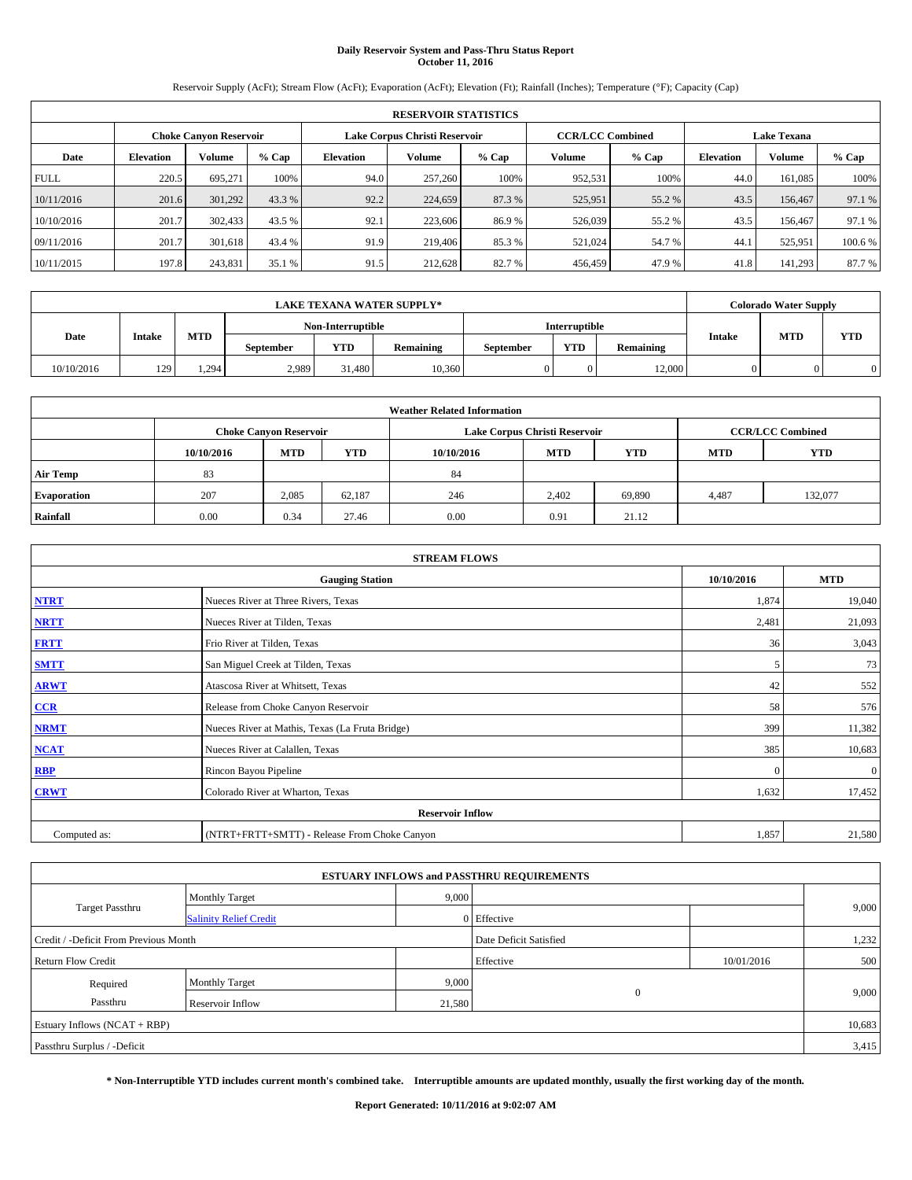## **Daily Reservoir System and Pass-Thru Status Report October 11, 2016**

Reservoir Supply (AcFt); Stream Flow (AcFt); Evaporation (AcFt); Elevation (Ft); Rainfall (Inches); Temperature (°F); Capacity (Cap)

|             | <b>RESERVOIR STATISTICS</b> |                        |         |                  |                               |         |                         |         |                    |               |        |  |
|-------------|-----------------------------|------------------------|---------|------------------|-------------------------------|---------|-------------------------|---------|--------------------|---------------|--------|--|
|             |                             | Choke Canvon Reservoir |         |                  | Lake Corpus Christi Reservoir |         | <b>CCR/LCC Combined</b> |         | <b>Lake Texana</b> |               |        |  |
| Date        | <b>Elevation</b>            | Volume                 | $%$ Cap | <b>Elevation</b> | <b>Volume</b>                 | $%$ Cap | Volume                  | $%$ Cap | <b>Elevation</b>   | <b>Volume</b> | % Cap  |  |
| <b>FULL</b> | 220.5                       | 695,271                | 100%    | 94.0             | 257,260                       | 100%    | 952,531                 | 100%    | 44.0               | 161.085       | 100%   |  |
| 10/11/2016  | 201.6                       | 301,292                | 43.3 %  | 92.2             | 224,659                       | 87.3 %  | 525,951                 | 55.2 %  | 43.5               | 156,467       | 97.1 % |  |
| 10/10/2016  | 201.7                       | 302,433                | 43.5 %  | 92.1             | 223,606                       | 86.9%   | 526,039                 | 55.2 %  | 43.5               | 156,467       | 97.1 % |  |
| 09/11/2016  | 201.7                       | 301,618                | 43.4 %  | 91.9             | 219,406                       | 85.3%   | 521,024                 | 54.7%   | 44.                | 525.951       | 100.6% |  |
| 10/11/2015  | 197.8                       | 243,831                | 35.1 %  | 91.5             | 212,628                       | 82.7%   | 456,459                 | 47.9 %  | 41.8               | 141.293       | 87.7 % |  |

| <b>LAKE TEXANA WATER SUPPLY*</b> |               |            |                  |                   |           |           |                      | <b>Colorado Water Supply</b> |               |            |            |
|----------------------------------|---------------|------------|------------------|-------------------|-----------|-----------|----------------------|------------------------------|---------------|------------|------------|
|                                  |               |            |                  | Non-Interruptible |           |           | <b>Interruptible</b> |                              |               |            |            |
| Date                             | <b>Intake</b> | <b>MTD</b> | <b>September</b> | <b>YTD</b>        | Remaining | September | <b>YTD</b>           | <b>Remaining</b>             | <b>Intake</b> | <b>MTD</b> | <b>YTD</b> |
| 10/10/2016                       | 129           | 1.294      | 2,989            | 31,480            | 10.360    |           |                      | 12.000                       |               |            |            |

| <b>Weather Related Information</b> |            |                               |            |            |                               |                         |            |            |  |  |
|------------------------------------|------------|-------------------------------|------------|------------|-------------------------------|-------------------------|------------|------------|--|--|
|                                    |            | <b>Choke Canyon Reservoir</b> |            |            | Lake Corpus Christi Reservoir | <b>CCR/LCC Combined</b> |            |            |  |  |
|                                    | 10/10/2016 | <b>MTD</b>                    | <b>YTD</b> | 10/10/2016 | <b>MTD</b>                    | <b>YTD</b>              | <b>MTD</b> | <b>YTD</b> |  |  |
| <b>Air Temp</b>                    | 83         |                               |            | 84         |                               |                         |            |            |  |  |
| <b>Evaporation</b>                 | 207        | 2,085                         | 62.187     | 246        | 2,402                         | 69.890                  | 4,487      | 132,077    |  |  |
| Rainfall                           | 0.00       | 0.34                          | 27.46      | 0.00       | 0.91                          | 21.12                   |            |            |  |  |

| <b>STREAM FLOWS</b> |                                                 |            |              |  |  |  |  |  |  |
|---------------------|-------------------------------------------------|------------|--------------|--|--|--|--|--|--|
|                     | <b>Gauging Station</b>                          | 10/10/2016 | <b>MTD</b>   |  |  |  |  |  |  |
| <b>NTRT</b>         | Nueces River at Three Rivers, Texas             | 1,874      | 19,040       |  |  |  |  |  |  |
| <b>NRTT</b>         | Nueces River at Tilden, Texas                   | 2,481      | 21,093       |  |  |  |  |  |  |
| <b>FRTT</b>         | Frio River at Tilden, Texas                     | 36         | 3,043        |  |  |  |  |  |  |
| <b>SMTT</b>         | San Miguel Creek at Tilden, Texas               | 5          | 73           |  |  |  |  |  |  |
| <b>ARWT</b>         | Atascosa River at Whitsett, Texas               | 42         | 552          |  |  |  |  |  |  |
| CCR                 | Release from Choke Canyon Reservoir             | 58         | 576          |  |  |  |  |  |  |
| <b>NRMT</b>         | Nueces River at Mathis, Texas (La Fruta Bridge) | 399        | 11,382       |  |  |  |  |  |  |
| <b>NCAT</b>         | Nueces River at Calallen, Texas                 | 385        | 10,683       |  |  |  |  |  |  |
| <b>RBP</b>          | Rincon Bayou Pipeline                           | $\Omega$   | $\mathbf{0}$ |  |  |  |  |  |  |
| <b>CRWT</b>         | Colorado River at Wharton, Texas                | 1,632      | 17,452       |  |  |  |  |  |  |
|                     | <b>Reservoir Inflow</b>                         |            |              |  |  |  |  |  |  |
| Computed as:        | (NTRT+FRTT+SMTT) - Release From Choke Canyon    | 1,857      | 21,580       |  |  |  |  |  |  |

|                                       |                               |        | <b>ESTUARY INFLOWS and PASSTHRU REQUIREMENTS</b> |            |        |  |
|---------------------------------------|-------------------------------|--------|--------------------------------------------------|------------|--------|--|
|                                       | <b>Monthly Target</b>         | 9,000  |                                                  |            | 9,000  |  |
| Target Passthru                       | <b>Salinity Relief Credit</b> |        | 0 Effective                                      |            |        |  |
| Credit / -Deficit From Previous Month |                               |        | Date Deficit Satisfied                           |            | 1,232  |  |
| <b>Return Flow Credit</b>             |                               |        | Effective                                        | 10/01/2016 | 500    |  |
| Required                              | <b>Monthly Target</b>         | 9,000  |                                                  |            |        |  |
| Passthru                              | <b>Reservoir Inflow</b>       | 21,580 | $\theta$                                         |            | 9,000  |  |
| Estuary Inflows (NCAT + RBP)          |                               |        |                                                  |            | 10,683 |  |
| Passthru Surplus / -Deficit           |                               |        |                                                  |            | 3,415  |  |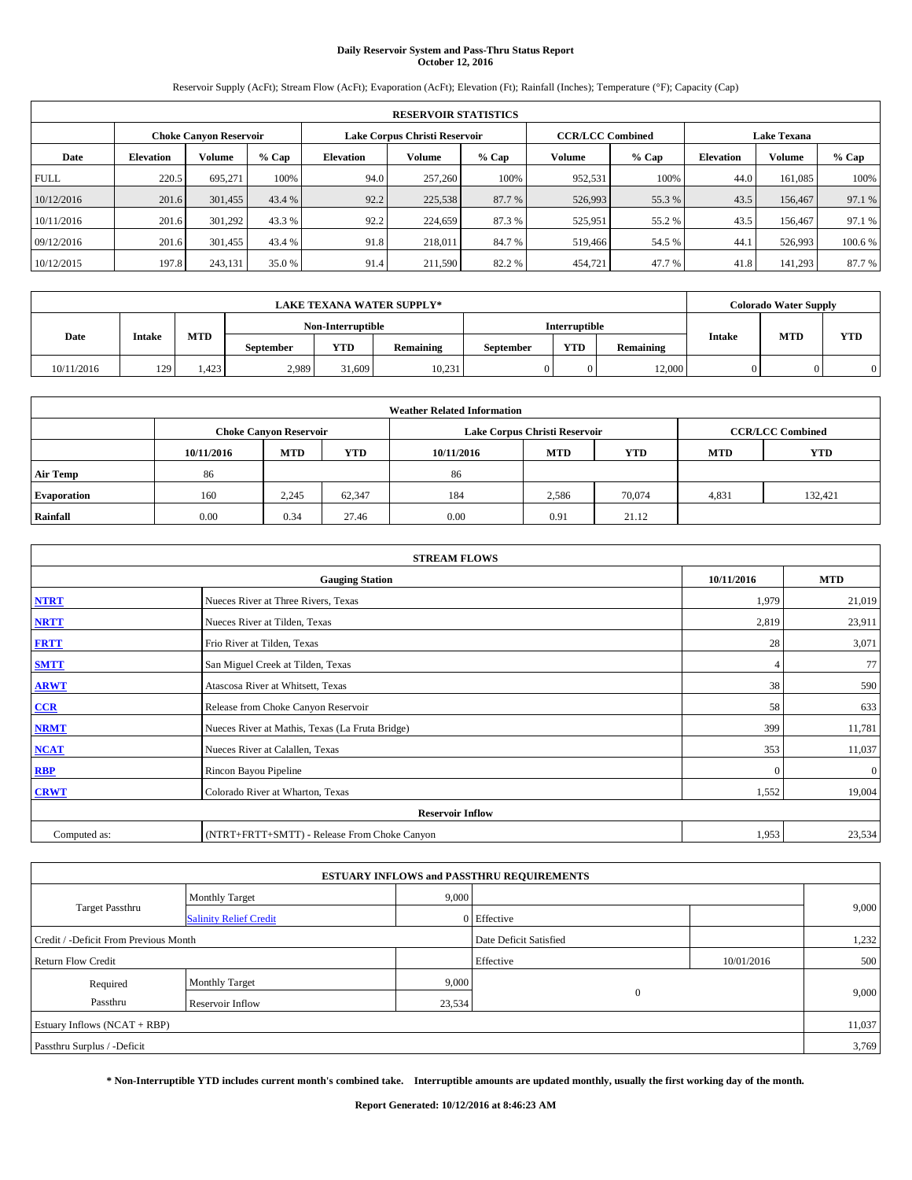## **Daily Reservoir System and Pass-Thru Status Report October 12, 2016**

Reservoir Supply (AcFt); Stream Flow (AcFt); Evaporation (AcFt); Elevation (Ft); Rainfall (Inches); Temperature (°F); Capacity (Cap)

|             | <b>RESERVOIR STATISTICS</b> |                        |        |                  |                               |         |                         |         |                  |                    |        |  |
|-------------|-----------------------------|------------------------|--------|------------------|-------------------------------|---------|-------------------------|---------|------------------|--------------------|--------|--|
|             |                             | Choke Canvon Reservoir |        |                  | Lake Corpus Christi Reservoir |         | <b>CCR/LCC Combined</b> |         |                  | <b>Lake Texana</b> |        |  |
| Date        | <b>Elevation</b>            | Volume                 | % Cap  | <b>Elevation</b> | Volume                        | $%$ Cap | Volume                  | $%$ Cap | <b>Elevation</b> | <b>Volume</b>      | % Cap  |  |
| <b>FULL</b> | 220.5                       | 695,271                | 100%   | 94.0             | 257,260                       | 100%    | 952.531                 | 100%    | 44.0             | 161.085            | 100%   |  |
| 10/12/2016  | 201.6                       | 301,455                | 43.4 % | 92.2             | 225,538                       | 87.7 %  | 526,993                 | 55.3 %  | 43.5             | 156,467            | 97.1 % |  |
| 10/11/2016  | 201.6                       | 301.292                | 43.3 % | 92.2             | 224,659                       | 87.3%   | 525,951                 | 55.2 %  | 43.5             | 156,467            | 97.1 % |  |
| 09/12/2016  | 201.6                       | 301.455                | 43.4 % | 91.8             | 218,011                       | 84.7%   | 519,466                 | 54.5 %  | 44.              | 526,993            | 100.6% |  |
| 10/12/2015  | 197.8                       | 243,131                | 35.0 % | 91.4             | 211,590                       | 82.2 %  | 454,721                 | 47.7 %  | 41.8             | 141.293            | 87.7 % |  |

|            |               |            |                  |                   | <b>LAKE TEXANA WATER SUPPLY*</b> |           |                      |           |               | <b>Colorado Water Supply</b> |            |
|------------|---------------|------------|------------------|-------------------|----------------------------------|-----------|----------------------|-----------|---------------|------------------------------|------------|
|            |               |            |                  | Non-Interruptible |                                  |           | <b>Interruptible</b> |           |               |                              |            |
| Date       | <b>Intake</b> | <b>MTD</b> | <b>September</b> | <b>YTD</b>        | Remaining                        | September | <b>YTD</b>           | Remaining | <b>Intake</b> | <b>MTD</b>                   | <b>YTD</b> |
| 10/11/2016 | 129           | .423       | 2,989            | 31,609            | 10,231                           |           |                      | 12.000    |               |                              |            |

| <b>Weather Related Information</b> |            |                               |            |            |                               |                         |            |            |  |  |
|------------------------------------|------------|-------------------------------|------------|------------|-------------------------------|-------------------------|------------|------------|--|--|
|                                    |            | <b>Choke Canyon Reservoir</b> |            |            | Lake Corpus Christi Reservoir | <b>CCR/LCC Combined</b> |            |            |  |  |
|                                    | 10/11/2016 | <b>MTD</b>                    | <b>YTD</b> | 10/11/2016 | <b>MTD</b>                    | <b>YTD</b>              | <b>MTD</b> | <b>YTD</b> |  |  |
| <b>Air Temp</b>                    | 86         |                               |            | 86         |                               |                         |            |            |  |  |
| <b>Evaporation</b>                 | 160        | 2,245                         | 62.347     | 184        | 2,586                         | 70,074                  | 4,831      | 132.421    |  |  |
| Rainfall                           | 0.00       | 0.34                          | 27.46      | 0.00       | 0.91                          | 21.12                   |            |            |  |  |

| <b>STREAM FLOWS</b> |                                                 |            |              |  |  |  |  |  |  |
|---------------------|-------------------------------------------------|------------|--------------|--|--|--|--|--|--|
|                     | <b>Gauging Station</b>                          | 10/11/2016 | <b>MTD</b>   |  |  |  |  |  |  |
| <b>NTRT</b>         | Nueces River at Three Rivers, Texas             | 1,979      | 21,019       |  |  |  |  |  |  |
| <b>NRTT</b>         | Nueces River at Tilden, Texas                   | 2,819      | 23,911       |  |  |  |  |  |  |
| <b>FRTT</b>         | Frio River at Tilden, Texas                     | 28         | 3,071        |  |  |  |  |  |  |
| <b>SMTT</b>         | San Miguel Creek at Tilden, Texas               |            | 77           |  |  |  |  |  |  |
| <b>ARWT</b>         | Atascosa River at Whitsett, Texas               | 38         | 590          |  |  |  |  |  |  |
| $CCR$               | Release from Choke Canyon Reservoir             | 58         | 633          |  |  |  |  |  |  |
| <b>NRMT</b>         | Nueces River at Mathis, Texas (La Fruta Bridge) | 399        | 11,781       |  |  |  |  |  |  |
| <b>NCAT</b>         | Nueces River at Calallen, Texas                 | 353        | 11,037       |  |  |  |  |  |  |
| RBP                 | Rincon Bayou Pipeline                           | $\Omega$   | $\mathbf{0}$ |  |  |  |  |  |  |
| <b>CRWT</b>         | Colorado River at Wharton, Texas                | 1,552      | 19,004       |  |  |  |  |  |  |
|                     | <b>Reservoir Inflow</b>                         |            |              |  |  |  |  |  |  |
| Computed as:        | (NTRT+FRTT+SMTT) - Release From Choke Canyon    | 1,953      | 23,534       |  |  |  |  |  |  |

| <b>ESTUARY INFLOWS and PASSTHRU REQUIREMENTS</b> |                               |        |                        |            |        |  |  |  |  |  |
|--------------------------------------------------|-------------------------------|--------|------------------------|------------|--------|--|--|--|--|--|
|                                                  | <b>Monthly Target</b>         | 9,000  |                        |            |        |  |  |  |  |  |
| Target Passthru                                  | <b>Salinity Relief Credit</b> |        | 0 Effective            |            | 9,000  |  |  |  |  |  |
| Credit / -Deficit From Previous Month            |                               |        | Date Deficit Satisfied |            | 1,232  |  |  |  |  |  |
| <b>Return Flow Credit</b>                        |                               |        | Effective              | 10/01/2016 | 500    |  |  |  |  |  |
| Required                                         | Monthly Target                | 9,000  |                        |            |        |  |  |  |  |  |
| Passthru                                         | <b>Reservoir Inflow</b>       | 23,534 | $\theta$               |            | 9,000  |  |  |  |  |  |
| Estuary Inflows (NCAT + RBP)                     |                               |        |                        |            | 11,037 |  |  |  |  |  |
| Passthru Surplus / -Deficit                      |                               |        |                        |            | 3,769  |  |  |  |  |  |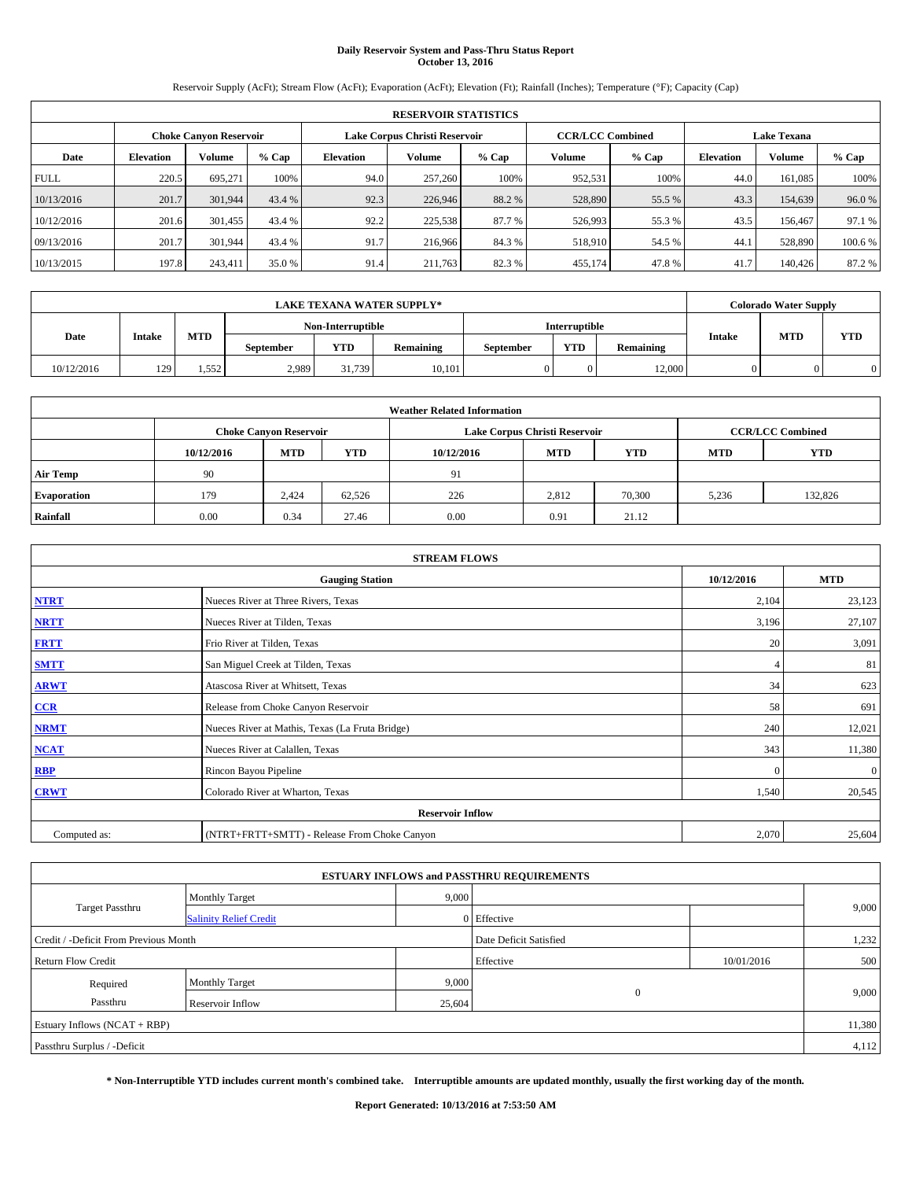# **Daily Reservoir System and Pass-Thru Status Report October 13, 2016**

Reservoir Supply (AcFt); Stream Flow (AcFt); Evaporation (AcFt); Elevation (Ft); Rainfall (Inches); Temperature (°F); Capacity (Cap)

| <b>RESERVOIR STATISTICS</b> |                  |                        |         |                  |                                                          |         |         |         |                    |               |        |
|-----------------------------|------------------|------------------------|---------|------------------|----------------------------------------------------------|---------|---------|---------|--------------------|---------------|--------|
|                             |                  | Choke Canvon Reservoir |         |                  | Lake Corpus Christi Reservoir<br><b>CCR/LCC Combined</b> |         |         |         | <b>Lake Texana</b> |               |        |
| Date                        | <b>Elevation</b> | Volume                 | $%$ Cap | <b>Elevation</b> | <b>Volume</b>                                            | $%$ Cap | Volume  | $%$ Cap | <b>Elevation</b>   | <b>Volume</b> | % Cap  |
| <b>FULL</b>                 | 220.5            | 695,271                | 100%    | 94.0             | 257,260                                                  | 100%    | 952,531 | 100%    | 44.0               | 161.085       | 100%   |
| 10/13/2016                  | 201.7            | 301.944                | 43.4 %  | 92.3             | 226,946                                                  | 88.2 %  | 528,890 | 55.5 %  | 43.3               | 154,639       | 96.0%  |
| 10/12/2016                  | 201.6            | 301,455                | 43.4 %  | 92.2             | 225,538                                                  | 87.7 %  | 526,993 | 55.3 %  | 43.5               | 156,467       | 97.1 % |
| 09/13/2016                  | 201.7            | 301.944                | 43.4 %  | 91.7             | 216,966                                                  | 84.3%   | 518,910 | 54.5 %  | 44.1               | 528,890       | 100.6% |
| 10/13/2015                  | 197.8            | 243,411                | 35.0 %  | 91.4             | 211,763                                                  | 82.3%   | 455,174 | 47.8%   | 41.7               | 140,426       | 87.2 % |

|            | <b>LAKE TEXANA WATER SUPPLY*</b> |            |                  |                         |        |  |                      |           |               |            | <b>Colorado Water Supply</b> |
|------------|----------------------------------|------------|------------------|-------------------------|--------|--|----------------------|-----------|---------------|------------|------------------------------|
|            |                                  |            |                  | Non-Interruptible       |        |  | <b>Interruptible</b> |           |               |            |                              |
| Date       | <b>Intake</b>                    | <b>MTD</b> | <b>September</b> | <b>YTD</b><br>Remaining |        |  | <b>YTD</b>           | Remaining | <b>Intake</b> | <b>MTD</b> | <b>YTD</b>                   |
| 10/12/2016 | 129                              | 1.552      | 2,989            | 31.739                  | 10.101 |  |                      | 12.000    |               |            |                              |

| <b>Weather Related Information</b> |                                                                                                |                               |        |      |                               |                         |       |            |  |  |
|------------------------------------|------------------------------------------------------------------------------------------------|-------------------------------|--------|------|-------------------------------|-------------------------|-------|------------|--|--|
|                                    |                                                                                                | <b>Choke Canyon Reservoir</b> |        |      | Lake Corpus Christi Reservoir | <b>CCR/LCC Combined</b> |       |            |  |  |
|                                    | <b>YTD</b><br><b>MTD</b><br><b>MTD</b><br><b>YTD</b><br><b>MTD</b><br>10/12/2016<br>10/12/2016 |                               |        |      |                               |                         |       | <b>YTD</b> |  |  |
| <b>Air Temp</b>                    | 90                                                                                             |                               |        | 91   |                               |                         |       |            |  |  |
| <b>Evaporation</b>                 | 179                                                                                            | 2.424                         | 62.526 | 226  | 2,812                         | 70,300                  | 5,236 | 132,826    |  |  |
| Rainfall                           | 0.00                                                                                           | 0.34                          | 27.46  | 0.00 | 0.91                          | 21.12                   |       |            |  |  |

| <b>STREAM FLOWS</b> |                                                 |            |              |  |  |  |  |  |  |
|---------------------|-------------------------------------------------|------------|--------------|--|--|--|--|--|--|
|                     | <b>Gauging Station</b>                          | 10/12/2016 | <b>MTD</b>   |  |  |  |  |  |  |
| <b>NTRT</b>         | Nueces River at Three Rivers, Texas             | 2,104      | 23,123       |  |  |  |  |  |  |
| <b>NRTT</b>         | Nueces River at Tilden, Texas                   | 3,196      | 27,107       |  |  |  |  |  |  |
| <b>FRTT</b>         | Frio River at Tilden, Texas                     | 20         | 3,091        |  |  |  |  |  |  |
| <b>SMTT</b>         | San Miguel Creek at Tilden, Texas               |            | 81           |  |  |  |  |  |  |
| <b>ARWT</b>         | Atascosa River at Whitsett, Texas               | 34         | 623          |  |  |  |  |  |  |
| $CCR$               | Release from Choke Canyon Reservoir             | 58         | 691          |  |  |  |  |  |  |
| <b>NRMT</b>         | Nueces River at Mathis, Texas (La Fruta Bridge) | 240        | 12,021       |  |  |  |  |  |  |
| <b>NCAT</b>         | Nueces River at Calallen, Texas                 | 343        | 11,380       |  |  |  |  |  |  |
| RBP                 | Rincon Bayou Pipeline                           | $\Omega$   | $\mathbf{0}$ |  |  |  |  |  |  |
| <b>CRWT</b>         | Colorado River at Wharton, Texas                | 1,540      | 20,545       |  |  |  |  |  |  |
|                     | <b>Reservoir Inflow</b>                         |            |              |  |  |  |  |  |  |
| Computed as:        | (NTRT+FRTT+SMTT) - Release From Choke Canyon    | 2,070      | 25,604       |  |  |  |  |  |  |

| <b>ESTUARY INFLOWS and PASSTHRU REQUIREMENTS</b> |                               |        |                        |            |       |  |  |  |  |  |
|--------------------------------------------------|-------------------------------|--------|------------------------|------------|-------|--|--|--|--|--|
|                                                  | <b>Monthly Target</b>         | 9,000  |                        |            |       |  |  |  |  |  |
| Target Passthru                                  | <b>Salinity Relief Credit</b> |        | 0 Effective            |            | 9,000 |  |  |  |  |  |
| Credit / -Deficit From Previous Month            |                               |        | Date Deficit Satisfied |            | 1,232 |  |  |  |  |  |
| <b>Return Flow Credit</b>                        |                               |        | Effective              | 10/01/2016 | 500   |  |  |  |  |  |
| Required                                         | Monthly Target                | 9,000  |                        |            |       |  |  |  |  |  |
| Passthru                                         | <b>Reservoir Inflow</b>       | 25,604 | $\theta$               |            | 9,000 |  |  |  |  |  |
| Estuary Inflows (NCAT + RBP)                     |                               |        |                        |            |       |  |  |  |  |  |
| Passthru Surplus / -Deficit                      |                               |        |                        |            |       |  |  |  |  |  |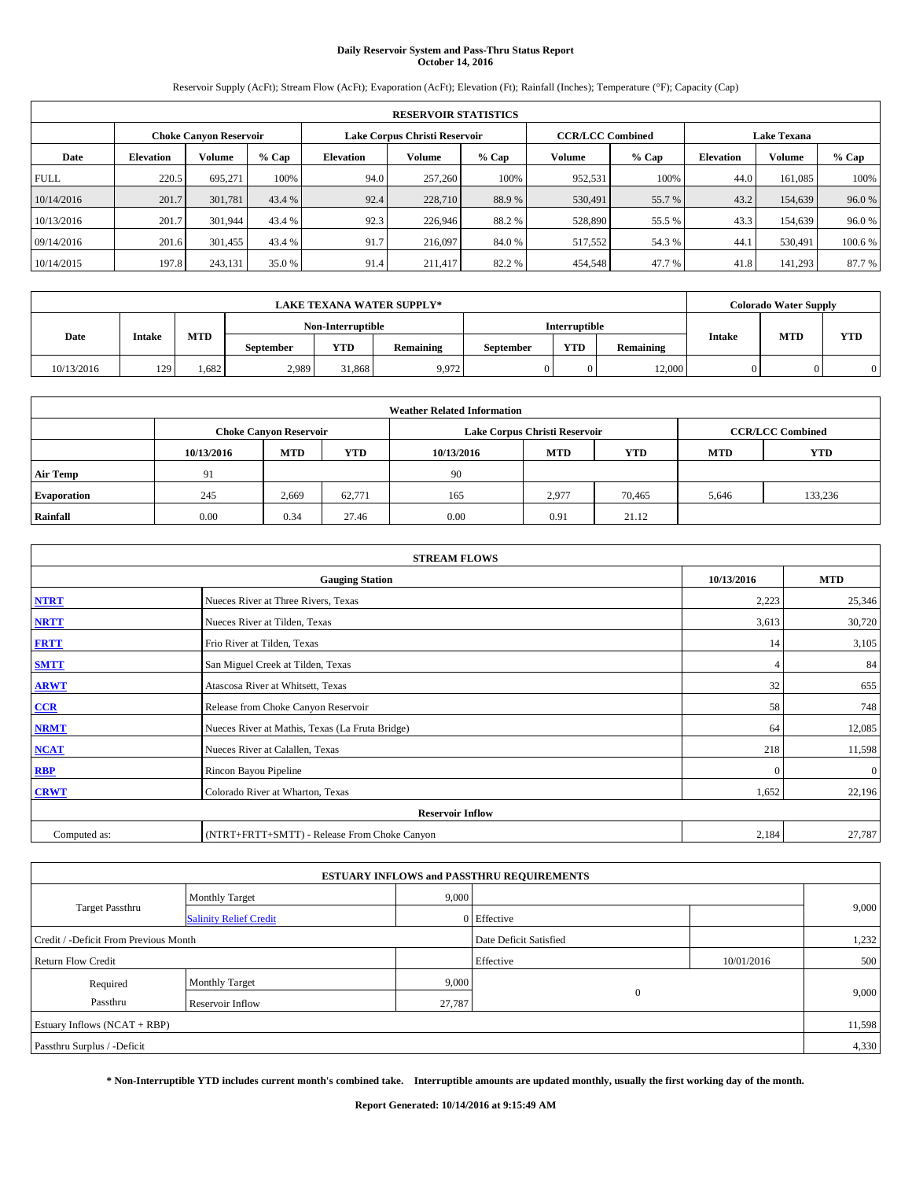## **Daily Reservoir System and Pass-Thru Status Report October 14, 2016**

Reservoir Supply (AcFt); Stream Flow (AcFt); Evaporation (AcFt); Elevation (Ft); Rainfall (Inches); Temperature (°F); Capacity (Cap)

| <b>RESERVOIR STATISTICS</b> |                  |                        |         |                  |                               |         |                         |         |                  |                    |        |  |
|-----------------------------|------------------|------------------------|---------|------------------|-------------------------------|---------|-------------------------|---------|------------------|--------------------|--------|--|
|                             |                  | Choke Canvon Reservoir |         |                  | Lake Corpus Christi Reservoir |         | <b>CCR/LCC Combined</b> |         |                  | <b>Lake Texana</b> |        |  |
| Date                        | <b>Elevation</b> | Volume                 | $%$ Cap | <b>Elevation</b> | <b>Volume</b>                 | $%$ Cap | Volume                  | $%$ Cap | <b>Elevation</b> | <b>Volume</b>      | % Cap  |  |
| <b>FULL</b>                 | 220.5            | 695,271                | 100%    | 94.0             | 257,260                       | 100%    | 952,531                 | 100%    | 44.0             | 161.085            | 100%   |  |
| 10/14/2016                  | 201.7            | 301.781                | 43.4 %  | 92.4             | 228,710                       | 88.9%   | 530,491                 | 55.7 %  | 43.2             | 154,639            | 96.0%  |  |
| 10/13/2016                  | 201.7            | 301.944                | 43.4 %  | 92.3             | 226,946                       | 88.2%   | 528,890                 | 55.5 %  | 43.3             | 154.639            | 96.0%  |  |
| 09/14/2016                  | 201.6            | 301,455                | 43.4 %  | 91.7             | 216,097                       | 84.0%   | 517,552                 | 54.3 %  | 44.              | 530,491            | 100.6% |  |
| 10/14/2015                  | 197.8            | 243,131                | 35.0 %  | 91.4             | 211.417                       | 82.2%   | 454,548                 | 47.7 %  | 41.8             | 141.293            | 87.7 % |  |

|            | <b>LAKE TEXANA WATER SUPPLY*</b> |            |                  |                         |       |  |                      |                  |               |            | <b>Colorado Water Supply</b> |
|------------|----------------------------------|------------|------------------|-------------------------|-------|--|----------------------|------------------|---------------|------------|------------------------------|
|            |                                  |            |                  | Non-Interruptible       |       |  | <b>Interruptible</b> |                  |               |            |                              |
| Date       | <b>Intake</b>                    | <b>MTD</b> | <b>September</b> | <b>YTD</b><br>Remaining |       |  | <b>YTD</b>           | <b>Remaining</b> | <b>Intake</b> | <b>MTD</b> | <b>YTD</b>                   |
| 10/13/2016 | 129                              | .682       | 2,989            | 31,868                  | 9,972 |  |                      | 12.000           |               |            |                              |

| <b>Weather Related Information</b> |                                                                                                |                               |        |      |                               |                         |       |         |  |  |
|------------------------------------|------------------------------------------------------------------------------------------------|-------------------------------|--------|------|-------------------------------|-------------------------|-------|---------|--|--|
|                                    |                                                                                                | <b>Choke Canyon Reservoir</b> |        |      | Lake Corpus Christi Reservoir | <b>CCR/LCC Combined</b> |       |         |  |  |
|                                    | <b>YTD</b><br><b>MTD</b><br><b>MTD</b><br><b>YTD</b><br><b>MTD</b><br>10/13/2016<br>10/13/2016 |                               |        |      |                               |                         |       |         |  |  |
| <b>Air Temp</b>                    | 91                                                                                             |                               |        | -90  |                               |                         |       |         |  |  |
| <b>Evaporation</b>                 | 245                                                                                            | 2,669                         | 62.771 | 165  | 2,977                         | 70.465                  | 5,646 | 133,236 |  |  |
| Rainfall                           | 0.00                                                                                           | 0.34                          | 27.46  | 0.00 | 0.91                          | 21.12                   |       |         |  |  |

|              | <b>STREAM FLOWS</b>                             |            |              |  |  |  |  |  |  |  |
|--------------|-------------------------------------------------|------------|--------------|--|--|--|--|--|--|--|
|              | <b>Gauging Station</b>                          | 10/13/2016 | <b>MTD</b>   |  |  |  |  |  |  |  |
| <b>NTRT</b>  | Nueces River at Three Rivers, Texas             | 2,223      | 25,346       |  |  |  |  |  |  |  |
| <b>NRTT</b>  | Nueces River at Tilden, Texas                   | 3,613      | 30,720       |  |  |  |  |  |  |  |
| <b>FRTT</b>  | Frio River at Tilden, Texas                     | 14         | 3,105        |  |  |  |  |  |  |  |
| <b>SMTT</b>  | San Miguel Creek at Tilden, Texas               |            | 84           |  |  |  |  |  |  |  |
| <b>ARWT</b>  | Atascosa River at Whitsett, Texas               | 32         | 655          |  |  |  |  |  |  |  |
| CCR          | Release from Choke Canyon Reservoir             | 58         | 748          |  |  |  |  |  |  |  |
| <b>NRMT</b>  | Nueces River at Mathis, Texas (La Fruta Bridge) | 64         | 12,085       |  |  |  |  |  |  |  |
| <b>NCAT</b>  | Nueces River at Calallen, Texas                 | 218        | 11,598       |  |  |  |  |  |  |  |
| <b>RBP</b>   | Rincon Bayou Pipeline                           | $\Omega$   | $\mathbf{0}$ |  |  |  |  |  |  |  |
| <b>CRWT</b>  | Colorado River at Wharton, Texas                | 1,652      | 22,196       |  |  |  |  |  |  |  |
|              | <b>Reservoir Inflow</b>                         |            |              |  |  |  |  |  |  |  |
| Computed as: | (NTRT+FRTT+SMTT) - Release From Choke Canyon    | 2,184      | 27,787       |  |  |  |  |  |  |  |

|                                       |                               |        | <b>ESTUARY INFLOWS and PASSTHRU REQUIREMENTS</b> |            |        |  |  |
|---------------------------------------|-------------------------------|--------|--------------------------------------------------|------------|--------|--|--|
|                                       | <b>Monthly Target</b>         | 9,000  |                                                  |            |        |  |  |
| Target Passthru                       | <b>Salinity Relief Credit</b> |        | 0 Effective                                      |            | 9,000  |  |  |
| Credit / -Deficit From Previous Month |                               |        | Date Deficit Satisfied                           |            | 1,232  |  |  |
| <b>Return Flow Credit</b>             |                               |        | Effective                                        | 10/01/2016 | 500    |  |  |
| Required                              | <b>Monthly Target</b>         | 9,000  |                                                  |            |        |  |  |
| Passthru                              | <b>Reservoir Inflow</b>       | 27,787 | $\theta$                                         |            | 9,000  |  |  |
| Estuary Inflows (NCAT + RBP)          |                               |        |                                                  |            | 11,598 |  |  |
| Passthru Surplus / -Deficit           |                               |        |                                                  |            |        |  |  |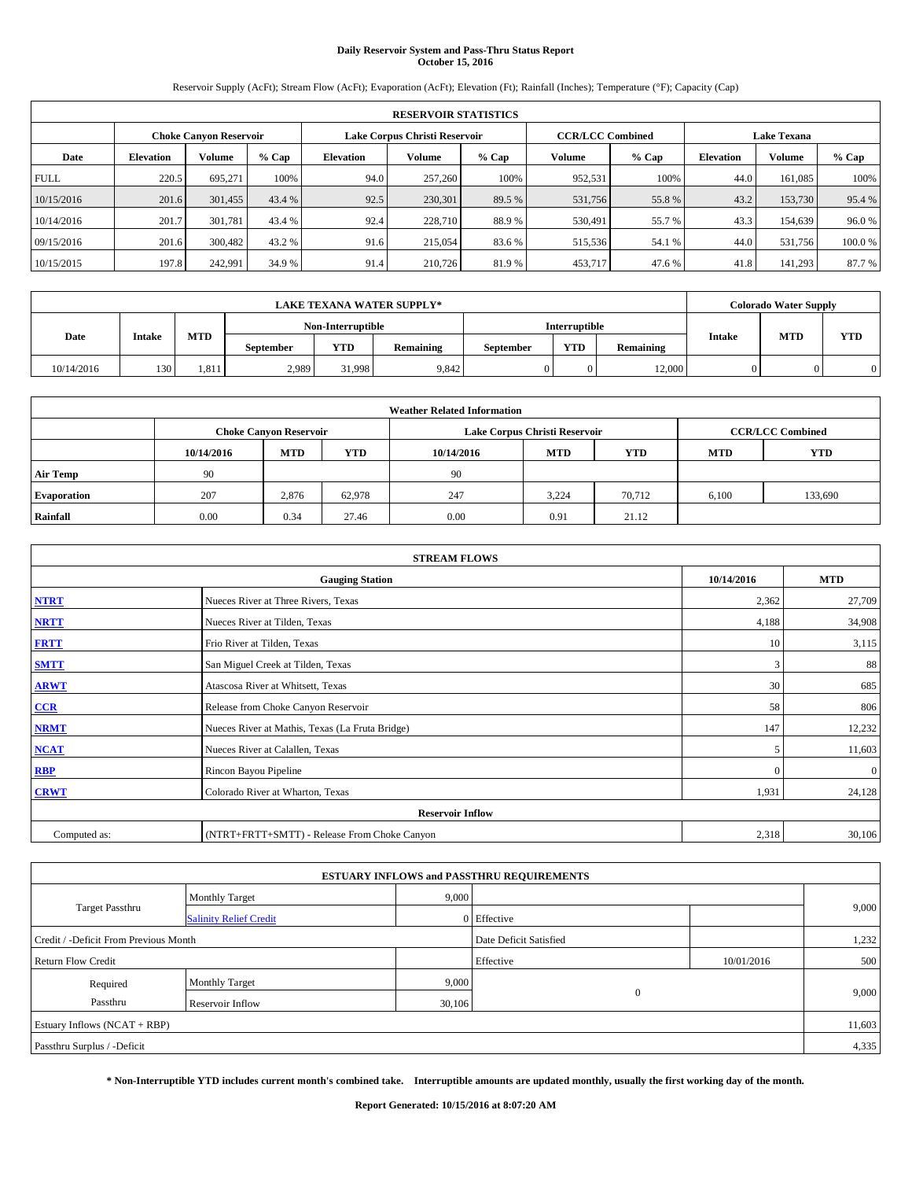# **Daily Reservoir System and Pass-Thru Status Report October 15, 2016**

Reservoir Supply (AcFt); Stream Flow (AcFt); Evaporation (AcFt); Elevation (Ft); Rainfall (Inches); Temperature (°F); Capacity (Cap)

| <b>RESERVOIR STATISTICS</b> |                  |                        |        |                               |         |         |                         |         |                  |                    |        |  |
|-----------------------------|------------------|------------------------|--------|-------------------------------|---------|---------|-------------------------|---------|------------------|--------------------|--------|--|
|                             |                  | Choke Canvon Reservoir |        | Lake Corpus Christi Reservoir |         |         | <b>CCR/LCC Combined</b> |         |                  | <b>Lake Texana</b> |        |  |
| Date                        | <b>Elevation</b> | Volume                 | % Cap  | <b>Elevation</b>              | Volume  | $%$ Cap | Volume                  | $%$ Cap | <b>Elevation</b> | <b>Volume</b>      | % Cap  |  |
| <b>FULL</b>                 | 220.5            | 695,271                | 100%   | 94.0                          | 257,260 | 100%    | 952.531                 | 100%    | 44.0             | 161.085            | 100%   |  |
| 10/15/2016                  | 201.6            | 301,455                | 43.4 % | 92.5                          | 230,301 | 89.5 %  | 531,756                 | 55.8%   | 43.2             | 153,730            | 95.4 % |  |
| 10/14/2016                  | 201.7            | 301.781                | 43.4 % | 92.4                          | 228,710 | 88.9%   | 530.491                 | 55.7 %  | 43.3             | 154.639            | 96.0%  |  |
| 09/15/2016                  | 201.6            | 300,482                | 43.2 % | 91.6                          | 215,054 | 83.6 %  | 515,536                 | 54.1 %  | 44.0             | 531.756            | 100.0% |  |
| 10/15/2015                  | 197.8            | 242,991                | 34.9 % | 91.4                          | 210,726 | 81.9%   | 453,717                 | 47.6 %  | 41.8             | 141.293            | 87.7 % |  |

|            | LAKE TEXANA WATER SUPPLY*_ |            |                   |                         |       |  |               |           |               |            | <b>Colorado Water Supply</b> |
|------------|----------------------------|------------|-------------------|-------------------------|-------|--|---------------|-----------|---------------|------------|------------------------------|
|            |                            |            | Non-Interruptible |                         |       |  | Interruptible |           |               |            |                              |
| Date       | <b>Intake</b>              | <b>MTD</b> | <b>September</b>  | <b>YTD</b><br>Remaining |       |  | <b>YTD</b>    | Remaining | <b>Intake</b> | <b>MTD</b> | <b>YTD</b>                   |
| 10/14/2016 | 130                        | 1.811      | 2,989             | 31.998                  | 9,842 |  |               | 12.000    |               |            |                              |

| <b>Weather Related Information</b> |            |                               |            |            |                               |                         |            |            |  |
|------------------------------------|------------|-------------------------------|------------|------------|-------------------------------|-------------------------|------------|------------|--|
|                                    |            | <b>Choke Canyon Reservoir</b> |            |            | Lake Corpus Christi Reservoir | <b>CCR/LCC Combined</b> |            |            |  |
|                                    | 10/14/2016 | <b>MTD</b>                    | <b>YTD</b> | 10/14/2016 | <b>MTD</b>                    | <b>YTD</b>              | <b>MTD</b> | <b>YTD</b> |  |
| <b>Air Temp</b>                    | 90         |                               |            | -90        |                               |                         |            |            |  |
| <b>Evaporation</b>                 | 207        | 2,876                         | 62,978     | 247        | 3,224                         | 70.712                  | 6,100      | 133,690    |  |
| Rainfall                           | 0.00       | 0.34                          | 27.46      | 0.00       | 0.91                          | 21.12                   |            |            |  |

| <b>STREAM FLOWS</b> |                                                 |              |              |  |  |  |  |  |  |
|---------------------|-------------------------------------------------|--------------|--------------|--|--|--|--|--|--|
|                     | 10/14/2016                                      | <b>MTD</b>   |              |  |  |  |  |  |  |
| <b>NTRT</b>         | Nueces River at Three Rivers, Texas             | 2,362        | 27,709       |  |  |  |  |  |  |
| <b>NRTT</b>         | Nueces River at Tilden, Texas                   | 4,188        | 34,908       |  |  |  |  |  |  |
| <b>FRTT</b>         | Frio River at Tilden, Texas                     | 10           | 3,115        |  |  |  |  |  |  |
| <b>SMTT</b>         | San Miguel Creek at Tilden, Texas               | 3            | 88           |  |  |  |  |  |  |
| <b>ARWT</b>         | Atascosa River at Whitsett, Texas               | 30           | 685          |  |  |  |  |  |  |
| $CCR$               | Release from Choke Canyon Reservoir             | 58           | 806          |  |  |  |  |  |  |
| <b>NRMT</b>         | Nueces River at Mathis, Texas (La Fruta Bridge) | 147          | 12,232       |  |  |  |  |  |  |
| <b>NCAT</b>         | Nueces River at Calallen, Texas                 | 5            | 11,603       |  |  |  |  |  |  |
| RBP                 | Rincon Bayou Pipeline                           | $\mathbf{0}$ | $\mathbf{0}$ |  |  |  |  |  |  |
| <b>CRWT</b>         | Colorado River at Wharton, Texas                | 1,931        | 24,128       |  |  |  |  |  |  |
|                     | <b>Reservoir Inflow</b>                         |              |              |  |  |  |  |  |  |
| Computed as:        | 2,318                                           | 30,106       |              |  |  |  |  |  |  |

|                                       |                               |        | <b>ESTUARY INFLOWS and PASSTHRU REQUIREMENTS</b> |            |       |  |  |  |
|---------------------------------------|-------------------------------|--------|--------------------------------------------------|------------|-------|--|--|--|
|                                       | <b>Monthly Target</b>         | 9,000  |                                                  |            |       |  |  |  |
| Target Passthru                       | <b>Salinity Relief Credit</b> |        | 0 Effective                                      |            | 9,000 |  |  |  |
| Credit / -Deficit From Previous Month |                               |        | Date Deficit Satisfied                           |            | 1,232 |  |  |  |
| <b>Return Flow Credit</b>             |                               |        | Effective                                        | 10/01/2016 | 500   |  |  |  |
| Required                              | <b>Monthly Target</b>         | 9,000  |                                                  |            |       |  |  |  |
| Passthru                              | <b>Reservoir Inflow</b>       | 30,106 | $\Omega$                                         |            | 9,000 |  |  |  |
| Estuary Inflows (NCAT + RBP)          |                               |        |                                                  |            |       |  |  |  |
| Passthru Surplus / -Deficit           |                               |        |                                                  |            |       |  |  |  |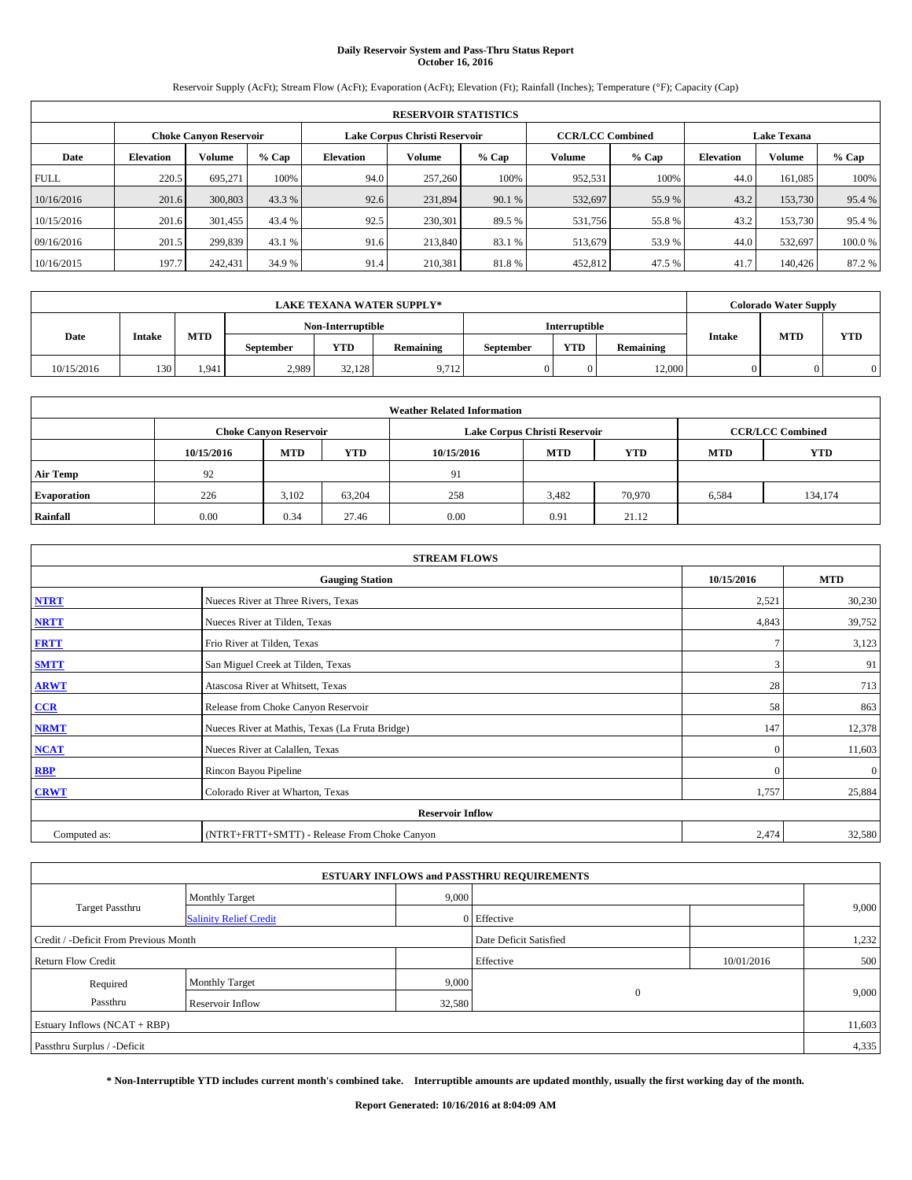## **Daily Reservoir System and Pass-Thru Status Report October 16, 2016**

Reservoir Supply (AcFt); Stream Flow (AcFt); Evaporation (AcFt); Elevation (Ft); Rainfall (Inches); Temperature (°F); Capacity (Cap)

|             | <b>RESERVOIR STATISTICS</b> |                        |         |                               |               |         |                         |         |                  |                    |        |  |
|-------------|-----------------------------|------------------------|---------|-------------------------------|---------------|---------|-------------------------|---------|------------------|--------------------|--------|--|
|             |                             | Choke Canvon Reservoir |         | Lake Corpus Christi Reservoir |               |         | <b>CCR/LCC Combined</b> |         |                  | <b>Lake Texana</b> |        |  |
| Date        | <b>Elevation</b>            | Volume                 | $%$ Cap | <b>Elevation</b>              | <b>Volume</b> | $%$ Cap | Volume                  | $%$ Cap | <b>Elevation</b> | <b>Volume</b>      | % Cap  |  |
| <b>FULL</b> | 220.5                       | 695,271                | 100%    | 94.0                          | 257,260       | 100%    | 952,531                 | 100%    | 44.0             | 161.085            | 100%   |  |
| 10/16/2016  | 201.6                       | 300,803                | 43.3 %  | 92.6                          | 231,894       | 90.1 %  | 532,697                 | 55.9%   | 43.2             | 153,730            | 95.4 % |  |
| 10/15/2016  | 201.6                       | 301,455                | 43.4 %  | 92.5                          | 230,301       | 89.5 %  | 531,756                 | 55.8%   | 43.2             | 153,730            | 95.4 % |  |
| 09/16/2016  | 201.5                       | 299,839                | 43.1 %  | 91.6                          | 213,840       | 83.1 %  | 513,679                 | 53.9%   | 44.0             | 532.697            | 100.0% |  |
| 10/16/2015  | 197.7                       | 242,431                | 34.9 %  | 91.4                          | 210,381       | 81.8%   | 452,812                 | 47.5 %  | 41.7             | 140,426            | 87.2 % |  |

| <b>LAKE TEXANA WATER SUPPLY*</b> |               |            |                  |                   |           |           |                      |                  |                             | <b>Colorado Water Supply</b> |            |
|----------------------------------|---------------|------------|------------------|-------------------|-----------|-----------|----------------------|------------------|-----------------------------|------------------------------|------------|
|                                  |               |            |                  | Non-Interruptible |           |           | <b>Interruptible</b> |                  |                             |                              |            |
| Date                             | <b>Intake</b> | <b>MTD</b> | <b>September</b> | <b>YTD</b>        | Remaining | September | <b>YTD</b>           | <b>Remaining</b> | <b>MTD</b><br><b>Intake</b> |                              | <b>YTD</b> |
| 10/15/2016                       | 130           | 1.941      | 2,989            | 32.128            | 9.712     |           |                      | 12.000           |                             |                              |            |

| <b>Weather Related Information</b> |            |                               |            |            |                               |                         |            |            |  |
|------------------------------------|------------|-------------------------------|------------|------------|-------------------------------|-------------------------|------------|------------|--|
|                                    |            | <b>Choke Canyon Reservoir</b> |            |            | Lake Corpus Christi Reservoir | <b>CCR/LCC Combined</b> |            |            |  |
|                                    | 10/15/2016 | <b>MTD</b>                    | <b>YTD</b> | 10/15/2016 | <b>MTD</b>                    | <b>YTD</b>              | <b>MTD</b> | <b>YTD</b> |  |
| <b>Air Temp</b>                    | 92         |                               |            | 91         |                               |                         |            |            |  |
| <b>Evaporation</b>                 | 226        | 3.102                         | 63.204     | 258        | 3.482                         | 70,970                  | 6,584      | 134.174    |  |
| Rainfall                           | 0.00       | 0.34                          | 27.46      | 0.00       | 0.91                          | 21.12                   |            |            |  |

| <b>STREAM FLOWS</b>     |                                                 |              |              |  |  |  |  |  |  |
|-------------------------|-------------------------------------------------|--------------|--------------|--|--|--|--|--|--|
|                         | 10/15/2016                                      | <b>MTD</b>   |              |  |  |  |  |  |  |
| <b>NTRT</b>             | Nueces River at Three Rivers, Texas             | 2,521        | 30,230       |  |  |  |  |  |  |
| <b>NRTT</b>             | Nueces River at Tilden, Texas                   | 4,843        | 39,752       |  |  |  |  |  |  |
| <b>FRTT</b>             | Frio River at Tilden, Texas                     |              | 3,123        |  |  |  |  |  |  |
| <b>SMTT</b>             | San Miguel Creek at Tilden, Texas               | 3            | 91           |  |  |  |  |  |  |
| <b>ARWT</b>             | Atascosa River at Whitsett, Texas               | 28           | 713          |  |  |  |  |  |  |
| $CCR$                   | Release from Choke Canyon Reservoir             | 58           | 863          |  |  |  |  |  |  |
| <b>NRMT</b>             | Nueces River at Mathis, Texas (La Fruta Bridge) | 147          | 12,378       |  |  |  |  |  |  |
| <b>NCAT</b>             | Nueces River at Calallen, Texas                 | $\Omega$     | 11,603       |  |  |  |  |  |  |
| RBP                     | Rincon Bayou Pipeline                           | $\mathbf{0}$ | $\mathbf{0}$ |  |  |  |  |  |  |
| <b>CRWT</b>             | Colorado River at Wharton, Texas                | 1,757        | 25,884       |  |  |  |  |  |  |
| <b>Reservoir Inflow</b> |                                                 |              |              |  |  |  |  |  |  |
| Computed as:            | (NTRT+FRTT+SMTT) - Release From Choke Canyon    | 2,474        | 32,580       |  |  |  |  |  |  |

|                                       |                               |        | <b>ESTUARY INFLOWS and PASSTHRU REQUIREMENTS</b> |            |       |  |  |  |
|---------------------------------------|-------------------------------|--------|--------------------------------------------------|------------|-------|--|--|--|
|                                       | <b>Monthly Target</b>         | 9,000  |                                                  |            |       |  |  |  |
| Target Passthru                       | <b>Salinity Relief Credit</b> |        | 0 Effective                                      |            | 9,000 |  |  |  |
| Credit / -Deficit From Previous Month |                               |        | Date Deficit Satisfied                           |            | 1,232 |  |  |  |
| <b>Return Flow Credit</b>             |                               |        | Effective                                        | 10/01/2016 | 500   |  |  |  |
| Required                              | <b>Monthly Target</b>         | 9,000  |                                                  |            |       |  |  |  |
| Passthru                              | <b>Reservoir Inflow</b>       | 32,580 | $\Omega$                                         |            | 9,000 |  |  |  |
| Estuary Inflows (NCAT + RBP)          |                               |        |                                                  |            |       |  |  |  |
| Passthru Surplus / -Deficit           |                               |        |                                                  |            |       |  |  |  |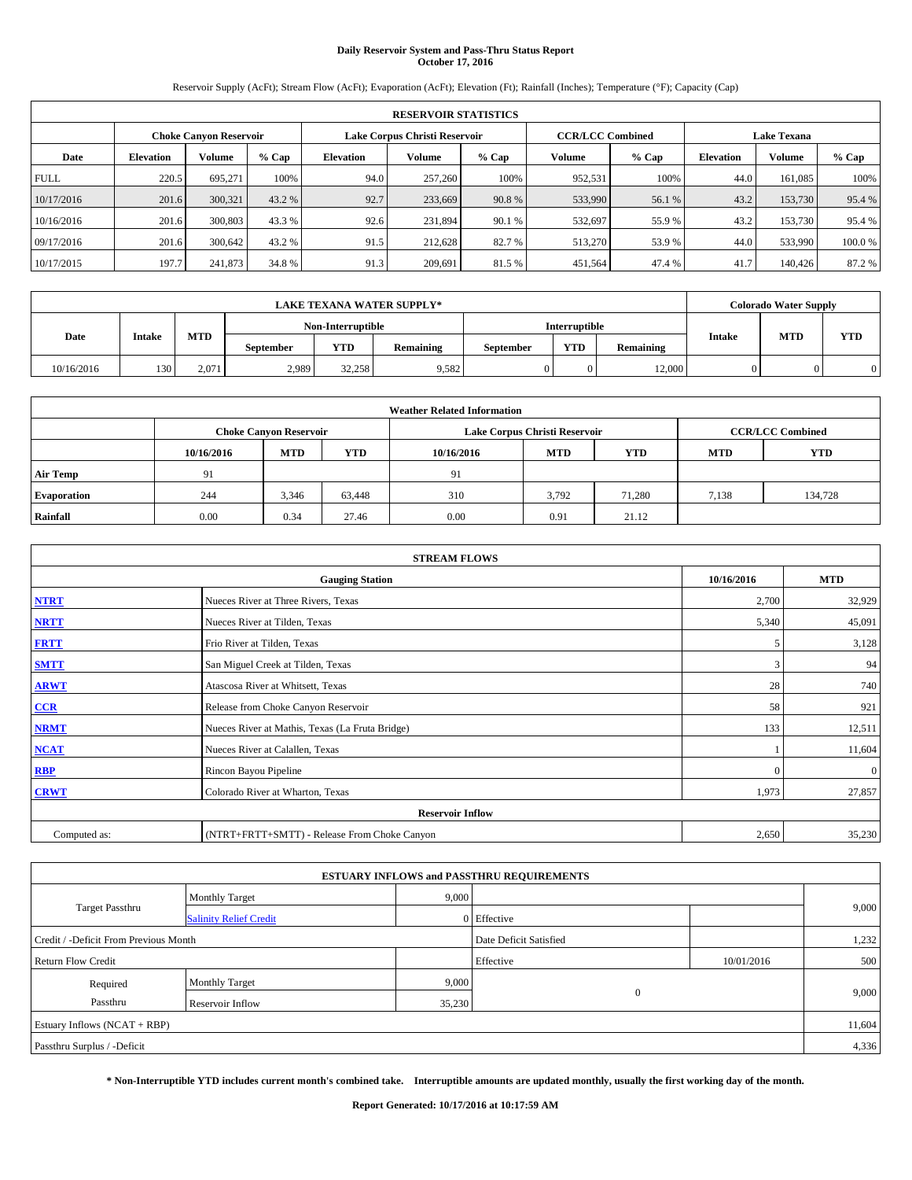# **Daily Reservoir System and Pass-Thru Status Report October 17, 2016**

Reservoir Supply (AcFt); Stream Flow (AcFt); Evaporation (AcFt); Elevation (Ft); Rainfall (Inches); Temperature (°F); Capacity (Cap)

| <b>RESERVOIR STATISTICS</b> |                  |                        |        |                  |                               |         |                         |         |                  |                    |        |  |
|-----------------------------|------------------|------------------------|--------|------------------|-------------------------------|---------|-------------------------|---------|------------------|--------------------|--------|--|
|                             |                  | Choke Canvon Reservoir |        |                  | Lake Corpus Christi Reservoir |         | <b>CCR/LCC Combined</b> |         |                  | <b>Lake Texana</b> |        |  |
| Date                        | <b>Elevation</b> | Volume                 | % Cap  | <b>Elevation</b> | Volume                        | $%$ Cap | Volume                  | $%$ Cap | <b>Elevation</b> | <b>Volume</b>      | % Cap  |  |
| <b>FULL</b>                 | 220.5            | 695,271                | 100%   | 94.0             | 257,260                       | 100%    | 952.531                 | 100%    | 44.0             | 161.085            | 100%   |  |
| 10/17/2016                  | 201.6            | 300,321                | 43.2 % | 92.7             | 233,669                       | 90.8%   | 533,990                 | 56.1 %  | 43.2             | 153,730            | 95.4 % |  |
| 10/16/2016                  | 201.6            | 300,803                | 43.3 % | 92.6             | 231,894                       | 90.1 %  | 532,697                 | 55.9 %  | 43.2             | 153,730            | 95.4 % |  |
| 09/17/2016                  | 201.6            | 300.642                | 43.2 % | 91.5             | 212,628                       | 82.7 %  | 513,270                 | 53.9 %  | 44.0             | 533,990            | 100.0% |  |
| 10/17/2015                  | 197.7            | 241,873                | 34.8 % | 91.3             | 209.691                       | 81.5%   | 451,564                 | 47.4 %  | 41.7             | 140,426            | 87.2 % |  |

| <b>LAKE TEXANA WATER SUPPLY*</b> |               |            |                  |                   |           |           |                      |                  |                             | <b>Colorado Water Supply</b> |            |
|----------------------------------|---------------|------------|------------------|-------------------|-----------|-----------|----------------------|------------------|-----------------------------|------------------------------|------------|
|                                  |               |            |                  | Non-Interruptible |           |           | <b>Interruptible</b> |                  |                             |                              |            |
| Date                             | <b>Intake</b> | <b>MTD</b> | <b>September</b> | <b>YTD</b>        | Remaining | September | <b>YTD</b>           | <b>Remaining</b> | <b>MTD</b><br><b>Intake</b> |                              | <b>YTD</b> |
| 10/16/2016                       | 130           | 2.071      | 2,989            | 32,258            | 9,582     |           |                      | 12.000           |                             |                              |            |

| <b>Weather Related Information</b> |            |                               |            |            |                               |                         |            |            |  |
|------------------------------------|------------|-------------------------------|------------|------------|-------------------------------|-------------------------|------------|------------|--|
|                                    |            | <b>Choke Canyon Reservoir</b> |            |            | Lake Corpus Christi Reservoir | <b>CCR/LCC Combined</b> |            |            |  |
|                                    | 10/16/2016 | <b>MTD</b>                    | <b>YTD</b> | 10/16/2016 | <b>MTD</b>                    | <b>YTD</b>              | <b>MTD</b> | <b>YTD</b> |  |
| <b>Air Temp</b>                    | 91         |                               |            | 91         |                               |                         |            |            |  |
| <b>Evaporation</b>                 | 244        | 3,346                         | 63,448     | 310        | 3,792                         | 71.280                  | 7,138      | 134,728    |  |
| Rainfall                           | 0.00       | 0.34                          | 27.46      | 0.00       | 0.91                          | 21.12                   |            |            |  |

| <b>STREAM FLOWS</b> |                                                 |            |              |  |  |  |  |  |  |
|---------------------|-------------------------------------------------|------------|--------------|--|--|--|--|--|--|
|                     | <b>Gauging Station</b>                          | 10/16/2016 | <b>MTD</b>   |  |  |  |  |  |  |
| <b>NTRT</b>         | Nueces River at Three Rivers, Texas             | 2,700      | 32,929       |  |  |  |  |  |  |
| <b>NRTT</b>         | Nueces River at Tilden, Texas                   | 5,340      | 45,091       |  |  |  |  |  |  |
| <b>FRTT</b>         | Frio River at Tilden, Texas                     | C          | 3,128        |  |  |  |  |  |  |
| <b>SMTT</b>         | San Miguel Creek at Tilden, Texas               | 3          | 94           |  |  |  |  |  |  |
| <b>ARWT</b>         | Atascosa River at Whitsett, Texas               | 28         | 740          |  |  |  |  |  |  |
| CCR                 | Release from Choke Canyon Reservoir             | 58         | 921          |  |  |  |  |  |  |
| <b>NRMT</b>         | Nueces River at Mathis, Texas (La Fruta Bridge) | 133        | 12,511       |  |  |  |  |  |  |
| <b>NCAT</b>         | Nueces River at Calallen, Texas                 |            | 11,604       |  |  |  |  |  |  |
| <b>RBP</b>          | Rincon Bayou Pipeline                           | $\Omega$   | $\mathbf{0}$ |  |  |  |  |  |  |
| <b>CRWT</b>         | Colorado River at Wharton, Texas                | 1,973      | 27,857       |  |  |  |  |  |  |
|                     | <b>Reservoir Inflow</b>                         |            |              |  |  |  |  |  |  |
| Computed as:        | (NTRT+FRTT+SMTT) - Release From Choke Canyon    | 2,650      | 35,230       |  |  |  |  |  |  |

|                                       |                               |        | <b>ESTUARY INFLOWS and PASSTHRU REQUIREMENTS</b> |            |       |  |  |  |
|---------------------------------------|-------------------------------|--------|--------------------------------------------------|------------|-------|--|--|--|
|                                       | <b>Monthly Target</b>         | 9,000  |                                                  |            |       |  |  |  |
| Target Passthru                       | <b>Salinity Relief Credit</b> |        | 0 Effective                                      |            | 9,000 |  |  |  |
| Credit / -Deficit From Previous Month |                               |        | Date Deficit Satisfied                           |            | 1,232 |  |  |  |
| <b>Return Flow Credit</b>             |                               |        | Effective                                        | 10/01/2016 | 500   |  |  |  |
| Required                              | <b>Monthly Target</b>         | 9,000  |                                                  |            |       |  |  |  |
| Passthru                              | <b>Reservoir Inflow</b>       | 35,230 | $\theta$                                         |            | 9,000 |  |  |  |
| Estuary Inflows (NCAT + RBP)          |                               |        |                                                  |            |       |  |  |  |
| Passthru Surplus / -Deficit           |                               |        |                                                  |            |       |  |  |  |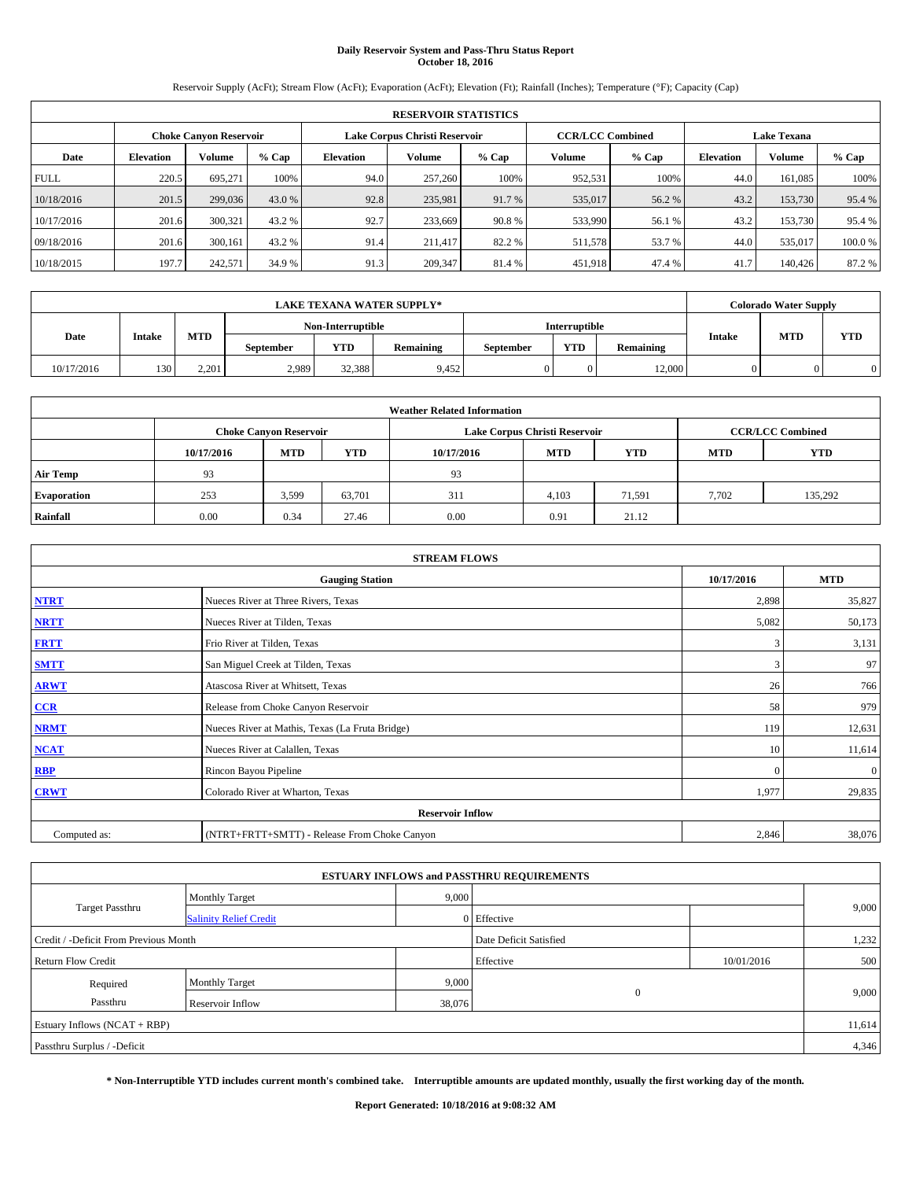## **Daily Reservoir System and Pass-Thru Status Report October 18, 2016**

Reservoir Supply (AcFt); Stream Flow (AcFt); Evaporation (AcFt); Elevation (Ft); Rainfall (Inches); Temperature (°F); Capacity (Cap)

|             | <b>RESERVOIR STATISTICS</b> |                        |        |                  |                               |         |                                               |         |                  |               |        |  |
|-------------|-----------------------------|------------------------|--------|------------------|-------------------------------|---------|-----------------------------------------------|---------|------------------|---------------|--------|--|
|             |                             | Choke Canvon Reservoir |        |                  | Lake Corpus Christi Reservoir |         | <b>CCR/LCC Combined</b><br><b>Lake Texana</b> |         |                  |               |        |  |
| Date        | <b>Elevation</b>            | Volume                 | % Cap  | <b>Elevation</b> | Volume                        | $%$ Cap | Volume                                        | $%$ Cap | <b>Elevation</b> | <b>Volume</b> | % Cap  |  |
| <b>FULL</b> | 220.5                       | 695,271                | 100%   | 94.0             | 257,260                       | 100%    | 952.531                                       | 100%    | 44.0             | 161.085       | 100%   |  |
| 10/18/2016  | 201.5                       | 299,036                | 43.0 % | 92.8             | 235,981                       | 91.7%   | 535,017                                       | 56.2 %  | 43.2             | 153,730       | 95.4 % |  |
| 10/17/2016  | 201.6                       | 300,321                | 43.2 % | 92.7             | 233,669                       | 90.8%   | 533,990                                       | 56.1 %  | 43.2             | 153,730       | 95.4 % |  |
| 09/18/2016  | 201.6                       | 300.161                | 43.2 % | 91.4             | 211.417                       | 82.2 %  | 511.578                                       | 53.7 %  | 44.0             | 535,017       | 100.0% |  |
| 10/18/2015  | 197.7                       | 242,571                | 34.9 % | 91.3             | 209,347                       | 81.4%   | 451,918                                       | 47.4 %  | 41.7             | 140,426       | 87.2 % |  |

|            | <b>LAKE TEXANA WATER SUPPLY*</b> |                             |                   |            |           |                      |            |                  |               | <b>Colorado Water Supply</b> |            |
|------------|----------------------------------|-----------------------------|-------------------|------------|-----------|----------------------|------------|------------------|---------------|------------------------------|------------|
|            |                                  | <b>MTD</b><br><b>Intake</b> | Non-Interruptible |            |           | <b>Interruptible</b> |            |                  |               |                              |            |
| Date       |                                  |                             | <b>September</b>  | <b>YTD</b> | Remaining | September            | <b>YTD</b> | <b>Remaining</b> | <b>Intake</b> | <b>MTD</b>                   | <b>YTD</b> |
| 10/17/2016 | 130                              | 2.201                       | 2,989             | 32,388     | 9.452     |                      |            | 12.000           |               |                              |            |

| <b>Weather Related Information</b> |            |                               |            |            |                               |            |                         |         |  |  |
|------------------------------------|------------|-------------------------------|------------|------------|-------------------------------|------------|-------------------------|---------|--|--|
|                                    |            | <b>Choke Canyon Reservoir</b> |            |            | Lake Corpus Christi Reservoir |            | <b>CCR/LCC Combined</b> |         |  |  |
|                                    | 10/17/2016 | <b>MTD</b>                    | <b>YTD</b> | 10/17/2016 | <b>MTD</b>                    | <b>YTD</b> |                         |         |  |  |
| <b>Air Temp</b>                    | 93         |                               |            | 93         |                               |            |                         |         |  |  |
| <b>Evaporation</b>                 | 253        | 3,599                         | 63,701     | 311        | 4,103                         | 71,591     | 7,702                   | 135,292 |  |  |
| Rainfall                           | 0.00       | 0.34                          | 27.46      | 0.00       | 0.91                          | 21.12      |                         |         |  |  |

| <b>STREAM FLOWS</b> |                                                 |              |              |  |  |  |  |  |  |
|---------------------|-------------------------------------------------|--------------|--------------|--|--|--|--|--|--|
|                     | <b>Gauging Station</b>                          | 10/17/2016   | <b>MTD</b>   |  |  |  |  |  |  |
| <b>NTRT</b>         | Nueces River at Three Rivers, Texas             | 2,898        | 35,827       |  |  |  |  |  |  |
| <b>NRTT</b>         | Nueces River at Tilden, Texas                   | 5,082        | 50,173       |  |  |  |  |  |  |
| <b>FRTT</b>         | Frio River at Tilden, Texas                     | 3            | 3,131        |  |  |  |  |  |  |
| <b>SMTT</b>         | San Miguel Creek at Tilden, Texas               | 3            | 97           |  |  |  |  |  |  |
| <b>ARWT</b>         | Atascosa River at Whitsett, Texas               | 26           | 766          |  |  |  |  |  |  |
| CCR                 | Release from Choke Canyon Reservoir             | 58           | 979          |  |  |  |  |  |  |
| <b>NRMT</b>         | Nueces River at Mathis, Texas (La Fruta Bridge) | 119          | 12,631       |  |  |  |  |  |  |
| <b>NCAT</b>         | Nueces River at Calallen, Texas                 | 10           | 11,614       |  |  |  |  |  |  |
| <b>RBP</b>          | Rincon Bayou Pipeline                           | $\mathbf{0}$ | $\mathbf{0}$ |  |  |  |  |  |  |
| <b>CRWT</b>         | Colorado River at Wharton, Texas                | 1,977        | 29,835       |  |  |  |  |  |  |
|                     | <b>Reservoir Inflow</b>                         |              |              |  |  |  |  |  |  |
| Computed as:        | (NTRT+FRTT+SMTT) - Release From Choke Canyon    | 2,846        | 38,076       |  |  |  |  |  |  |

|                                       |                               |        | <b>ESTUARY INFLOWS and PASSTHRU REQUIREMENTS</b> |            |       |  |  |  |
|---------------------------------------|-------------------------------|--------|--------------------------------------------------|------------|-------|--|--|--|
|                                       | <b>Monthly Target</b>         | 9,000  |                                                  |            |       |  |  |  |
| Target Passthru                       | <b>Salinity Relief Credit</b> |        | 0 Effective                                      |            | 9,000 |  |  |  |
| Credit / -Deficit From Previous Month |                               |        | Date Deficit Satisfied                           |            | 1,232 |  |  |  |
| <b>Return Flow Credit</b>             |                               |        | Effective                                        | 10/01/2016 | 500   |  |  |  |
| Required                              | <b>Monthly Target</b>         | 9,000  |                                                  |            |       |  |  |  |
| Passthru                              | Reservoir Inflow              | 38,076 | $\theta$                                         |            | 9,000 |  |  |  |
| Estuary Inflows (NCAT + RBP)          |                               |        |                                                  |            |       |  |  |  |
| Passthru Surplus / -Deficit           |                               |        |                                                  |            |       |  |  |  |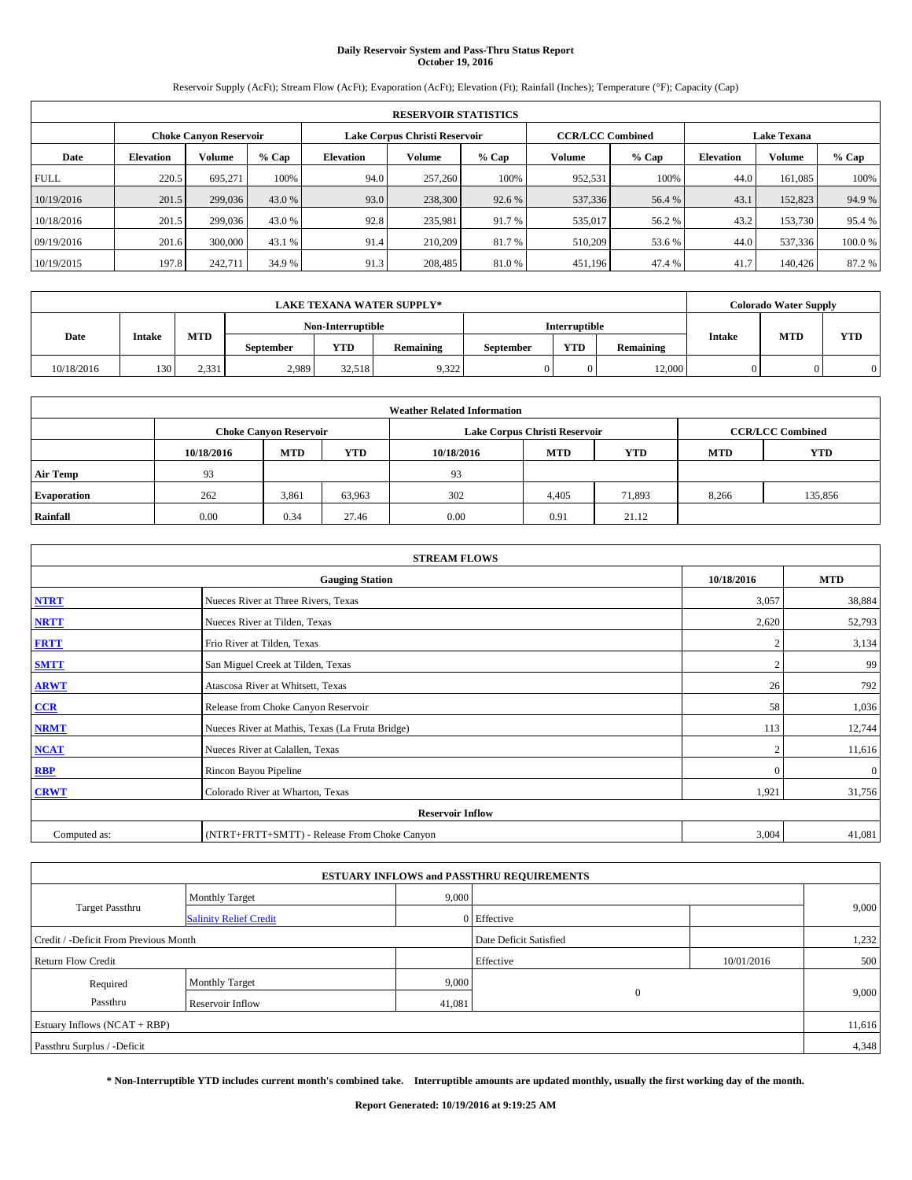# **Daily Reservoir System and Pass-Thru Status Report October 19, 2016**

Reservoir Supply (AcFt); Stream Flow (AcFt); Evaporation (AcFt); Elevation (Ft); Rainfall (Inches); Temperature (°F); Capacity (Cap)

| <b>RESERVOIR STATISTICS</b> |                  |                        |         |                  |                               |         |                                               |         |                  |               |        |
|-----------------------------|------------------|------------------------|---------|------------------|-------------------------------|---------|-----------------------------------------------|---------|------------------|---------------|--------|
|                             |                  | Choke Canvon Reservoir |         |                  | Lake Corpus Christi Reservoir |         | <b>CCR/LCC Combined</b><br><b>Lake Texana</b> |         |                  |               |        |
| Date                        | <b>Elevation</b> | Volume                 | $%$ Cap | <b>Elevation</b> | <b>Volume</b>                 | $%$ Cap | Volume                                        | $%$ Cap | <b>Elevation</b> | <b>Volume</b> | % Cap  |
| <b>FULL</b>                 | 220.5            | 695,271                | 100%    | 94.0             | 257,260                       | 100%    | 952,531                                       | 100%    | 44.0             | 161.085       | 100%   |
| 10/19/2016                  | 201.5            | 299,036                | 43.0 %  | 93.0             | 238,300                       | 92.6 %  | 537,336                                       | 56.4 %  | 43.              | 152,823       | 94.9%  |
| 10/18/2016                  | 201.5            | 299,036                | 43.0 %  | 92.8             | 235.981                       | 91.7 %  | 535,017                                       | 56.2 %  | 43.2             | 153,730       | 95.4 % |
| 09/19/2016                  | 201.6            | 300,000                | 43.1 %  | 91.4             | 210,209                       | 81.7%   | 510,209                                       | 53.6 %  | 44.0             | 537,336       | 100.0% |
| 10/19/2015                  | 197.8            | 242,711                | 34.9 %  | 91.3             | 208,485                       | 81.0%   | 451,196                                       | 47.4 %  | 41.7             | 140,426       | 87.2 % |

|            | <b>LAKE TEXANA WATER SUPPLY*</b> |                             |                   |            |           |                      |            |                  |               | <b>Colorado Water Supply</b> |            |
|------------|----------------------------------|-----------------------------|-------------------|------------|-----------|----------------------|------------|------------------|---------------|------------------------------|------------|
|            |                                  | <b>MTD</b><br><b>Intake</b> | Non-Interruptible |            |           | <b>Interruptible</b> |            |                  |               |                              |            |
| Date       |                                  |                             | <b>September</b>  | <b>YTD</b> | Remaining | September            | <b>YTD</b> | <b>Remaining</b> | <b>Intake</b> | <b>MTD</b>                   | <b>YTD</b> |
| 10/18/2016 | 130                              | 2.331                       | 2,989             | 32.518     | 9,322     |                      |            | 12.000           |               |                              |            |

| <b>Weather Related Information</b> |            |                               |            |            |                               |        |                         |         |  |  |
|------------------------------------|------------|-------------------------------|------------|------------|-------------------------------|--------|-------------------------|---------|--|--|
|                                    |            | <b>Choke Canyon Reservoir</b> |            |            | Lake Corpus Christi Reservoir |        | <b>CCR/LCC Combined</b> |         |  |  |
|                                    | 10/18/2016 | <b>MTD</b>                    | <b>MTD</b> | <b>YTD</b> |                               |        |                         |         |  |  |
| <b>Air Temp</b>                    | 93         |                               |            | 93         |                               |        |                         |         |  |  |
| <b>Evaporation</b>                 | 262        | 3,861                         | 63,963     | 302        | 4,405                         | 71,893 | 8,266                   | 135,856 |  |  |
| Rainfall                           | 0.00       | 0.34                          | 27.46      | 0.00       | 0.91                          | 21.12  |                         |         |  |  |

| <b>STREAM FLOWS</b> |                                                 |                |              |  |  |  |  |  |  |
|---------------------|-------------------------------------------------|----------------|--------------|--|--|--|--|--|--|
|                     | <b>Gauging Station</b>                          | 10/18/2016     | <b>MTD</b>   |  |  |  |  |  |  |
| <b>NTRT</b>         | Nueces River at Three Rivers, Texas             | 3,057          | 38,884       |  |  |  |  |  |  |
| <b>NRTT</b>         | Nueces River at Tilden, Texas                   | 2,620          | 52,793       |  |  |  |  |  |  |
| <b>FRTT</b>         | Frio River at Tilden, Texas                     |                | 3,134        |  |  |  |  |  |  |
| <b>SMTT</b>         | San Miguel Creek at Tilden, Texas               |                | 99           |  |  |  |  |  |  |
| <b>ARWT</b>         | Atascosa River at Whitsett, Texas               | 26             | 792          |  |  |  |  |  |  |
| $CCR$               | Release from Choke Canyon Reservoir             | 58             | 1,036        |  |  |  |  |  |  |
| <b>NRMT</b>         | Nueces River at Mathis, Texas (La Fruta Bridge) | 113            | 12,744       |  |  |  |  |  |  |
| <b>NCAT</b>         | Nueces River at Calallen, Texas                 | $\overline{2}$ | 11,616       |  |  |  |  |  |  |
| <b>RBP</b>          | Rincon Bayou Pipeline                           | $\Omega$       | $\mathbf{0}$ |  |  |  |  |  |  |
| <b>CRWT</b>         | Colorado River at Wharton, Texas                | 1,921          | 31,756       |  |  |  |  |  |  |
|                     | <b>Reservoir Inflow</b>                         |                |              |  |  |  |  |  |  |
| Computed as:        | (NTRT+FRTT+SMTT) - Release From Choke Canyon    |                |              |  |  |  |  |  |  |

| <b>ESTUARY INFLOWS and PASSTHRU REQUIREMENTS</b> |                               |        |                        |            |       |  |  |  |  |  |
|--------------------------------------------------|-------------------------------|--------|------------------------|------------|-------|--|--|--|--|--|
|                                                  | <b>Monthly Target</b>         | 9,000  |                        |            |       |  |  |  |  |  |
| Target Passthru                                  | <b>Salinity Relief Credit</b> |        | 0 Effective            |            | 9,000 |  |  |  |  |  |
| Credit / -Deficit From Previous Month            |                               |        | Date Deficit Satisfied |            | 1,232 |  |  |  |  |  |
| <b>Return Flow Credit</b>                        |                               |        | Effective              | 10/01/2016 | 500   |  |  |  |  |  |
| Required                                         | Monthly Target                | 9,000  |                        |            |       |  |  |  |  |  |
| Passthru                                         | <b>Reservoir Inflow</b>       | 41,081 | $\theta$               |            | 9,000 |  |  |  |  |  |
| Estuary Inflows (NCAT + RBP)                     |                               |        |                        |            |       |  |  |  |  |  |
| Passthru Surplus / -Deficit                      |                               |        |                        |            |       |  |  |  |  |  |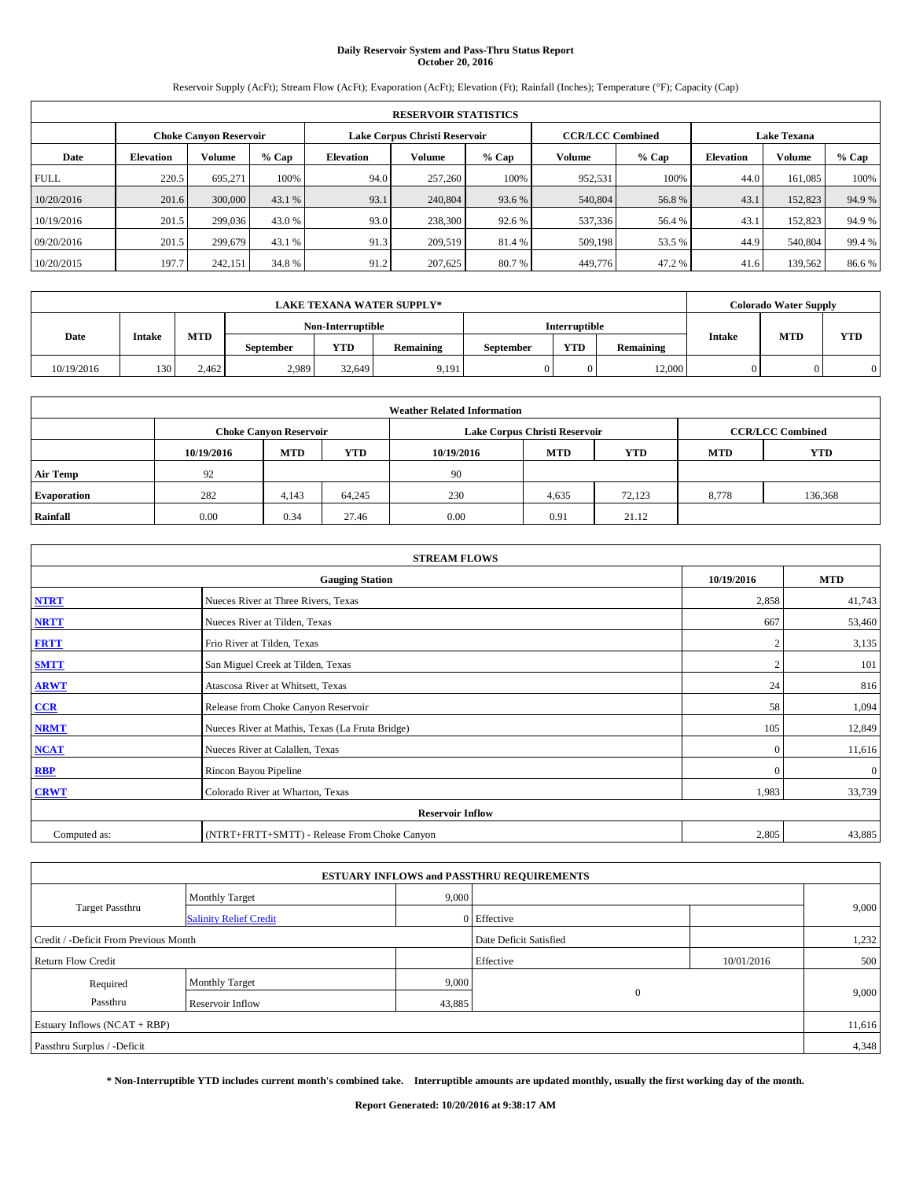## **Daily Reservoir System and Pass-Thru Status Report October 20, 2016**

Reservoir Supply (AcFt); Stream Flow (AcFt); Evaporation (AcFt); Elevation (Ft); Rainfall (Inches); Temperature (°F); Capacity (Cap)

| <b>RESERVOIR STATISTICS</b> |                  |                               |        |           |                               |         |                         |         |                  |                    |         |  |
|-----------------------------|------------------|-------------------------------|--------|-----------|-------------------------------|---------|-------------------------|---------|------------------|--------------------|---------|--|
|                             |                  | <b>Choke Canvon Reservoir</b> |        |           | Lake Corpus Christi Reservoir |         | <b>CCR/LCC Combined</b> |         |                  | <b>Lake Texana</b> |         |  |
| Date                        | <b>Elevation</b> | Volume                        | % Cap  | Elevation | Volume                        | $%$ Cap | Volume                  | $%$ Cap | <b>Elevation</b> | Volume             | $%$ Cap |  |
| <b>FULL</b>                 | 220.5            | 695.271                       | 100%   | 94.0      | 257,260                       | 100%    | 952,531                 | 100%    | 44.0             | 161.085            | 100%    |  |
| 10/20/2016                  | 201.6            | 300,000                       | 43.1 % | 93.1      | 240,804                       | 93.6 %  | 540,804                 | 56.8%   | 43.1             | 152,823            | 94.9 %  |  |
| 10/19/2016                  | 201.5            | 299,036                       | 43.0 % | 93.0      | 238,300                       | 92.6 %  | 537,336                 | 56.4 %  | 43.1             | 152,823            | 94.9 %  |  |
| 09/20/2016                  | 201.5            | 299,679                       | 43.1 % | 91.3      | 209,519                       | 81.4 %  | 509,198                 | 53.5 %  | 44.9             | 540,804            | 99.4 %  |  |
| 10/20/2015                  | 197.7            | 242.151                       | 34.8%  | 91.2      | 207,625                       | 80.7 %  | 449,776                 | 47.2 %  | 41.6             | 139,562            | 86.6%   |  |

|            | LAKE TEXANA WATER SUPPLY*_ |            |                   |            |           |           |               |           |               | <b>Colorado Water Supply</b> |            |  |
|------------|----------------------------|------------|-------------------|------------|-----------|-----------|---------------|-----------|---------------|------------------------------|------------|--|
|            |                            |            | Non-Interruptible |            |           |           | Interruptible |           |               |                              |            |  |
| Date       | <b>Intake</b>              | <b>MTD</b> | <b>September</b>  | <b>YTD</b> | Remaining | September | <b>YTD</b>    | Remaining | <b>Intake</b> | <b>MTD</b>                   | <b>YTD</b> |  |
| 10/19/2016 | 130                        | 2.462      | 2,989             | 32.649     | 9,191     |           |               | 12.000    |               |                              |            |  |

|                    | <b>Weather Related Information</b>                                                             |                               |        |      |                               |                         |       |            |  |  |  |  |  |
|--------------------|------------------------------------------------------------------------------------------------|-------------------------------|--------|------|-------------------------------|-------------------------|-------|------------|--|--|--|--|--|
|                    |                                                                                                | <b>Choke Canyon Reservoir</b> |        |      | Lake Corpus Christi Reservoir | <b>CCR/LCC Combined</b> |       |            |  |  |  |  |  |
|                    | <b>YTD</b><br><b>MTD</b><br><b>MTD</b><br><b>YTD</b><br><b>MTD</b><br>10/19/2016<br>10/19/2016 |                               |        |      |                               |                         |       | <b>YTD</b> |  |  |  |  |  |
| <b>Air Temp</b>    | 92                                                                                             |                               |        | 90   |                               |                         |       |            |  |  |  |  |  |
| <b>Evaporation</b> | 282                                                                                            | 4,143                         | 64,245 | 230  | 4,635                         | 72.123                  | 8,778 | 136,368    |  |  |  |  |  |
| Rainfall           | 0.00                                                                                           | 0.34                          | 27.46  | 0.00 | 0.91                          | 21.12                   |       |            |  |  |  |  |  |

| <b>STREAM FLOWS</b> |                                                 |              |              |  |  |  |  |  |
|---------------------|-------------------------------------------------|--------------|--------------|--|--|--|--|--|
|                     | <b>Gauging Station</b>                          | 10/19/2016   | <b>MTD</b>   |  |  |  |  |  |
| <b>NTRT</b>         | Nueces River at Three Rivers, Texas             | 2,858        | 41,743       |  |  |  |  |  |
| <b>NRTT</b>         | Nueces River at Tilden, Texas                   | 667          | 53,460       |  |  |  |  |  |
| <b>FRTT</b>         | Frio River at Tilden, Texas                     |              | 3,135        |  |  |  |  |  |
| <b>SMTT</b>         | San Miguel Creek at Tilden, Texas               |              | 101          |  |  |  |  |  |
| <b>ARWT</b>         | Atascosa River at Whitsett, Texas               | 24           | 816          |  |  |  |  |  |
| $CCR$               | Release from Choke Canyon Reservoir             | 58           | 1,094        |  |  |  |  |  |
| <b>NRMT</b>         | Nueces River at Mathis, Texas (La Fruta Bridge) | 105          | 12,849       |  |  |  |  |  |
| <b>NCAT</b>         | Nueces River at Calallen, Texas                 | $\mathbf{0}$ | 11,616       |  |  |  |  |  |
| RBP                 | Rincon Bayou Pipeline                           | $\Omega$     | $\mathbf{0}$ |  |  |  |  |  |
| <b>CRWT</b>         | Colorado River at Wharton, Texas                | 1,983        | 33,739       |  |  |  |  |  |
|                     | <b>Reservoir Inflow</b>                         |              |              |  |  |  |  |  |
| Computed as:        | (NTRT+FRTT+SMTT) - Release From Choke Canyon    |              |              |  |  |  |  |  |

|                                                                 |                               |        | <b>ESTUARY INFLOWS and PASSTHRU REQUIREMENTS</b> |            |        |  |  |
|-----------------------------------------------------------------|-------------------------------|--------|--------------------------------------------------|------------|--------|--|--|
|                                                                 | <b>Monthly Target</b>         | 9,000  |                                                  |            | 9,000  |  |  |
| Target Passthru                                                 | <b>Salinity Relief Credit</b> |        | 0 Effective                                      |            |        |  |  |
| Date Deficit Satisfied<br>Credit / -Deficit From Previous Month |                               |        |                                                  |            |        |  |  |
| <b>Return Flow Credit</b>                                       |                               |        | Effective                                        | 10/01/2016 | 500    |  |  |
| Required                                                        | Monthly Target                | 9,000  |                                                  |            |        |  |  |
| Passthru                                                        | <b>Reservoir Inflow</b>       | 43,885 | $\theta$                                         |            | 9,000  |  |  |
| Estuary Inflows (NCAT + RBP)                                    |                               |        |                                                  |            | 11,616 |  |  |
| Passthru Surplus / -Deficit                                     |                               |        |                                                  |            | 4,348  |  |  |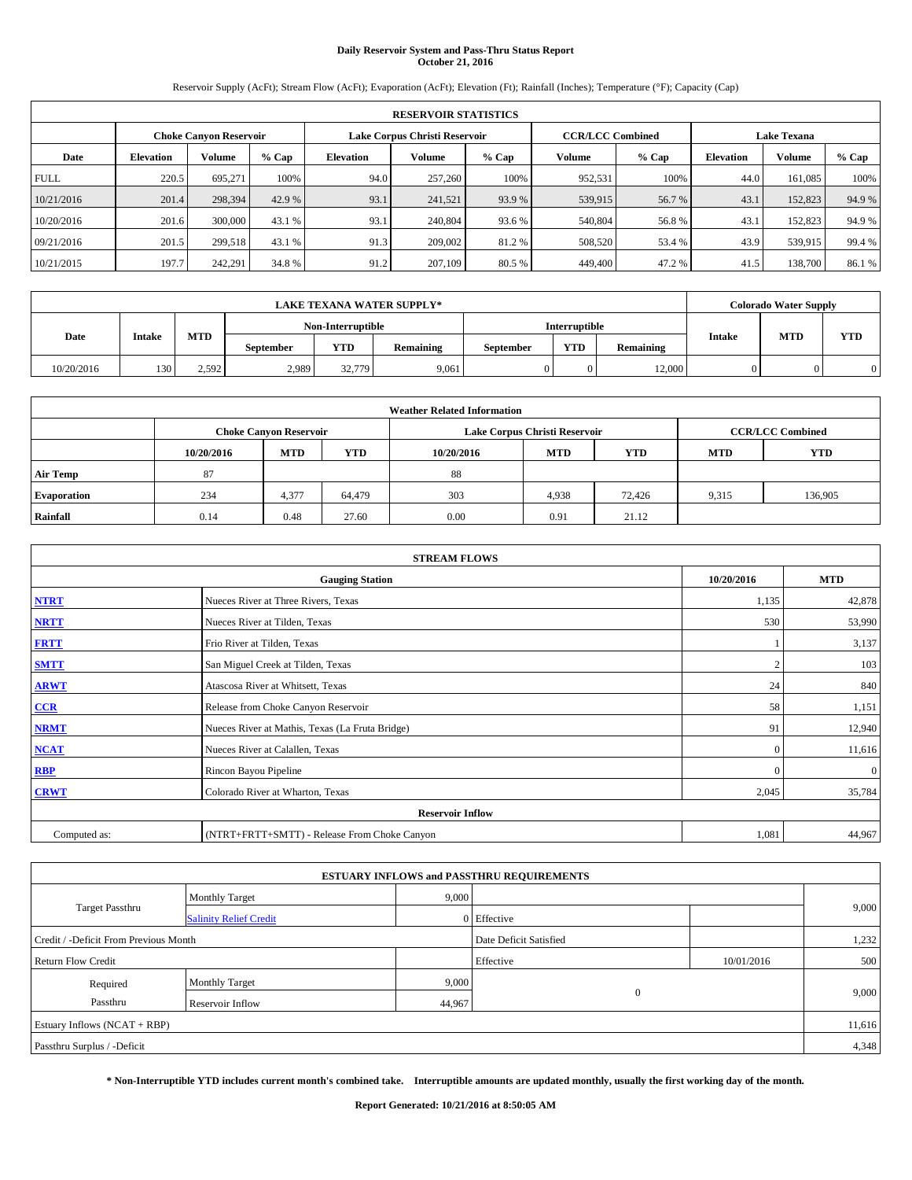## **Daily Reservoir System and Pass-Thru Status Report October 21, 2016**

Reservoir Supply (AcFt); Stream Flow (AcFt); Evaporation (AcFt); Elevation (Ft); Rainfall (Inches); Temperature (°F); Capacity (Cap)

|             | <b>RESERVOIR STATISTICS</b> |                               |        |                               |         |         |                         |         |                    |         |        |  |  |
|-------------|-----------------------------|-------------------------------|--------|-------------------------------|---------|---------|-------------------------|---------|--------------------|---------|--------|--|--|
|             |                             | <b>Choke Canyon Reservoir</b> |        | Lake Corpus Christi Reservoir |         |         | <b>CCR/LCC Combined</b> |         | <b>Lake Texana</b> |         |        |  |  |
| Date        | <b>Elevation</b>            | Volume                        | % Cap  | Elevation                     | Volume  | $%$ Cap | Volume                  | $%$ Cap | <b>Elevation</b>   | Volume  | % Cap  |  |  |
| <b>FULL</b> | 220.5                       | 695,271                       | 100%   | 94.0                          | 257,260 | 100%    | 952,531                 | 100%    | 44.0               | 161.085 | 100%   |  |  |
| 10/21/2016  | 201.4                       | 298,394                       | 42.9 % | 93.1                          | 241,521 | 93.9%   | 539,915                 | 56.7 %  | 43.1               | 152,823 | 94.9%  |  |  |
| 10/20/2016  | 201.6                       | 300,000                       | 43.1 % | 93.1                          | 240,804 | 93.6 %  | 540,804                 | 56.8%   | 43.1               | 152,823 | 94.9 % |  |  |
| 09/21/2016  | 201.5                       | 299.518                       | 43.1 % | 91.3                          | 209,002 | 81.2 %  | 508,520                 | 53.4 %  | 43.9               | 539,915 | 99.4 % |  |  |
| 10/21/2015  | 197.7                       | 242,291                       | 34.8%  | 91.2                          | 207,109 | 80.5 %  | 449,400                 | 47.2 %  | 41.5               | 138,700 | 86.1%  |  |  |

|            | <b>LAKE TEXANA WATER SUPPLY*</b> |            |                   |            |           |           |                      |           |               | <b>Colorado Water Supply</b> |            |  |
|------------|----------------------------------|------------|-------------------|------------|-----------|-----------|----------------------|-----------|---------------|------------------------------|------------|--|
|            |                                  |            | Non-Interruptible |            |           |           | <b>Interruptible</b> |           |               |                              |            |  |
| Date       | <b>Intake</b>                    | <b>MTD</b> | September         | <b>YTD</b> | Remaining | September | <b>YTD</b>           | Remaining | <b>Intake</b> | <b>MTD</b>                   | <b>YTD</b> |  |
| 10/20/2016 | 130                              | 2.592      | 2,989             | 32,779     | 9,061     |           |                      | 12,000    |               |                              |            |  |

|                    | <b>Weather Related Information</b> |                               |                                                                                  |      |                               |                         |       |         |  |  |  |  |  |
|--------------------|------------------------------------|-------------------------------|----------------------------------------------------------------------------------|------|-------------------------------|-------------------------|-------|---------|--|--|--|--|--|
|                    |                                    | <b>Choke Canyon Reservoir</b> |                                                                                  |      | Lake Corpus Christi Reservoir | <b>CCR/LCC Combined</b> |       |         |  |  |  |  |  |
|                    | 10/20/2016                         | <b>MTD</b>                    | <b>YTD</b><br><b>YTD</b><br><b>MTD</b><br><b>YTD</b><br><b>MTD</b><br>10/20/2016 |      |                               |                         |       |         |  |  |  |  |  |
| <b>Air Temp</b>    | 87                                 |                               |                                                                                  | 88   |                               |                         |       |         |  |  |  |  |  |
| <b>Evaporation</b> | 234                                | 4,377                         | 64,479                                                                           | 303  | 4,938                         | 72,426                  | 9,315 | 136,905 |  |  |  |  |  |
| Rainfall           | 0.14                               | 0.48                          | 27.60                                                                            | 0.00 | 0.91                          | 21.12                   |       |         |  |  |  |  |  |

| <b>STREAM FLOWS</b> |                                                 |            |              |  |  |  |  |  |  |
|---------------------|-------------------------------------------------|------------|--------------|--|--|--|--|--|--|
|                     | <b>Gauging Station</b>                          | 10/20/2016 | <b>MTD</b>   |  |  |  |  |  |  |
| <b>NTRT</b>         | Nueces River at Three Rivers, Texas             | 1,135      | 42,878       |  |  |  |  |  |  |
| <b>NRTT</b>         | Nueces River at Tilden, Texas                   | 530        | 53,990       |  |  |  |  |  |  |
| <b>FRTT</b>         | Frio River at Tilden, Texas                     |            | 3,137        |  |  |  |  |  |  |
| <b>SMTT</b>         | San Miguel Creek at Tilden, Texas               |            | 103          |  |  |  |  |  |  |
| <b>ARWT</b>         | Atascosa River at Whitsett, Texas               | 24         | 840          |  |  |  |  |  |  |
| $CCR$               | Release from Choke Canyon Reservoir             | 58         | 1,151        |  |  |  |  |  |  |
| <b>NRMT</b>         | Nueces River at Mathis, Texas (La Fruta Bridge) | 91         | 12,940       |  |  |  |  |  |  |
| <b>NCAT</b>         | Nueces River at Calallen, Texas                 | $\Omega$   | 11,616       |  |  |  |  |  |  |
| <b>RBP</b>          | Rincon Bayou Pipeline                           | $\Omega$   | $\mathbf{0}$ |  |  |  |  |  |  |
| <b>CRWT</b>         | Colorado River at Wharton, Texas                | 2,045      | 35,784       |  |  |  |  |  |  |
|                     | <b>Reservoir Inflow</b>                         |            |              |  |  |  |  |  |  |
| Computed as:        | (NTRT+FRTT+SMTT) - Release From Choke Canyon    |            |              |  |  |  |  |  |  |

|                                       |                               |        | <b>ESTUARY INFLOWS and PASSTHRU REQUIREMENTS</b> |            |        |
|---------------------------------------|-------------------------------|--------|--------------------------------------------------|------------|--------|
|                                       | <b>Monthly Target</b>         | 9,000  |                                                  |            |        |
| Target Passthru                       | <b>Salinity Relief Credit</b> |        | 0 Effective                                      |            | 9,000  |
| Credit / -Deficit From Previous Month |                               | 1,232  |                                                  |            |        |
| <b>Return Flow Credit</b>             |                               |        | Effective                                        | 10/01/2016 | 500    |
| Required                              | <b>Monthly Target</b>         | 9,000  |                                                  |            |        |
| Passthru                              | <b>Reservoir Inflow</b>       | 44,967 | $\Omega$                                         |            | 9,000  |
| Estuary Inflows $(NCAT + RBP)$        |                               |        |                                                  |            | 11,616 |
| Passthru Surplus / -Deficit           |                               |        |                                                  |            | 4,348  |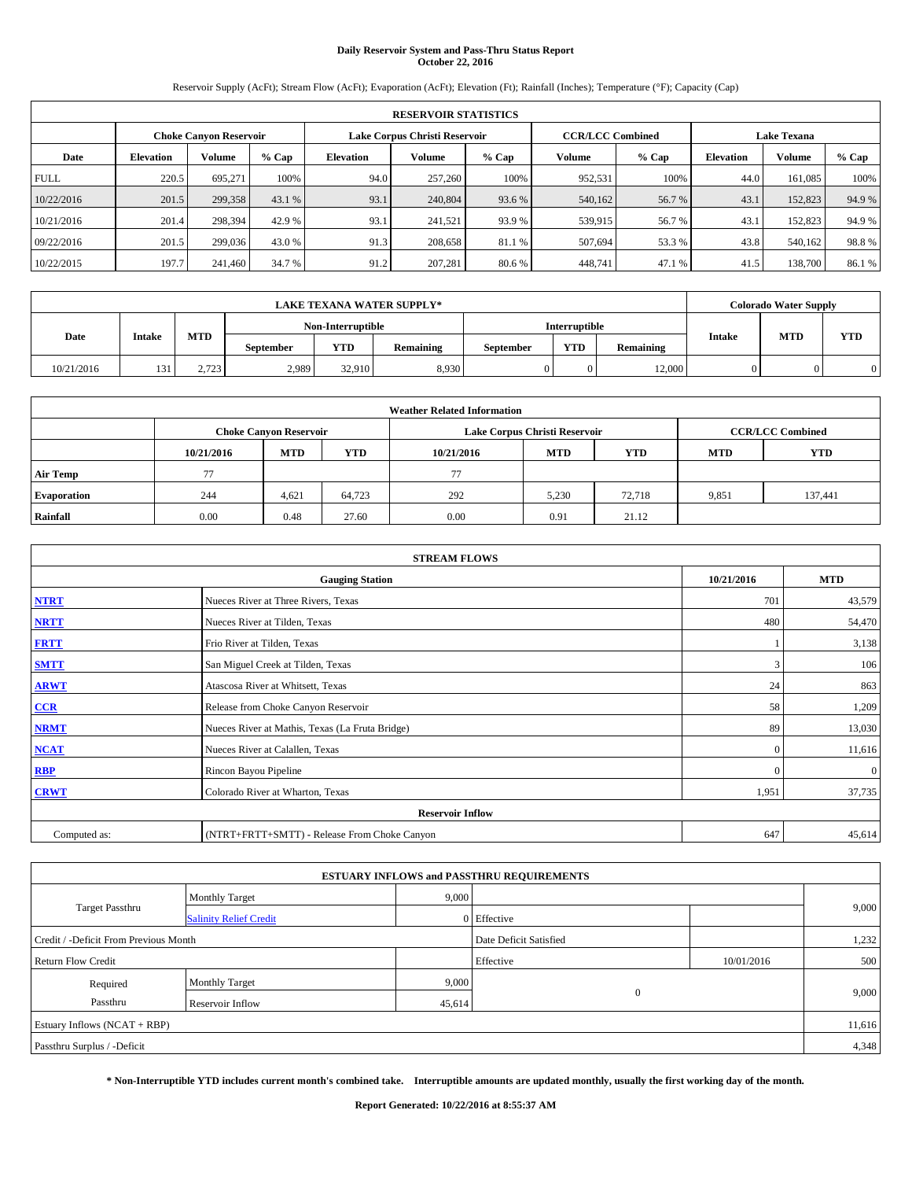## **Daily Reservoir System and Pass-Thru Status Report October 22, 2016**

Reservoir Supply (AcFt); Stream Flow (AcFt); Evaporation (AcFt); Elevation (Ft); Rainfall (Inches); Temperature (°F); Capacity (Cap)

|             | <b>RESERVOIR STATISTICS</b> |                               |        |                               |         |        |                         |         |                    |               |        |  |  |
|-------------|-----------------------------|-------------------------------|--------|-------------------------------|---------|--------|-------------------------|---------|--------------------|---------------|--------|--|--|
|             |                             | <b>Choke Canyon Reservoir</b> |        | Lake Corpus Christi Reservoir |         |        | <b>CCR/LCC Combined</b> |         | <b>Lake Texana</b> |               |        |  |  |
| Date        | <b>Elevation</b>            | <b>Volume</b>                 | % Cap  | Elevation                     | Volume  | % Cap  | Volume                  | $%$ Cap | <b>Elevation</b>   | <b>Volume</b> | % Cap  |  |  |
| <b>FULL</b> | 220.5                       | 695,271                       | 100%   | 94.0                          | 257,260 | 100%   | 952.531                 | 100%    | 44.0               | 161,085       | 100%   |  |  |
| 10/22/2016  | 201.5                       | 299,358                       | 43.1 % | 93.1                          | 240,804 | 93.6 % | 540,162                 | 56.7%   | 43.1               | 152,823       | 94.9%  |  |  |
| 10/21/2016  | 201.4                       | 298,394                       | 42.9 % | 93.1                          | 241.521 | 93.9 % | 539,915                 | 56.7 %  | 43.1               | 152,823       | 94.9 % |  |  |
| 09/22/2016  | 201.5                       | 299.036                       | 43.0 % | 91.3                          | 208,658 | 81.1 % | 507.694                 | 53.3 %  | 43.8               | 540,162       | 98.8%  |  |  |
| 10/22/2015  | 197.7                       | 241.460                       | 34.7 % | 91.2                          | 207,281 | 80.6%  | 448.741                 | 47.1 %  | 41.5               | 138,700       | 86.1%  |  |  |

|            | LAKE TEXANA WATER SUPPLY*_ |            |                   |            |           |           |               |           |               | <b>Colorado Water Supply</b> |            |  |
|------------|----------------------------|------------|-------------------|------------|-----------|-----------|---------------|-----------|---------------|------------------------------|------------|--|
|            |                            |            | Non-Interruptible |            |           |           | Interruptible |           |               |                              |            |  |
| Date       | <b>Intake</b>              | <b>MTD</b> | <b>September</b>  | <b>YTD</b> | Remaining | September | <b>YTD</b>    | Remaining | <b>Intake</b> | <b>MTD</b>                   | <b>YTD</b> |  |
| 10/21/2016 | 13 <sup>2</sup>            | 2.723      | 2,989             | 32.910     | 8.930     |           |               | 12.000    |               |                              |            |  |

|                    | <b>Weather Related Information</b> |                               |            |                                                                    |                               |                         |       |         |  |  |  |  |  |
|--------------------|------------------------------------|-------------------------------|------------|--------------------------------------------------------------------|-------------------------------|-------------------------|-------|---------|--|--|--|--|--|
|                    |                                    | <b>Choke Canyon Reservoir</b> |            |                                                                    | Lake Corpus Christi Reservoir | <b>CCR/LCC Combined</b> |       |         |  |  |  |  |  |
|                    | 10/21/2016                         | <b>MTD</b>                    | <b>YTD</b> | <b>YTD</b><br><b>MTD</b><br><b>YTD</b><br><b>MTD</b><br>10/21/2016 |                               |                         |       |         |  |  |  |  |  |
| <b>Air Temp</b>    | 77                                 |                               |            | 77                                                                 |                               |                         |       |         |  |  |  |  |  |
| <b>Evaporation</b> | 244                                | 4,621                         | 64,723     | 292                                                                | 5,230                         | 72,718                  | 9,851 | 137,441 |  |  |  |  |  |
| Rainfall           | 0.00                               | 0.48                          | 27.60      | 0.00                                                               | 0.91                          | 21.12                   |       |         |  |  |  |  |  |

| <b>STREAM FLOWS</b> |                                                 |          |              |  |  |  |  |  |  |
|---------------------|-------------------------------------------------|----------|--------------|--|--|--|--|--|--|
|                     | <b>Gauging Station</b>                          |          |              |  |  |  |  |  |  |
| <b>NTRT</b>         | Nueces River at Three Rivers, Texas             | 701      | 43,579       |  |  |  |  |  |  |
| <b>NRTT</b>         | Nueces River at Tilden, Texas                   | 480      | 54,470       |  |  |  |  |  |  |
| <b>FRTT</b>         | Frio River at Tilden, Texas                     |          | 3,138        |  |  |  |  |  |  |
| <b>SMTT</b>         | San Miguel Creek at Tilden, Texas               | 3        | 106          |  |  |  |  |  |  |
| <b>ARWT</b>         | Atascosa River at Whitsett, Texas               | 24       | 863          |  |  |  |  |  |  |
| $CCR$               | Release from Choke Canyon Reservoir             | 58       | 1,209        |  |  |  |  |  |  |
| <b>NRMT</b>         | Nueces River at Mathis, Texas (La Fruta Bridge) | 89       | 13,030       |  |  |  |  |  |  |
| <b>NCAT</b>         | Nueces River at Calallen, Texas                 | $\Omega$ | 11,616       |  |  |  |  |  |  |
| <b>RBP</b>          | Rincon Bayou Pipeline                           | $\Omega$ | $\mathbf{0}$ |  |  |  |  |  |  |
| <b>CRWT</b>         | Colorado River at Wharton, Texas                | 1,951    | 37,735       |  |  |  |  |  |  |
|                     | <b>Reservoir Inflow</b>                         |          |              |  |  |  |  |  |  |
| Computed as:        | (NTRT+FRTT+SMTT) - Release From Choke Canyon    | 647      | 45,614       |  |  |  |  |  |  |

| <b>ESTUARY INFLOWS and PASSTHRU REQUIREMENTS</b> |                               |        |                        |            |       |  |  |  |  |  |
|--------------------------------------------------|-------------------------------|--------|------------------------|------------|-------|--|--|--|--|--|
|                                                  | <b>Monthly Target</b>         | 9,000  |                        |            |       |  |  |  |  |  |
| Target Passthru                                  | <b>Salinity Relief Credit</b> |        | 0 Effective            |            | 9,000 |  |  |  |  |  |
| Credit / -Deficit From Previous Month            |                               |        | Date Deficit Satisfied |            | 1,232 |  |  |  |  |  |
| <b>Return Flow Credit</b>                        |                               |        | Effective              | 10/01/2016 | 500   |  |  |  |  |  |
| Required                                         | <b>Monthly Target</b>         | 9,000  |                        |            |       |  |  |  |  |  |
| Passthru                                         | <b>Reservoir Inflow</b>       | 45,614 | $\Omega$               |            | 9,000 |  |  |  |  |  |
| Estuary Inflows $(NCAT + RBP)$                   |                               |        |                        |            |       |  |  |  |  |  |
| Passthru Surplus / -Deficit                      |                               |        |                        |            | 4,348 |  |  |  |  |  |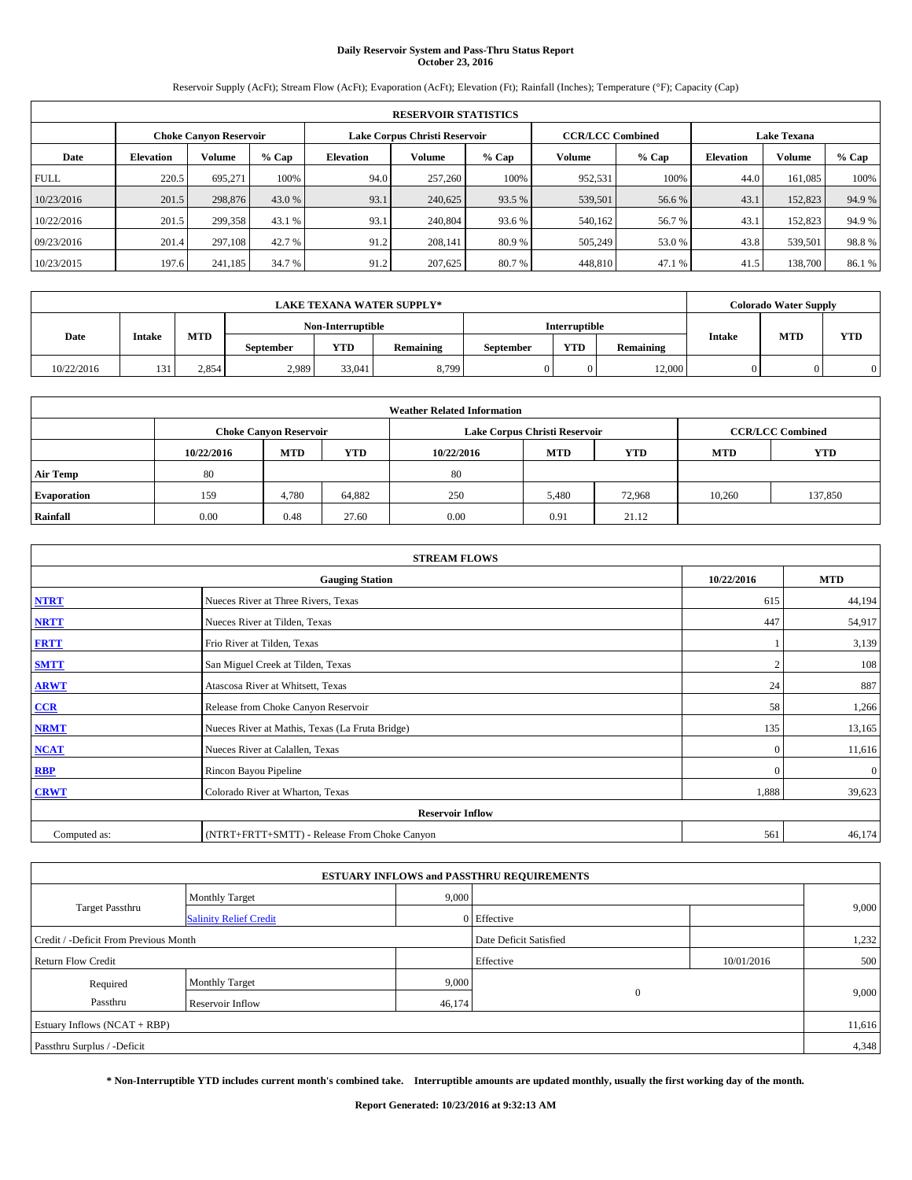## **Daily Reservoir System and Pass-Thru Status Report October 23, 2016**

Reservoir Supply (AcFt); Stream Flow (AcFt); Evaporation (AcFt); Elevation (Ft); Rainfall (Inches); Temperature (°F); Capacity (Cap)

|             | <b>RESERVOIR STATISTICS</b>   |               |        |           |                               |        |                         |         |                    |               |        |  |
|-------------|-------------------------------|---------------|--------|-----------|-------------------------------|--------|-------------------------|---------|--------------------|---------------|--------|--|
|             | <b>Choke Canyon Reservoir</b> |               |        |           | Lake Corpus Christi Reservoir |        | <b>CCR/LCC Combined</b> |         | <b>Lake Texana</b> |               |        |  |
| Date        | <b>Elevation</b>              | <b>Volume</b> | % Cap  | Elevation | Volume                        | % Cap  | Volume                  | $%$ Cap | <b>Elevation</b>   | <b>Volume</b> | % Cap  |  |
| <b>FULL</b> | 220.5                         | 695,271       | 100%   | 94.0      | 257,260                       | 100%   | 952.531                 | 100%    | 44.0               | 161,085       | 100%   |  |
| 10/23/2016  | 201.5                         | 298,876       | 43.0 % | 93.1      | 240,625                       | 93.5 % | 539,501                 | 56.6 %  | 43.1               | 152,823       | 94.9%  |  |
| 10/22/2016  | 201.5                         | 299,358       | 43.1 % | 93.1      | 240,804                       | 93.6 % | 540.162                 | 56.7 %  | 43.1               | 152,823       | 94.9 % |  |
| 09/23/2016  | 201.4                         | 297.108       | 42.7 % | 91.2      | 208.141                       | 80.9%  | 505.249                 | 53.0 %  | 43.8               | 539.501       | 98.8%  |  |
| 10/23/2015  | 197.6                         | 241,185       | 34.7 % | 91.2      | 207,625                       | 80.7 % | 448,810                 | 47.1 %  | 41.5               | 138,700       | 86.1%  |  |

| LAKE TEXANA WATER SUPPLY*_ |               |            |                  |                   |           |           |               | <b>Colorado Water Supply</b> |               |            |            |
|----------------------------|---------------|------------|------------------|-------------------|-----------|-----------|---------------|------------------------------|---------------|------------|------------|
|                            |               |            |                  | Non-Interruptible |           |           | Interruptible |                              |               |            |            |
| Date                       | <b>Intake</b> | <b>MTD</b> | <b>September</b> | <b>YTD</b>        | Remaining | September | <b>YTD</b>    | Remaining                    | <b>Intake</b> | <b>MTD</b> | <b>YTD</b> |
| 10/22/2016                 | 131           | 2.854      | 2,989            | 33,041            | 8.799     |           |               | 12.000                       |               |            |            |

| <b>Weather Related Information</b> |            |                               |            |            |                               |                         |            |            |  |
|------------------------------------|------------|-------------------------------|------------|------------|-------------------------------|-------------------------|------------|------------|--|
|                                    |            | <b>Choke Canyon Reservoir</b> |            |            | Lake Corpus Christi Reservoir | <b>CCR/LCC Combined</b> |            |            |  |
|                                    | 10/22/2016 | <b>MTD</b>                    | <b>YTD</b> | 10/22/2016 | <b>MTD</b>                    | <b>YTD</b>              | <b>MTD</b> | <b>YTD</b> |  |
| <b>Air Temp</b>                    | 80         |                               |            | 80         |                               |                         |            |            |  |
| <b>Evaporation</b>                 | 159        | 4,780                         | 64,882     | 250        | 5,480                         | 72.968                  | 10.260     | 137,850    |  |
| Rainfall                           | 0.00       | 0.48                          | 27.60      | 0.00       | 0.91                          | 21.12                   |            |            |  |

| <b>STREAM FLOWS</b> |                                                 |          |              |  |  |  |  |  |
|---------------------|-------------------------------------------------|----------|--------------|--|--|--|--|--|
|                     | <b>Gauging Station</b>                          |          |              |  |  |  |  |  |
| <b>NTRT</b>         | Nueces River at Three Rivers, Texas             | 615      | 44,194       |  |  |  |  |  |
| <b>NRTT</b>         | Nueces River at Tilden, Texas                   | 447      | 54,917       |  |  |  |  |  |
| <b>FRTT</b>         | Frio River at Tilden, Texas                     |          | 3,139        |  |  |  |  |  |
| <b>SMTT</b>         | San Miguel Creek at Tilden, Texas               |          | 108          |  |  |  |  |  |
| <b>ARWT</b>         | Atascosa River at Whitsett, Texas               | 24       | 887          |  |  |  |  |  |
| $CCR$               | Release from Choke Canyon Reservoir             | 58       | 1,266        |  |  |  |  |  |
| <b>NRMT</b>         | Nueces River at Mathis, Texas (La Fruta Bridge) | 135      | 13,165       |  |  |  |  |  |
| <b>NCAT</b>         | Nueces River at Calallen, Texas                 | $\Omega$ | 11,616       |  |  |  |  |  |
| <b>RBP</b>          | Rincon Bayou Pipeline                           | $\Omega$ | $\mathbf{0}$ |  |  |  |  |  |
| <b>CRWT</b>         | Colorado River at Wharton, Texas                | 1,888    | 39,623       |  |  |  |  |  |
|                     | <b>Reservoir Inflow</b>                         |          |              |  |  |  |  |  |
| Computed as:        | (NTRT+FRTT+SMTT) - Release From Choke Canyon    | 561      | 46,174       |  |  |  |  |  |

| <b>ESTUARY INFLOWS and PASSTHRU REQUIREMENTS</b> |                               |        |                        |            |       |  |  |  |  |  |
|--------------------------------------------------|-------------------------------|--------|------------------------|------------|-------|--|--|--|--|--|
|                                                  | <b>Monthly Target</b>         | 9,000  |                        |            |       |  |  |  |  |  |
| Target Passthru                                  | <b>Salinity Relief Credit</b> |        | 0 Effective            |            | 9,000 |  |  |  |  |  |
| Credit / -Deficit From Previous Month            |                               |        | Date Deficit Satisfied |            | 1,232 |  |  |  |  |  |
| <b>Return Flow Credit</b>                        |                               |        | Effective              | 10/01/2016 | 500   |  |  |  |  |  |
| Required                                         | Monthly Target                | 9,000  |                        |            |       |  |  |  |  |  |
| Passthru<br><b>Reservoir Inflow</b>              |                               | 46,174 | $\theta$               |            | 9,000 |  |  |  |  |  |
| Estuary Inflows (NCAT + RBP)                     |                               |        |                        |            |       |  |  |  |  |  |
| Passthru Surplus / -Deficit                      |                               |        |                        |            | 4,348 |  |  |  |  |  |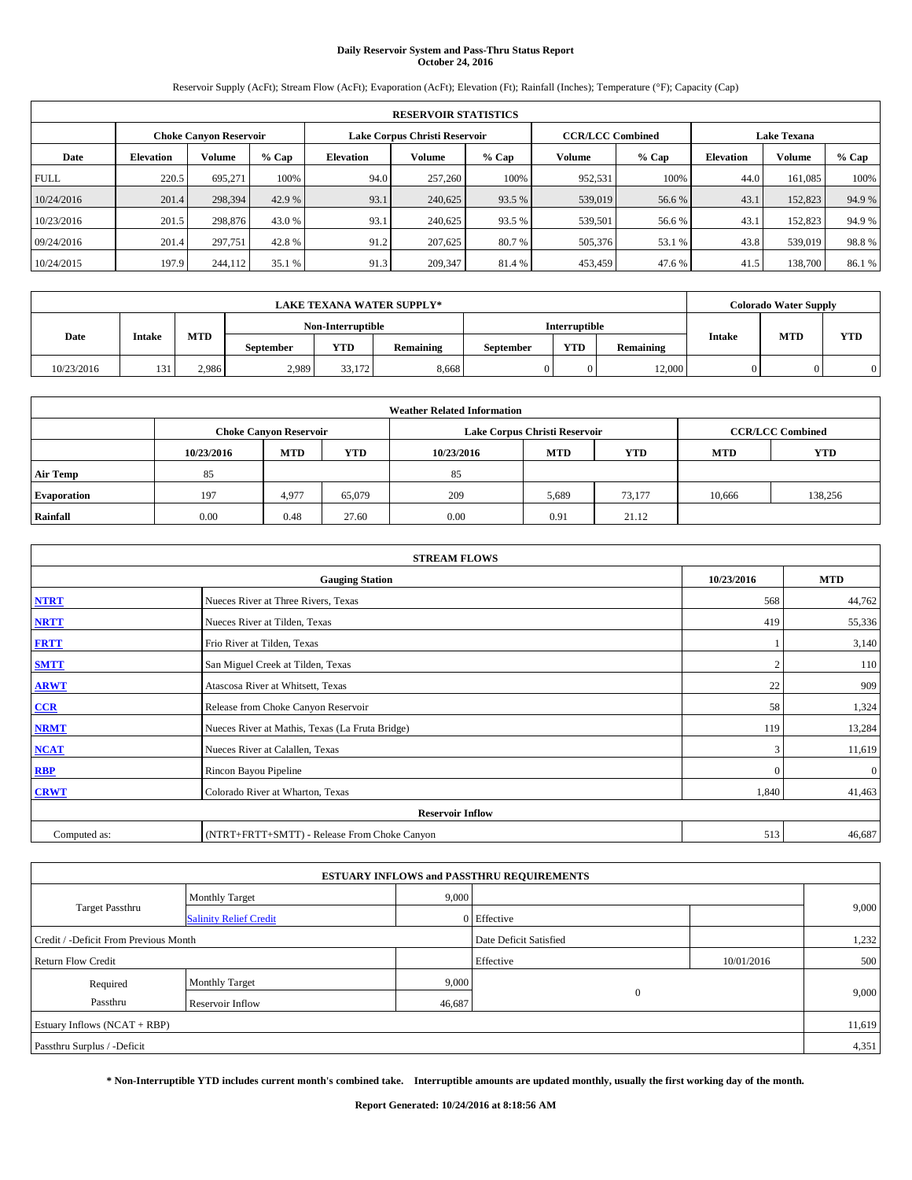## **Daily Reservoir System and Pass-Thru Status Report October 24, 2016**

Reservoir Supply (AcFt); Stream Flow (AcFt); Evaporation (AcFt); Elevation (Ft); Rainfall (Inches); Temperature (°F); Capacity (Cap)

|             | <b>RESERVOIR STATISTICS</b> |                               |        |           |                               |        |                         |         |                    |               |        |  |
|-------------|-----------------------------|-------------------------------|--------|-----------|-------------------------------|--------|-------------------------|---------|--------------------|---------------|--------|--|
|             |                             | <b>Choke Canyon Reservoir</b> |        |           | Lake Corpus Christi Reservoir |        | <b>CCR/LCC Combined</b> |         | <b>Lake Texana</b> |               |        |  |
| Date        | <b>Elevation</b>            | <b>Volume</b>                 | % Cap  | Elevation | Volume                        | % Cap  | Volume                  | $%$ Cap | <b>Elevation</b>   | <b>Volume</b> | % Cap  |  |
| <b>FULL</b> | 220.5                       | 695,271                       | 100%   | 94.0      | 257,260                       | 100%   | 952.531                 | 100%    | 44.0               | 161,085       | 100%   |  |
| 10/24/2016  | 201.4                       | 298,394                       | 42.9 % | 93.1      | 240,625                       | 93.5 % | 539,019                 | 56.6 %  | 43.1               | 152,823       | 94.9%  |  |
| 10/23/2016  | 201.5                       | 298,876                       | 43.0 % | 93.1      | 240.625                       | 93.5 % | 539.501                 | 56.6 %  | 43.1               | 152,823       | 94.9 % |  |
| 09/24/2016  | 201.4                       | 297,751                       | 42.8%  | 91.2      | 207,625                       | 80.7 % | 505,376                 | 53.1 %  | 43.8               | 539,019       | 98.8%  |  |
| 10/24/2015  | 197.9                       | 244,112                       | 35.1 % | 91.3      | 209,347                       | 81.4 % | 453,459                 | 47.6 %  | 41.5               | 138,700       | 86.1%  |  |

| LAKE TEXANA WATER SUPPLY*_ |                 |            |                  |                   |           |           |               | <b>Colorado Water Supply</b> |               |            |            |
|----------------------------|-----------------|------------|------------------|-------------------|-----------|-----------|---------------|------------------------------|---------------|------------|------------|
|                            |                 |            |                  | Non-Interruptible |           |           | Interruptible |                              |               |            |            |
| Date                       | <b>Intake</b>   | <b>MTD</b> | <b>September</b> | <b>YTD</b>        | Remaining | September | <b>YTD</b>    | Remaining                    | <b>Intake</b> | <b>MTD</b> | <b>YTD</b> |
| 10/23/2016                 | 13 <sup>2</sup> | 2.986      | 2,989            | 33.172            | 8.668     |           |               | 12.000                       |               |            |            |

| <b>Weather Related Information</b> |            |                               |            |            |                               |                         |            |            |  |
|------------------------------------|------------|-------------------------------|------------|------------|-------------------------------|-------------------------|------------|------------|--|
|                                    |            | <b>Choke Canyon Reservoir</b> |            |            | Lake Corpus Christi Reservoir | <b>CCR/LCC Combined</b> |            |            |  |
|                                    | 10/23/2016 | <b>MTD</b>                    | <b>YTD</b> | 10/23/2016 | <b>MTD</b>                    | <b>YTD</b>              | <b>MTD</b> | <b>YTD</b> |  |
| <b>Air Temp</b>                    | 85         |                               |            | 85         |                               |                         |            |            |  |
| <b>Evaporation</b>                 | 197        | 4,977                         | 65,079     | 209        | 5,689                         | 73.177                  | 10,666     | 138,256    |  |
| Rainfall                           | 0.00       | 0.48                          | 27.60      | 0.00       | 0.91                          | 21.12                   |            |            |  |

| <b>STREAM FLOWS</b> |                                                 |          |              |  |  |  |  |  |  |
|---------------------|-------------------------------------------------|----------|--------------|--|--|--|--|--|--|
|                     | <b>Gauging Station</b>                          |          |              |  |  |  |  |  |  |
| <b>NTRT</b>         | Nueces River at Three Rivers, Texas             | 568      | 44,762       |  |  |  |  |  |  |
| <b>NRTT</b>         | Nueces River at Tilden, Texas                   | 419      | 55,336       |  |  |  |  |  |  |
| <b>FRTT</b>         | Frio River at Tilden, Texas                     |          | 3,140        |  |  |  |  |  |  |
| <b>SMTT</b>         | San Miguel Creek at Tilden, Texas               |          | 110          |  |  |  |  |  |  |
| <b>ARWT</b>         | Atascosa River at Whitsett, Texas               | 22       | 909          |  |  |  |  |  |  |
| $CCR$               | Release from Choke Canyon Reservoir             | 58       | 1,324        |  |  |  |  |  |  |
| <b>NRMT</b>         | Nueces River at Mathis, Texas (La Fruta Bridge) | 119      | 13,284       |  |  |  |  |  |  |
| <b>NCAT</b>         | Nueces River at Calallen, Texas                 | 3        | 11,619       |  |  |  |  |  |  |
| <b>RBP</b>          | Rincon Bayou Pipeline                           | $\Omega$ | $\mathbf{0}$ |  |  |  |  |  |  |
| <b>CRWT</b>         | Colorado River at Wharton, Texas                | 1,840    | 41,463       |  |  |  |  |  |  |
|                     | <b>Reservoir Inflow</b>                         |          |              |  |  |  |  |  |  |
| Computed as:        | (NTRT+FRTT+SMTT) - Release From Choke Canyon    | 513      | 46,687       |  |  |  |  |  |  |

| <b>ESTUARY INFLOWS and PASSTHRU REQUIREMENTS</b> |                               |        |                        |            |       |  |  |  |  |  |
|--------------------------------------------------|-------------------------------|--------|------------------------|------------|-------|--|--|--|--|--|
|                                                  | <b>Monthly Target</b>         | 9,000  |                        |            |       |  |  |  |  |  |
| Target Passthru                                  | <b>Salinity Relief Credit</b> |        | 0 Effective            |            | 9,000 |  |  |  |  |  |
| Credit / -Deficit From Previous Month            |                               |        | Date Deficit Satisfied |            | 1,232 |  |  |  |  |  |
| <b>Return Flow Credit</b>                        |                               |        | Effective              | 10/01/2016 | 500   |  |  |  |  |  |
| Required                                         | <b>Monthly Target</b>         | 9,000  |                        |            |       |  |  |  |  |  |
| Passthru                                         | <b>Reservoir Inflow</b>       | 46,687 | $\Omega$               |            | 9,000 |  |  |  |  |  |
| Estuary Inflows $(NCAT + RBP)$                   |                               |        |                        |            |       |  |  |  |  |  |
| Passthru Surplus / -Deficit                      |                               |        |                        |            | 4,351 |  |  |  |  |  |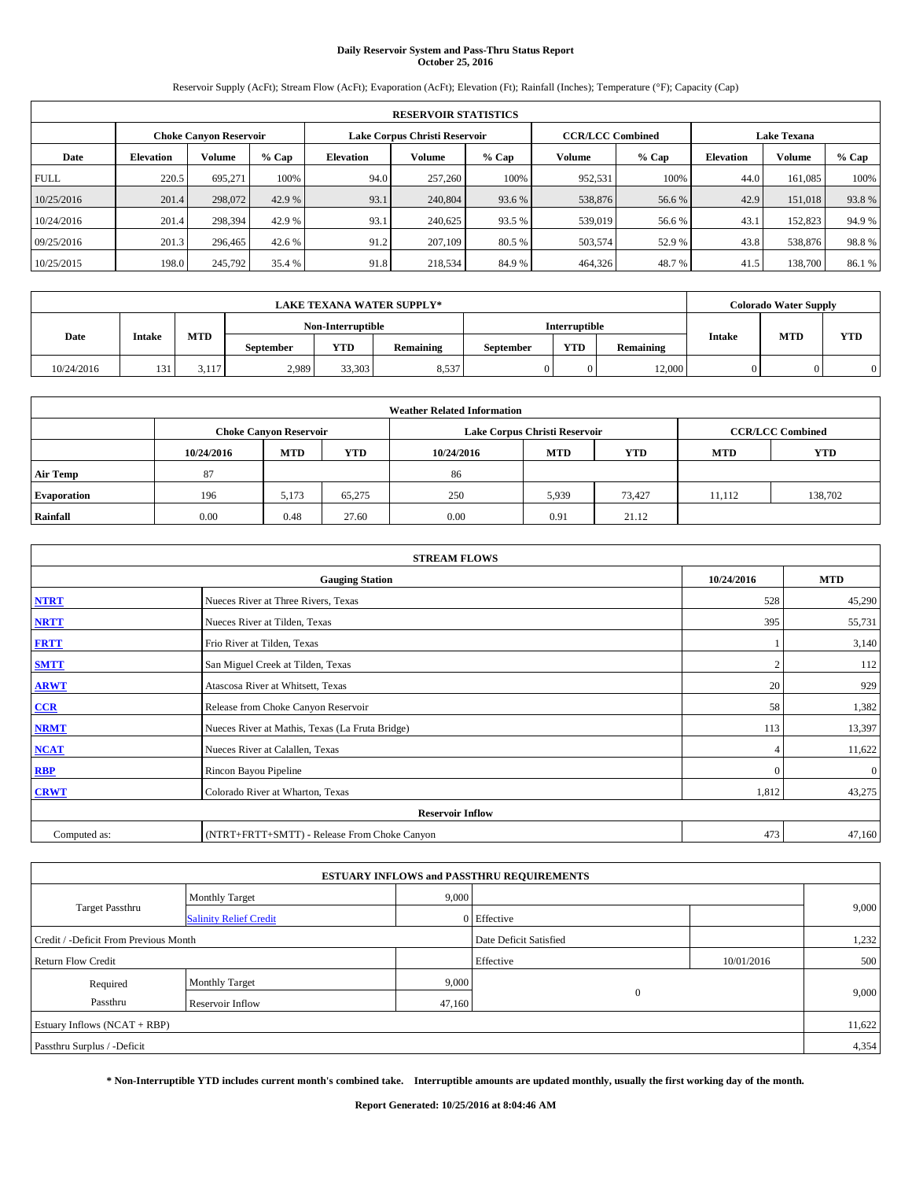## **Daily Reservoir System and Pass-Thru Status Report October 25, 2016**

Reservoir Supply (AcFt); Stream Flow (AcFt); Evaporation (AcFt); Elevation (Ft); Rainfall (Inches); Temperature (°F); Capacity (Cap)

|             | <b>RESERVOIR STATISTICS</b> |                               |        |                                                          |         |        |         |         |                    |               |        |
|-------------|-----------------------------|-------------------------------|--------|----------------------------------------------------------|---------|--------|---------|---------|--------------------|---------------|--------|
|             |                             | <b>Choke Canyon Reservoir</b> |        | Lake Corpus Christi Reservoir<br><b>CCR/LCC Combined</b> |         |        |         |         | <b>Lake Texana</b> |               |        |
| Date        | <b>Elevation</b>            | <b>Volume</b>                 | % Cap  | Elevation                                                | Volume  | % Cap  | Volume  | $%$ Cap | <b>Elevation</b>   | <b>Volume</b> | % Cap  |
| <b>FULL</b> | 220.5                       | 695,271                       | 100%   | 94.0                                                     | 257,260 | 100%   | 952.531 | 100%    | 44.0               | 161,085       | 100%   |
| 10/25/2016  | 201.4                       | 298,072                       | 42.9 % | 93.1                                                     | 240,804 | 93.6 % | 538,876 | 56.6%   | 42.9               | 151,018       | 93.8%  |
| 10/24/2016  | 201.4                       | 298,394                       | 42.9 % | 93.1                                                     | 240.625 | 93.5 % | 539,019 | 56.6 %  | 43.1               | 152,823       | 94.9 % |
| 09/25/2016  | 201.3                       | 296,465                       | 42.6 % | 91.2                                                     | 207,109 | 80.5 % | 503.574 | 52.9 %  | 43.8               | 538,876       | 98.8%  |
| 10/25/2015  | 198.0                       | 245,792                       | 35.4 % | 91.8                                                     | 218,534 | 84.9%  | 464,326 | 48.7%   | 41.5               | 138,700       | 86.1%  |

|            |               |            |                  |                   | LAKE TEXANA WATER SUPPLY*_ |           |               |            |            | <b>Colorado Water Supply</b> |  |
|------------|---------------|------------|------------------|-------------------|----------------------------|-----------|---------------|------------|------------|------------------------------|--|
|            |               |            |                  | Non-Interruptible |                            |           | Interruptible |            |            |                              |  |
| Date       | <b>Intake</b> | <b>MTD</b> | <b>September</b> | September         | <b>YTD</b>                 | Remaining | <b>Intake</b> | <b>MTD</b> | <b>YTD</b> |                              |  |
| 10/24/2016 | 13.           | 3.117      | 2,989            | 33,303            | 8,537                      |           |               | 12.000     |            |                              |  |

| <b>Weather Related Information</b> |                               |            |            |            |                                        |                         |        |         |  |  |
|------------------------------------|-------------------------------|------------|------------|------------|----------------------------------------|-------------------------|--------|---------|--|--|
|                                    | <b>Choke Canyon Reservoir</b> |            |            |            | Lake Corpus Christi Reservoir          | <b>CCR/LCC Combined</b> |        |         |  |  |
|                                    | 10/24/2016                    | <b>MTD</b> | <b>YTD</b> | 10/24/2016 | <b>MTD</b><br><b>YTD</b><br><b>MTD</b> |                         |        |         |  |  |
| <b>Air Temp</b>                    | 87                            |            |            | 86         |                                        |                         |        |         |  |  |
| <b>Evaporation</b>                 | 196                           | 5,173      | 65,275     | 250        | 5,939                                  | 73,427                  | 11.112 | 138,702 |  |  |
| Rainfall                           | 0.00                          | 0.48       | 27.60      | 0.00       | 0.91                                   | 21.12                   |        |         |  |  |

|              | <b>STREAM FLOWS</b>                             |            |              |  |  |  |  |  |  |  |
|--------------|-------------------------------------------------|------------|--------------|--|--|--|--|--|--|--|
|              | <b>Gauging Station</b>                          | 10/24/2016 | <b>MTD</b>   |  |  |  |  |  |  |  |
| <b>NTRT</b>  | Nueces River at Three Rivers, Texas             | 528        | 45,290       |  |  |  |  |  |  |  |
| <b>NRTT</b>  | Nueces River at Tilden, Texas                   | 395        | 55,731       |  |  |  |  |  |  |  |
| <b>FRTT</b>  | Frio River at Tilden, Texas                     |            | 3,140        |  |  |  |  |  |  |  |
| <b>SMTT</b>  | San Miguel Creek at Tilden, Texas               |            | 112          |  |  |  |  |  |  |  |
| <b>ARWT</b>  | Atascosa River at Whitsett, Texas               | 20         | 929          |  |  |  |  |  |  |  |
| $CCR$        | Release from Choke Canyon Reservoir             | 58         | 1,382        |  |  |  |  |  |  |  |
| <b>NRMT</b>  | Nueces River at Mathis, Texas (La Fruta Bridge) | 113        | 13,397       |  |  |  |  |  |  |  |
| <b>NCAT</b>  | Nueces River at Calallen, Texas                 | 4          | 11,622       |  |  |  |  |  |  |  |
| <b>RBP</b>   | Rincon Bayou Pipeline                           | $\Omega$   | $\mathbf{0}$ |  |  |  |  |  |  |  |
| <b>CRWT</b>  | Colorado River at Wharton, Texas                | 1,812      | 43,275       |  |  |  |  |  |  |  |
|              | <b>Reservoir Inflow</b>                         |            |              |  |  |  |  |  |  |  |
| Computed as: | (NTRT+FRTT+SMTT) - Release From Choke Canyon    | 473        | 47,160       |  |  |  |  |  |  |  |

| <b>ESTUARY INFLOWS and PASSTHRU REQUIREMENTS</b> |                               |                        |              |            |       |  |  |  |  |  |
|--------------------------------------------------|-------------------------------|------------------------|--------------|------------|-------|--|--|--|--|--|
|                                                  | <b>Monthly Target</b>         | 9,000                  |              |            |       |  |  |  |  |  |
| <b>Target Passthru</b>                           | <b>Salinity Relief Credit</b> |                        | 0 Effective  |            | 9,000 |  |  |  |  |  |
| Credit / -Deficit From Previous Month            |                               | Date Deficit Satisfied |              | 1,232      |       |  |  |  |  |  |
| <b>Return Flow Credit</b>                        |                               |                        | Effective    | 10/01/2016 | 500   |  |  |  |  |  |
| Required                                         | <b>Monthly Target</b>         | 9,000                  |              |            |       |  |  |  |  |  |
| Passthru                                         | <b>Reservoir Inflow</b>       | 47,160                 | $\mathbf{0}$ |            | 9,000 |  |  |  |  |  |
| Estuary Inflows (NCAT + RBP)                     |                               |                        |              |            |       |  |  |  |  |  |
| Passthru Surplus / -Deficit                      |                               |                        |              |            |       |  |  |  |  |  |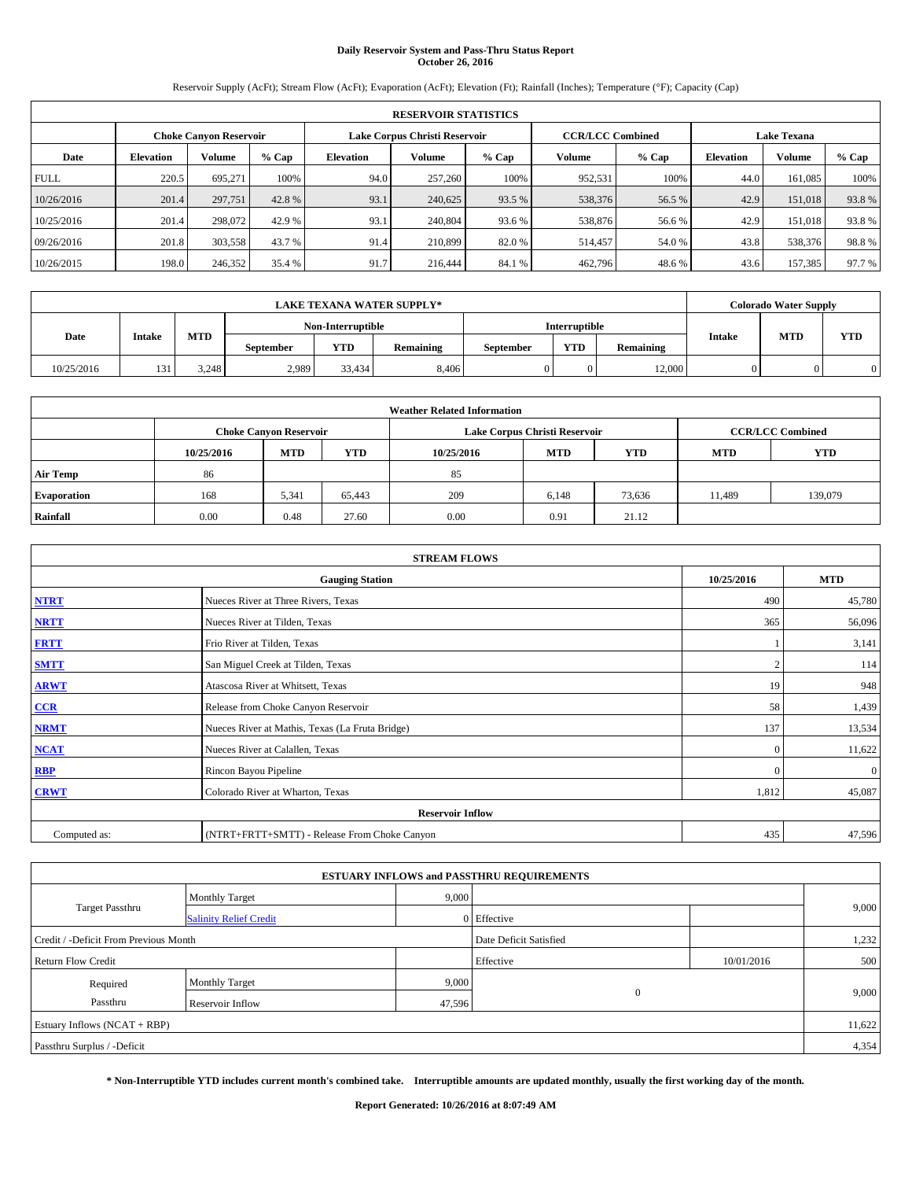## **Daily Reservoir System and Pass-Thru Status Report October 26, 2016**

Reservoir Supply (AcFt); Stream Flow (AcFt); Evaporation (AcFt); Elevation (Ft); Rainfall (Inches); Temperature (°F); Capacity (Cap)

|             | <b>RESERVOIR STATISTICS</b> |                               |        |                               |         |        |                         |         |                    |               |        |
|-------------|-----------------------------|-------------------------------|--------|-------------------------------|---------|--------|-------------------------|---------|--------------------|---------------|--------|
|             |                             | <b>Choke Canyon Reservoir</b> |        | Lake Corpus Christi Reservoir |         |        | <b>CCR/LCC Combined</b> |         | <b>Lake Texana</b> |               |        |
| Date        | <b>Elevation</b>            | <b>Volume</b>                 | % Cap  | Elevation                     | Volume  | % Cap  | Volume                  | $%$ Cap | <b>Elevation</b>   | <b>Volume</b> | % Cap  |
| <b>FULL</b> | 220.5                       | 695,271                       | 100%   | 94.0                          | 257,260 | 100%   | 952.531                 | 100%    | 44.0               | 161,085       | 100%   |
| 10/26/2016  | 201.4                       | 297,751                       | 42.8%  | 93.1                          | 240,625 | 93.5 % | 538,376                 | 56.5 %  | 42.9               | 151,018       | 93.8%  |
| 10/25/2016  | 201.4                       | 298,072                       | 42.9 % | 93.1                          | 240,804 | 93.6 % | 538,876                 | 56.6 %  | 42.9               | 151,018       | 93.8%  |
| 09/26/2016  | 201.8                       | 303,558                       | 43.7 % | 91.4                          | 210,899 | 82.0 % | 514,457                 | 54.0%   | 43.8               | 538,376       | 98.8%  |
| 10/26/2015  | 198.0                       | 246,352                       | 35.4 % | 91.7                          | 216,444 | 84.1 % | 462,796                 | 48.6%   | 43.6               | 157,385       | 97.7 % |

|            |               |            |                  |                   | LAKE TEXANA WATER SUPPLY*_ |           |               |           |               | <b>Colorado Water Supply</b> |            |
|------------|---------------|------------|------------------|-------------------|----------------------------|-----------|---------------|-----------|---------------|------------------------------|------------|
|            |               |            |                  | Non-Interruptible |                            |           | Interruptible |           |               |                              |            |
| Date       | <b>Intake</b> | <b>MTD</b> | <b>September</b> | <b>YTD</b>        | Remaining                  | September | <b>YTD</b>    | Remaining | <b>Intake</b> | <b>MTD</b>                   | <b>YTD</b> |
| 10/25/2016 | 13.           | 3.248      | 2,989            | 33.434            | 8.406                      |           |               | 12.000    |               |                              |            |

|                    | <b>Weather Related Information</b> |            |            |            |                               |                         |        |         |  |  |  |
|--------------------|------------------------------------|------------|------------|------------|-------------------------------|-------------------------|--------|---------|--|--|--|
|                    | <b>Choke Canyon Reservoir</b>      |            |            |            | Lake Corpus Christi Reservoir | <b>CCR/LCC Combined</b> |        |         |  |  |  |
|                    | 10/25/2016                         | <b>MTD</b> | <b>YTD</b> | <b>YTD</b> |                               |                         |        |         |  |  |  |
| <b>Air Temp</b>    | 86                                 |            |            | 85         |                               |                         |        |         |  |  |  |
| <b>Evaporation</b> | 168                                | 5,341      | 65.443     | 209        | 6,148                         | 73,636                  | 11,489 | 139,079 |  |  |  |
| Rainfall           | 0.00                               | 0.48       | 27.60      | 0.00       | 0.91                          | 21.12                   |        |         |  |  |  |

|              | <b>STREAM FLOWS</b>                             |            |              |  |  |  |  |  |  |  |
|--------------|-------------------------------------------------|------------|--------------|--|--|--|--|--|--|--|
|              | <b>Gauging Station</b>                          | 10/25/2016 | <b>MTD</b>   |  |  |  |  |  |  |  |
| <b>NTRT</b>  | Nueces River at Three Rivers, Texas             | 490        | 45,780       |  |  |  |  |  |  |  |
| <b>NRTT</b>  | Nueces River at Tilden, Texas                   | 365        | 56,096       |  |  |  |  |  |  |  |
| <b>FRTT</b>  | Frio River at Tilden, Texas                     |            | 3,141        |  |  |  |  |  |  |  |
| <b>SMTT</b>  | San Miguel Creek at Tilden, Texas               |            | 114          |  |  |  |  |  |  |  |
| <b>ARWT</b>  | Atascosa River at Whitsett, Texas               | 19         | 948          |  |  |  |  |  |  |  |
| $CCR$        | Release from Choke Canyon Reservoir             | 58         | 1,439        |  |  |  |  |  |  |  |
| <b>NRMT</b>  | Nueces River at Mathis, Texas (La Fruta Bridge) | 137        | 13,534       |  |  |  |  |  |  |  |
| <b>NCAT</b>  | Nueces River at Calallen, Texas                 | $\Omega$   | 11,622       |  |  |  |  |  |  |  |
| <b>RBP</b>   | Rincon Bayou Pipeline                           | $\Omega$   | $\mathbf{0}$ |  |  |  |  |  |  |  |
| <b>CRWT</b>  | Colorado River at Wharton, Texas                | 1,812      | 45,087       |  |  |  |  |  |  |  |
|              | <b>Reservoir Inflow</b>                         |            |              |  |  |  |  |  |  |  |
| Computed as: | (NTRT+FRTT+SMTT) - Release From Choke Canyon    | 435        | 47,596       |  |  |  |  |  |  |  |

| <b>ESTUARY INFLOWS and PASSTHRU REQUIREMENTS</b> |                               |        |                        |            |       |  |  |  |  |  |
|--------------------------------------------------|-------------------------------|--------|------------------------|------------|-------|--|--|--|--|--|
|                                                  | <b>Monthly Target</b>         | 9,000  |                        |            |       |  |  |  |  |  |
| Target Passthru                                  | <b>Salinity Relief Credit</b> |        | 0 Effective            |            | 9,000 |  |  |  |  |  |
| Credit / -Deficit From Previous Month            |                               |        | Date Deficit Satisfied |            | 1,232 |  |  |  |  |  |
| <b>Return Flow Credit</b>                        |                               |        | Effective              | 10/01/2016 | 500   |  |  |  |  |  |
| Required                                         | <b>Monthly Target</b>         | 9,000  |                        |            |       |  |  |  |  |  |
| Passthru                                         | <b>Reservoir Inflow</b>       | 47,596 | $\Omega$               |            | 9,000 |  |  |  |  |  |
| Estuary Inflows $(NCAT + RBP)$                   |                               |        |                        |            |       |  |  |  |  |  |
| Passthru Surplus / -Deficit                      |                               |        |                        |            |       |  |  |  |  |  |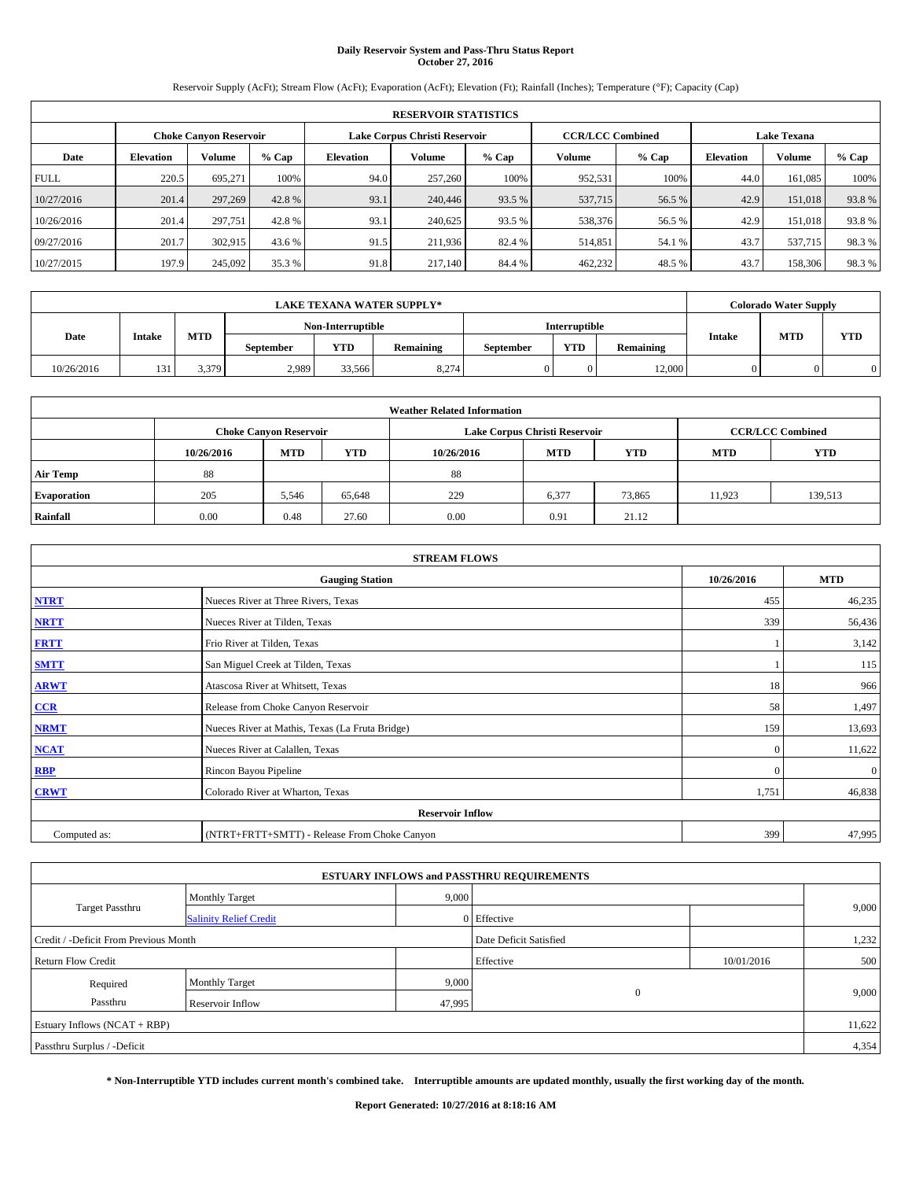## **Daily Reservoir System and Pass-Thru Status Report October 27, 2016**

Reservoir Supply (AcFt); Stream Flow (AcFt); Evaporation (AcFt); Elevation (Ft); Rainfall (Inches); Temperature (°F); Capacity (Cap)

|             | <b>RESERVOIR STATISTICS</b>   |               |        |                               |         |        |                         |         |                    |               |       |
|-------------|-------------------------------|---------------|--------|-------------------------------|---------|--------|-------------------------|---------|--------------------|---------------|-------|
|             | <b>Choke Canvon Reservoir</b> |               |        | Lake Corpus Christi Reservoir |         |        | <b>CCR/LCC Combined</b> |         | <b>Lake Texana</b> |               |       |
| Date        | <b>Elevation</b>              | <b>Volume</b> | % Cap  | Elevation                     | Volume  | % Cap  | Volume                  | $%$ Cap | <b>Elevation</b>   | <b>Volume</b> | % Cap |
| <b>FULL</b> | 220.5                         | 695,271       | 100%   | 94.0                          | 257,260 | 100%   | 952.531                 | 100%    | 44.0               | 161,085       | 100%  |
| 10/27/2016  | 201.4                         | 297,269       | 42.8%  | 93.1                          | 240,446 | 93.5 % | 537,715                 | 56.5 %  | 42.9               | 151,018       | 93.8% |
| 10/26/2016  | 201.4                         | 297,751       | 42.8%  | 93.1                          | 240,625 | 93.5 % | 538,376                 | 56.5 %  | 42.9               | 151,018       | 93.8% |
| 09/27/2016  | 201.7                         | 302.915       | 43.6 % | 91.5                          | 211.936 | 82.4 % | 514,851                 | 54.1 %  | 43.7               | 537,715       | 98.3% |
| 10/27/2015  | 197.9                         | 245,092       | 35.3 % | 91.8                          | 217.140 | 84.4 % | 462,232                 | 48.5 %  | 43.7               | 158,306       | 98.3% |

|            |                                                                                    |       |       |                   | <b>LAKE TEXANA WATER SUPPLY*</b> |           |               |           |               | <b>Colorado Water Supply</b> |            |
|------------|------------------------------------------------------------------------------------|-------|-------|-------------------|----------------------------------|-----------|---------------|-----------|---------------|------------------------------|------------|
|            |                                                                                    |       |       | Non-Interruptible |                                  |           | Interruptible |           |               |                              |            |
|            | <b>MTD</b><br>Date<br><b>Intake</b><br><b>YTD</b><br>Remaining<br><b>September</b> |       |       |                   |                                  | September | <b>YTD</b>    | Remaining | <b>Intake</b> | <b>MTD</b>                   | <b>YTD</b> |
| 10/26/2016 | 13 <sup>2</sup>                                                                    | 3.379 | 2,989 | 33.566            | 8,274                            |           |               | 12.000    |               |                              |            |

| <b>Weather Related Information</b> |            |                               |            |            |                                                      |                         |        |         |  |
|------------------------------------|------------|-------------------------------|------------|------------|------------------------------------------------------|-------------------------|--------|---------|--|
|                                    |            | <b>Choke Canyon Reservoir</b> |            |            | Lake Corpus Christi Reservoir                        | <b>CCR/LCC Combined</b> |        |         |  |
|                                    | 10/26/2016 | <b>MTD</b>                    | <b>YTD</b> | 10/26/2016 | <b>YTD</b><br><b>MTD</b><br><b>YTD</b><br><b>MTD</b> |                         |        |         |  |
| <b>Air Temp</b>                    | 88         |                               |            | 88         |                                                      |                         |        |         |  |
| <b>Evaporation</b>                 | 205        | 5,546                         | 65,648     | 229        | 6,377                                                | 73,865                  | 11,923 | 139,513 |  |
| Rainfall                           | 0.00       | 0.48                          | 27.60      | 0.00       | 0.91                                                 | 21.12                   |        |         |  |

| <b>STREAM FLOWS</b> |                                                 |              |              |  |  |  |  |  |  |
|---------------------|-------------------------------------------------|--------------|--------------|--|--|--|--|--|--|
|                     | 10/26/2016                                      | <b>MTD</b>   |              |  |  |  |  |  |  |
| <b>NTRT</b>         | Nueces River at Three Rivers, Texas             | 455          | 46,235       |  |  |  |  |  |  |
| <b>NRTT</b>         | Nueces River at Tilden, Texas                   | 339          | 56,436       |  |  |  |  |  |  |
| <b>FRTT</b>         | Frio River at Tilden, Texas                     |              | 3,142        |  |  |  |  |  |  |
| <b>SMTT</b>         | San Miguel Creek at Tilden, Texas               |              | 115          |  |  |  |  |  |  |
| <b>ARWT</b>         | Atascosa River at Whitsett, Texas               | 18           | 966          |  |  |  |  |  |  |
| $CCR$               | Release from Choke Canyon Reservoir             | 58           | 1,497        |  |  |  |  |  |  |
| <b>NRMT</b>         | Nueces River at Mathis, Texas (La Fruta Bridge) | 159          | 13,693       |  |  |  |  |  |  |
| <b>NCAT</b>         | Nueces River at Calallen, Texas                 | $\mathbf{0}$ | 11,622       |  |  |  |  |  |  |
| RBP                 | Rincon Bayou Pipeline                           | $\Omega$     | $\mathbf{0}$ |  |  |  |  |  |  |
| <b>CRWT</b>         | Colorado River at Wharton, Texas                | 1,751        | 46,838       |  |  |  |  |  |  |
|                     | <b>Reservoir Inflow</b>                         |              |              |  |  |  |  |  |  |
| Computed as:        | (NTRT+FRTT+SMTT) - Release From Choke Canyon    | 399          | 47,995       |  |  |  |  |  |  |

|                                       |                               |        | <b>ESTUARY INFLOWS and PASSTHRU REQUIREMENTS</b> |            |        |  |  |  |
|---------------------------------------|-------------------------------|--------|--------------------------------------------------|------------|--------|--|--|--|
|                                       | <b>Monthly Target</b>         | 9,000  |                                                  |            |        |  |  |  |
| <b>Target Passthru</b>                | <b>Salinity Relief Credit</b> |        | 0 Effective                                      |            | 9,000  |  |  |  |
| Credit / -Deficit From Previous Month |                               |        | Date Deficit Satisfied                           |            | 1,232  |  |  |  |
| <b>Return Flow Credit</b>             |                               |        | Effective                                        | 10/01/2016 | 500    |  |  |  |
| Required                              | <b>Monthly Target</b>         | 9,000  |                                                  |            |        |  |  |  |
| Passthru                              | <b>Reservoir Inflow</b>       | 47,995 | $\theta$                                         |            | 9,000  |  |  |  |
| Estuary Inflows (NCAT + RBP)          |                               |        |                                                  |            | 11,622 |  |  |  |
| Passthru Surplus / -Deficit           |                               |        |                                                  |            |        |  |  |  |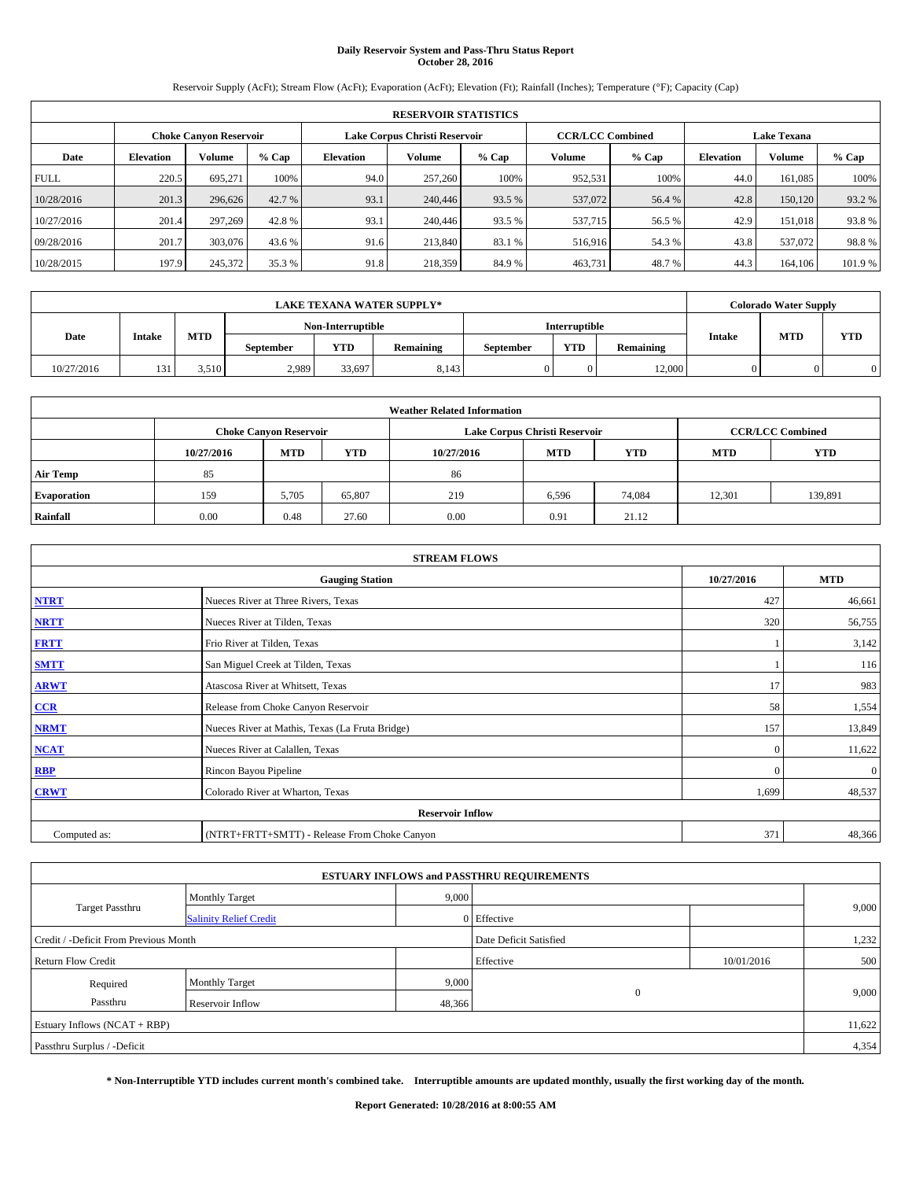## **Daily Reservoir System and Pass-Thru Status Report October 28, 2016**

Reservoir Supply (AcFt); Stream Flow (AcFt); Evaporation (AcFt); Elevation (Ft); Rainfall (Inches); Temperature (°F); Capacity (Cap)

|             | <b>RESERVOIR STATISTICS</b> |                               |         |                  |                               |         |                         |         |                  |                    |        |  |
|-------------|-----------------------------|-------------------------------|---------|------------------|-------------------------------|---------|-------------------------|---------|------------------|--------------------|--------|--|
|             |                             | <b>Choke Canyon Reservoir</b> |         |                  | Lake Corpus Christi Reservoir |         | <b>CCR/LCC Combined</b> |         |                  | <b>Lake Texana</b> |        |  |
| Date        | <b>Elevation</b>            | Volume                        | $%$ Cap | <b>Elevation</b> | Volume                        | $%$ Cap | Volume                  | $%$ Cap | <b>Elevation</b> | <b>Volume</b>      | % Cap  |  |
| <b>FULL</b> | 220.5                       | 695.271                       | 100%    | 94.0             | 257,260                       | 100%    | 952,531                 | 100%    | 44.0             | 161,085            | 100%   |  |
| 10/28/2016  | 201.3                       | 296,626                       | 42.7 %  | 93.1             | 240,446                       | 93.5 %  | 537,072                 | 56.4 %  | 42.8             | 150,120            | 93.2 % |  |
| 10/27/2016  | 201.4                       | 297.269                       | 42.8%   | 93.1             | 240,446                       | 93.5 %  | 537,715                 | 56.5 %  | 42.9             | 151,018            | 93.8%  |  |
| 09/28/2016  | 201.7                       | 303,076                       | 43.6 %  | 91.6             | 213,840                       | 83.1 %  | 516,916                 | 54.3 %  | 43.8             | 537,072            | 98.8%  |  |
| 10/28/2015  | 197.9                       | 245,372                       | 35.3 %  | 91.8             | 218,359                       | 84.9%   | 463,731                 | 48.7%   | 44.3             | 164,106            | 101.9% |  |

| LAKE TEXANA WATER SUPPLY*_ |               |            |                  |                   |               |           |            |           |               | <b>Colorado Water Supply</b> |            |
|----------------------------|---------------|------------|------------------|-------------------|---------------|-----------|------------|-----------|---------------|------------------------------|------------|
|                            |               |            |                  | Non-Interruptible | Interruptible |           |            |           |               |                              |            |
| Date                       | <b>Intake</b> | <b>MTD</b> | <b>September</b> | <b>YTD</b>        | Remaining     | September | <b>YTD</b> | Remaining | <b>Intake</b> | <b>MTD</b>                   | <b>YTD</b> |
| 10/27/2016                 | 13.           | 3.510      | 2,989            | 33,697            | 8.143         |           |            | 12.000    |               |                              |            |

| <b>Weather Related Information</b> |            |                               |            |            |                                                      |                         |        |         |  |
|------------------------------------|------------|-------------------------------|------------|------------|------------------------------------------------------|-------------------------|--------|---------|--|
|                                    |            | <b>Choke Canyon Reservoir</b> |            |            | Lake Corpus Christi Reservoir                        | <b>CCR/LCC Combined</b> |        |         |  |
|                                    | 10/27/2016 | <b>MTD</b>                    | <b>YTD</b> | 10/27/2016 | <b>YTD</b><br><b>MTD</b><br><b>YTD</b><br><b>MTD</b> |                         |        |         |  |
| <b>Air Temp</b>                    | 85         |                               |            | 86         |                                                      |                         |        |         |  |
| <b>Evaporation</b>                 | 159        | 5,705                         | 65,807     | 219        | 6,596                                                | 74,084                  | 12,301 | 139,891 |  |
| Rainfall                           | 0.00       | 0.48                          | 27.60      | 0.00       | 0.91                                                 | 21.12                   |        |         |  |

| <b>STREAM FLOWS</b> |                                                 |              |              |  |  |  |  |  |  |
|---------------------|-------------------------------------------------|--------------|--------------|--|--|--|--|--|--|
|                     | 10/27/2016                                      | <b>MTD</b>   |              |  |  |  |  |  |  |
| <b>NTRT</b>         | Nueces River at Three Rivers, Texas             | 427          | 46,661       |  |  |  |  |  |  |
| <b>NRTT</b>         | Nueces River at Tilden, Texas                   | 320          | 56,755       |  |  |  |  |  |  |
| <b>FRTT</b>         | Frio River at Tilden, Texas                     |              | 3,142        |  |  |  |  |  |  |
| <b>SMTT</b>         | San Miguel Creek at Tilden, Texas               |              | 116          |  |  |  |  |  |  |
| <b>ARWT</b>         | Atascosa River at Whitsett, Texas               | 17           | 983          |  |  |  |  |  |  |
| $CCR$               | Release from Choke Canyon Reservoir             | 58           | 1,554        |  |  |  |  |  |  |
| <b>NRMT</b>         | Nueces River at Mathis, Texas (La Fruta Bridge) | 157          | 13,849       |  |  |  |  |  |  |
| <b>NCAT</b>         | Nueces River at Calallen, Texas                 | $\mathbf{0}$ | 11,622       |  |  |  |  |  |  |
| RBP                 | Rincon Bayou Pipeline                           | $\Omega$     | $\mathbf{0}$ |  |  |  |  |  |  |
| <b>CRWT</b>         | Colorado River at Wharton, Texas                | 1,699        | 48,537       |  |  |  |  |  |  |
|                     | <b>Reservoir Inflow</b>                         |              |              |  |  |  |  |  |  |
| Computed as:        | (NTRT+FRTT+SMTT) - Release From Choke Canyon    | 371          | 48,366       |  |  |  |  |  |  |

|                                       |                               |        | <b>ESTUARY INFLOWS and PASSTHRU REQUIREMENTS</b> |            |        |  |  |  |
|---------------------------------------|-------------------------------|--------|--------------------------------------------------|------------|--------|--|--|--|
|                                       | <b>Monthly Target</b>         | 9,000  |                                                  |            |        |  |  |  |
| <b>Target Passthru</b>                | <b>Salinity Relief Credit</b> |        | 0 Effective                                      |            | 9,000  |  |  |  |
| Credit / -Deficit From Previous Month |                               |        | Date Deficit Satisfied                           |            | 1,232  |  |  |  |
| <b>Return Flow Credit</b>             |                               |        | Effective                                        | 10/01/2016 | 500    |  |  |  |
| Required                              | <b>Monthly Target</b>         | 9,000  |                                                  |            |        |  |  |  |
| Passthru                              | <b>Reservoir Inflow</b>       | 48,366 | $\theta$                                         |            | 9,000  |  |  |  |
| Estuary Inflows (NCAT + RBP)          |                               |        |                                                  |            | 11,622 |  |  |  |
| Passthru Surplus / -Deficit           |                               |        |                                                  |            |        |  |  |  |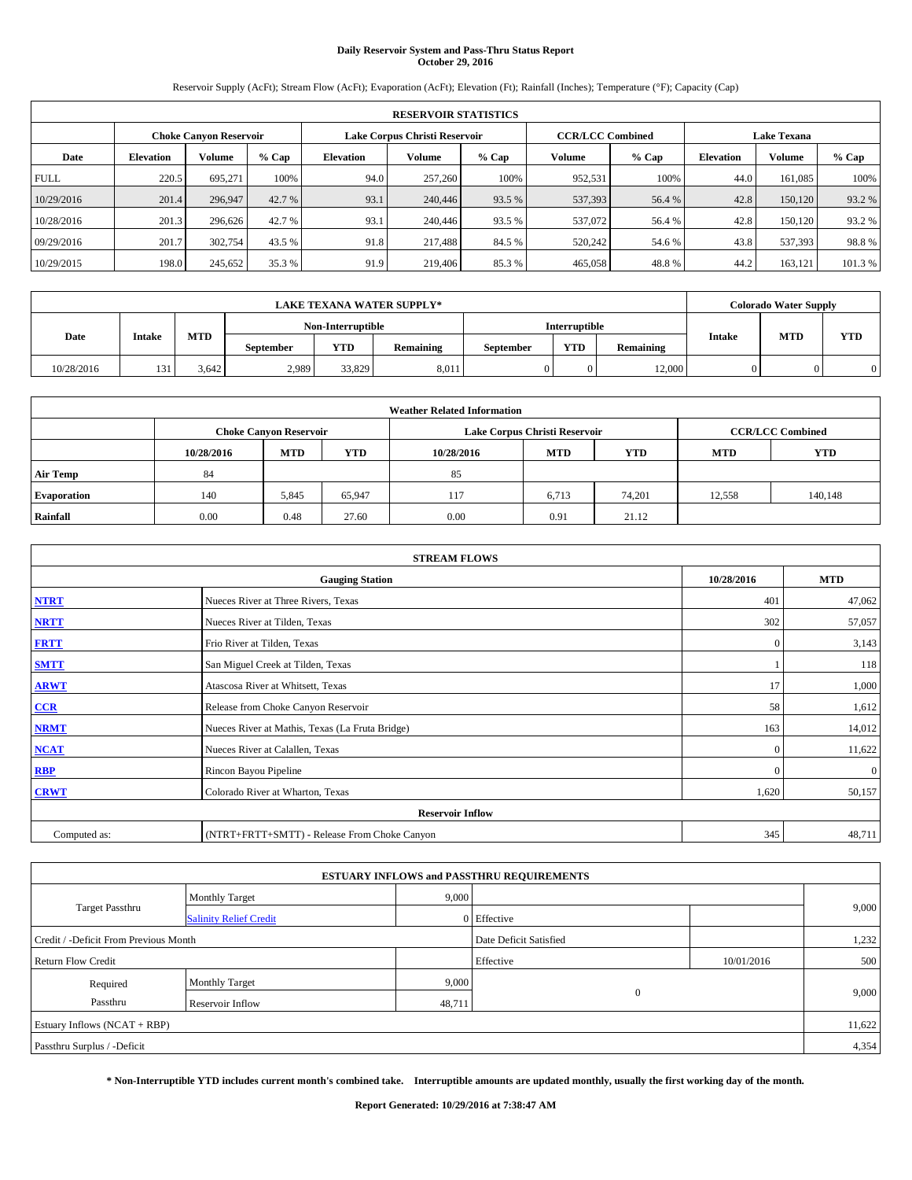# **Daily Reservoir System and Pass-Thru Status Report October 29, 2016**

Reservoir Supply (AcFt); Stream Flow (AcFt); Evaporation (AcFt); Elevation (Ft); Rainfall (Inches); Temperature (°F); Capacity (Cap)

| <b>RESERVOIR STATISTICS</b> |                  |                        |        |                  |                               |         |                         |         |                  |                    |        |  |
|-----------------------------|------------------|------------------------|--------|------------------|-------------------------------|---------|-------------------------|---------|------------------|--------------------|--------|--|
|                             |                  | Choke Canvon Reservoir |        |                  | Lake Corpus Christi Reservoir |         | <b>CCR/LCC Combined</b> |         |                  | <b>Lake Texana</b> |        |  |
| Date                        | <b>Elevation</b> | Volume                 | % Cap  | <b>Elevation</b> | Volume                        | $%$ Cap | Volume                  | $%$ Cap | <b>Elevation</b> | <b>Volume</b>      | % Cap  |  |
| <b>FULL</b>                 | 220.5            | 695,271                | 100%   | 94.0             | 257,260                       | 100%    | 952.531                 | 100%    | 44.0             | 161.085            | 100%   |  |
| 10/29/2016                  | 201.4            | 296,947                | 42.7 % | 93.1             | 240,446                       | 93.5 %  | 537,393                 | 56.4 %  | 42.8             | 150,120            | 93.2%  |  |
| 10/28/2016                  | 201.3            | 296,626                | 42.7 % | 93.1             | 240,446                       | 93.5 %  | 537,072                 | 56.4 %  | 42.8             | 150.120            | 93.2 % |  |
| 09/29/2016                  | 201.7            | 302,754                | 43.5 % | 91.8             | 217,488                       | 84.5 %  | 520,242                 | 54.6 %  | 43.8             | 537.393            | 98.8%  |  |
| 10/29/2015                  | 198.0            | 245,652                | 35.3 % | 91.9             | 219,406                       | 85.3%   | 465,058                 | 48.8%   | 44.2             | 163.121            | 101.3% |  |

| <b>LAKE TEXANA WATER SUPPLY*</b> |               |            |                  |                   |           |           |                      |           |                             | <b>Colorado Water Supply</b> |            |
|----------------------------------|---------------|------------|------------------|-------------------|-----------|-----------|----------------------|-----------|-----------------------------|------------------------------|------------|
|                                  |               |            |                  | Non-Interruptible |           |           | <b>Interruptible</b> |           |                             |                              |            |
| Date                             | <b>Intake</b> | <b>MTD</b> | <b>September</b> | <b>YTD</b>        | Remaining | September | <b>YTD</b>           | Remaining | <b>MTD</b><br><b>Intake</b> |                              | <b>YTD</b> |
| 10/28/2016                       | 13.           | 3.642      | 2,989            | 33,829            | 8,011     |           |                      | 12.000    |                             |                              |            |

| <b>Weather Related Information</b> |            |                               |            |            |                                                      |                         |        |         |  |
|------------------------------------|------------|-------------------------------|------------|------------|------------------------------------------------------|-------------------------|--------|---------|--|
|                                    |            | <b>Choke Canyon Reservoir</b> |            |            | Lake Corpus Christi Reservoir                        | <b>CCR/LCC Combined</b> |        |         |  |
|                                    | 10/28/2016 | <b>MTD</b>                    | <b>YTD</b> | 10/28/2016 | <b>YTD</b><br><b>MTD</b><br><b>YTD</b><br><b>MTD</b> |                         |        |         |  |
| <b>Air Temp</b>                    | 84         |                               |            | 85         |                                                      |                         |        |         |  |
| <b>Evaporation</b>                 | 140        | 5,845                         | 65,947     | 117        | 6,713                                                | 74.201                  | 12,558 | 140,148 |  |
| Rainfall                           | 0.00       | 0.48                          | 27.60      | 0.00       | 0.91                                                 | 21.12                   |        |         |  |

| <b>STREAM FLOWS</b> |                                                 |              |              |  |  |  |  |  |  |
|---------------------|-------------------------------------------------|--------------|--------------|--|--|--|--|--|--|
|                     | 10/28/2016                                      | <b>MTD</b>   |              |  |  |  |  |  |  |
| <b>NTRT</b>         | Nueces River at Three Rivers, Texas             | 401          | 47,062       |  |  |  |  |  |  |
| <b>NRTT</b>         | Nueces River at Tilden, Texas                   | 302          | 57,057       |  |  |  |  |  |  |
| <b>FRTT</b>         | Frio River at Tilden, Texas                     | $\mathbf{0}$ | 3,143        |  |  |  |  |  |  |
| <b>SMTT</b>         | San Miguel Creek at Tilden, Texas               |              | 118          |  |  |  |  |  |  |
| <b>ARWT</b>         | Atascosa River at Whitsett, Texas               | 17           | 1,000        |  |  |  |  |  |  |
| CCR                 | Release from Choke Canyon Reservoir             | 58           | 1,612        |  |  |  |  |  |  |
| <b>NRMT</b>         | Nueces River at Mathis, Texas (La Fruta Bridge) | 163          | 14,012       |  |  |  |  |  |  |
| <b>NCAT</b>         | Nueces River at Calallen, Texas                 | $\Omega$     | 11,622       |  |  |  |  |  |  |
| RBP                 | Rincon Bayou Pipeline                           | $\Omega$     | $\mathbf{0}$ |  |  |  |  |  |  |
| <b>CRWT</b>         | Colorado River at Wharton, Texas                | 1,620        | 50,157       |  |  |  |  |  |  |
|                     |                                                 |              |              |  |  |  |  |  |  |
| Computed as:        | 345                                             | 48,711       |              |  |  |  |  |  |  |

| <b>ESTUARY INFLOWS and PASSTHRU REQUIREMENTS</b> |                               |                        |             |            |       |  |  |  |  |  |
|--------------------------------------------------|-------------------------------|------------------------|-------------|------------|-------|--|--|--|--|--|
|                                                  | <b>Monthly Target</b>         | 9,000                  |             |            |       |  |  |  |  |  |
| <b>Target Passthru</b>                           | <b>Salinity Relief Credit</b> |                        | 0 Effective |            | 9,000 |  |  |  |  |  |
| Credit / -Deficit From Previous Month            |                               | Date Deficit Satisfied |             | 1,232      |       |  |  |  |  |  |
| <b>Return Flow Credit</b>                        |                               |                        | Effective   | 10/01/2016 | 500   |  |  |  |  |  |
| Required                                         | Monthly Target                | 9,000                  |             |            |       |  |  |  |  |  |
| Passthru                                         | <b>Reservoir Inflow</b>       | 48,711                 | $\theta$    |            | 9,000 |  |  |  |  |  |
| Estuary Inflows (NCAT + RBP)                     |                               |                        |             |            |       |  |  |  |  |  |
| Passthru Surplus / -Deficit                      |                               |                        |             |            | 4,354 |  |  |  |  |  |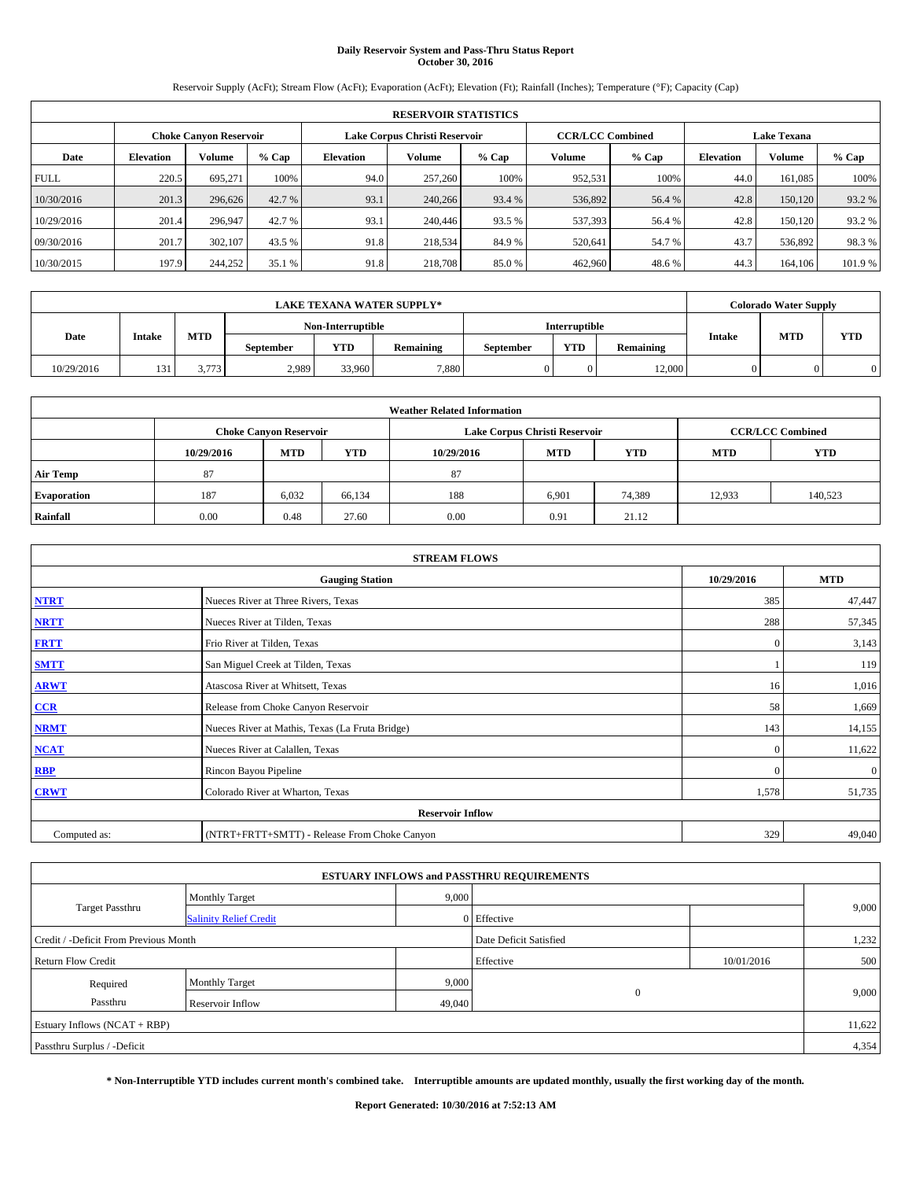# **Daily Reservoir System and Pass-Thru Status Report October 30, 2016**

Reservoir Supply (AcFt); Stream Flow (AcFt); Evaporation (AcFt); Elevation (Ft); Rainfall (Inches); Temperature (°F); Capacity (Cap)

|             | <b>RESERVOIR STATISTICS</b> |                               |         |           |                               |         |         |                         |                  |                    |        |
|-------------|-----------------------------|-------------------------------|---------|-----------|-------------------------------|---------|---------|-------------------------|------------------|--------------------|--------|
|             |                             | <b>Choke Canyon Reservoir</b> |         |           | Lake Corpus Christi Reservoir |         |         | <b>CCR/LCC Combined</b> |                  | <b>Lake Texana</b> |        |
| Date        | <b>Elevation</b>            | Volume                        | $%$ Cap | Elevation | Volume                        | $%$ Cap | Volume  | $%$ Cap                 | <b>Elevation</b> | <b>Volume</b>      | % Cap  |
| <b>FULL</b> | 220.5                       | 695.271                       | 100%    | 94.0      | 257,260                       | 100%    | 952,531 | 100%                    | 44.0             | 161.085            | 100%   |
| 10/30/2016  | 201.3                       | 296,626                       | 42.7 %  | 93.1      | 240,266                       | 93.4 %  | 536,892 | 56.4 %                  | 42.8             | 150,120            | 93.2 % |
| 10/29/2016  | 201.4                       | 296,947                       | 42.7 %  | 93.1      | 240,446                       | 93.5 %  | 537,393 | 56.4 %                  | 42.8             | 150.120            | 93.2 % |
| 09/30/2016  | 201.7                       | 302,107                       | 43.5 %  | 91.8      | 218,534                       | 84.9%   | 520,641 | 54.7 %                  | 43.7             | 536,892            | 98.3%  |
| 10/30/2015  | 197.9                       | 244,252                       | 35.1 %  | 91.8      | 218,708                       | 85.0%   | 462,960 | 48.6%                   | 44.3             | 164,106            | 101.9% |

|            |                 | LAKE TEXANA WATER SUPPLY*_ |                   |            |           |               |            |           | <b>Colorado Water Supply</b> |            |            |
|------------|-----------------|----------------------------|-------------------|------------|-----------|---------------|------------|-----------|------------------------------|------------|------------|
|            |                 |                            | Non-Interruptible |            |           | Interruptible |            |           |                              |            |            |
| Date       | <b>Intake</b>   | <b>MTD</b>                 | <b>September</b>  | <b>YTD</b> | Remaining | September     | <b>YTD</b> | Remaining | <b>Intake</b>                | <b>MTD</b> | <b>YTD</b> |
| 10/29/2016 | 13 <sup>2</sup> | 3.773                      | 2,989             | 33,960     | 7.880     |               |            | 12.000    |                              |            |            |

|                    | <b>Weather Related Information</b> |                               |            |            |                               |                         |            |            |  |  |  |
|--------------------|------------------------------------|-------------------------------|------------|------------|-------------------------------|-------------------------|------------|------------|--|--|--|
|                    |                                    | <b>Choke Canyon Reservoir</b> |            |            | Lake Corpus Christi Reservoir | <b>CCR/LCC Combined</b> |            |            |  |  |  |
|                    | 10/29/2016                         | <b>MTD</b>                    | <b>YTD</b> | 10/29/2016 | <b>MTD</b>                    | <b>YTD</b>              | <b>MTD</b> | <b>YTD</b> |  |  |  |
| <b>Air Temp</b>    | 87                                 |                               |            | 87         |                               |                         |            |            |  |  |  |
| <b>Evaporation</b> | 187                                | 6,032                         | 66,134     | 188        | 6,901                         | 74,389                  | 12,933     | 140,523    |  |  |  |
| Rainfall           | 0.00                               | 0.48                          | 27.60      | 0.00       | 0.91                          | 21.12                   |            |            |  |  |  |

| <b>STREAM FLOWS</b> |                                                 |              |              |  |  |  |  |  |  |
|---------------------|-------------------------------------------------|--------------|--------------|--|--|--|--|--|--|
|                     | <b>Gauging Station</b>                          | 10/29/2016   | <b>MTD</b>   |  |  |  |  |  |  |
| <b>NTRT</b>         | Nueces River at Three Rivers, Texas             | 385          | 47,447       |  |  |  |  |  |  |
| <b>NRTT</b>         | Nueces River at Tilden, Texas                   | 288          | 57,345       |  |  |  |  |  |  |
| <b>FRTT</b>         | Frio River at Tilden, Texas                     | $\mathbf{0}$ | 3,143        |  |  |  |  |  |  |
| <b>SMTT</b>         | San Miguel Creek at Tilden, Texas               |              | 119          |  |  |  |  |  |  |
| <b>ARWT</b>         | Atascosa River at Whitsett, Texas               | 16           | 1,016        |  |  |  |  |  |  |
| $CCR$               | Release from Choke Canyon Reservoir             | 58           | 1,669        |  |  |  |  |  |  |
| <b>NRMT</b>         | Nueces River at Mathis, Texas (La Fruta Bridge) | 143          | 14,155       |  |  |  |  |  |  |
| <b>NCAT</b>         | Nueces River at Calallen, Texas                 | $\Omega$     | 11,622       |  |  |  |  |  |  |
| <b>RBP</b>          | Rincon Bayou Pipeline                           | $\Omega$     | $\mathbf{0}$ |  |  |  |  |  |  |
| <b>CRWT</b>         | Colorado River at Wharton, Texas                | 1,578        | 51,735       |  |  |  |  |  |  |
|                     | <b>Reservoir Inflow</b>                         |              |              |  |  |  |  |  |  |
| Computed as:        | (NTRT+FRTT+SMTT) - Release From Choke Canyon    | 329          | 49,040       |  |  |  |  |  |  |

| <b>ESTUARY INFLOWS and PASSTHRU REQUIREMENTS</b> |                                |                        |              |            |       |  |  |  |  |  |
|--------------------------------------------------|--------------------------------|------------------------|--------------|------------|-------|--|--|--|--|--|
|                                                  | 9,000<br><b>Monthly Target</b> |                        |              |            |       |  |  |  |  |  |
| <b>Target Passthru</b>                           | <b>Salinity Relief Credit</b>  |                        | 0 Effective  |            | 9,000 |  |  |  |  |  |
| Credit / -Deficit From Previous Month            |                                | Date Deficit Satisfied |              | 1,232      |       |  |  |  |  |  |
| <b>Return Flow Credit</b>                        |                                |                        | Effective    | 10/01/2016 | 500   |  |  |  |  |  |
| Required                                         | <b>Monthly Target</b>          | 9,000                  |              |            |       |  |  |  |  |  |
| Passthru                                         | <b>Reservoir Inflow</b>        | 49,040                 | $\mathbf{0}$ |            | 9,000 |  |  |  |  |  |
| Estuary Inflows (NCAT + RBP)                     |                                |                        |              |            |       |  |  |  |  |  |
| Passthru Surplus / -Deficit                      |                                |                        |              |            | 4,354 |  |  |  |  |  |